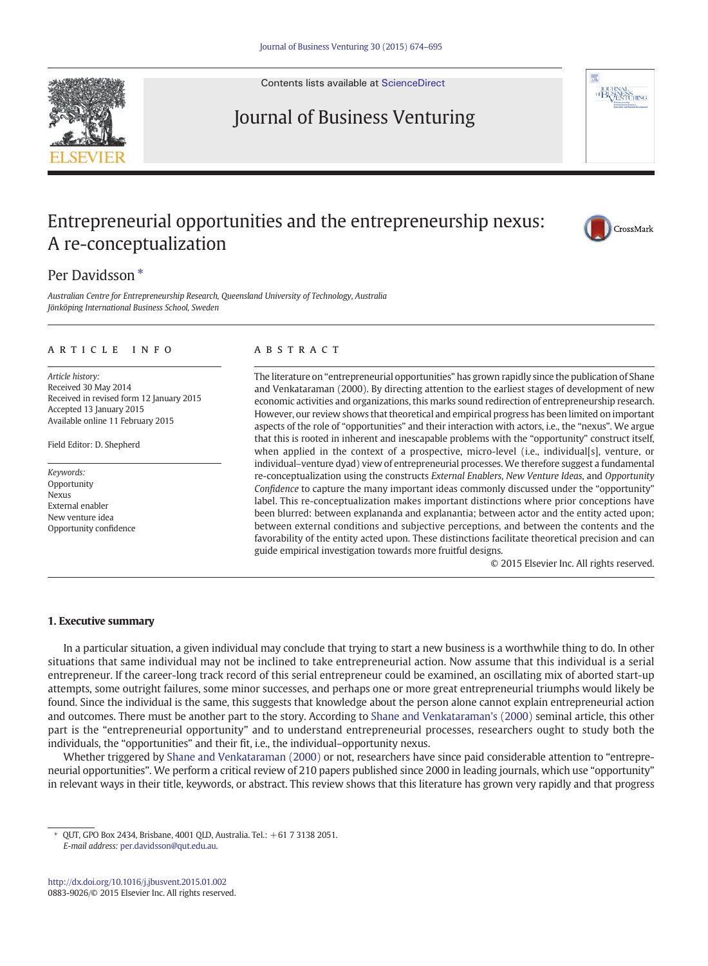Contents lists available at [ScienceDirect](http://www.sciencedirect.com/science/journal/08839026)

# Journal of Business Venturing

## Entrepreneurial opportunities and the entrepreneurship nexus: A re-conceptualization

### Per Davidsson<sup>\*</sup>

Australian Centre for Entrepreneurship Research, Queensland University of Technology, Australia Jönköping International Business School, Sweden

#### article info abstract

Article history: Received 30 May 2014 Received in revised form 12 January 2015 Accepted 13 January 2015 Available online 11 February 2015

Field Editor: D. Shepherd

Keywords: Opportunity Nexus External enabler New venture idea Opportunity confidence

The literature on "entrepreneurial opportunities" has grown rapidly since the publication of Shane and Venkataraman (2000). By directing attention to the earliest stages of development of new economic activities and organizations, this marks sound redirection of entrepreneurship research. However, our review shows that theoretical and empirical progress has been limited on important aspects of the role of "opportunities" and their interaction with actors, i.e., the "nexus". We argue that this is rooted in inherent and inescapable problems with the "opportunity" construct itself, when applied in the context of a prospective, micro-level (i.e., individual[s], venture, or individual–venture dyad) view of entrepreneurial processes. We therefore suggest a fundamental re-conceptualization using the constructs External Enablers, New Venture Ideas, and Opportunity Confidence to capture the many important ideas commonly discussed under the "opportunity" label. This re-conceptualization makes important distinctions where prior conceptions have been blurred: between explananda and explanantia; between actor and the entity acted upon; between external conditions and subjective perceptions, and between the contents and the favorability of the entity acted upon. These distinctions facilitate theoretical precision and can guide empirical investigation towards more fruitful designs.

© 2015 Elsevier Inc. All rights reserved.

#### 1. Executive summary

In a particular situation, a given individual may conclude that trying to start a new business is a worthwhile thing to do. In other situations that same individual may not be inclined to take entrepreneurial action. Now assume that this individual is a serial entrepreneur. If the career-long track record of this serial entrepreneur could be examined, an oscillating mix of aborted start-up attempts, some outright failures, some minor successes, and perhaps one or more great entrepreneurial triumphs would likely be found. Since the individual is the same, this suggests that knowledge about the person alone cannot explain entrepreneurial action and outcomes. There must be another part to the story. According to [Shane and Venkataraman's \(2000\)](#page-20-0) seminal article, this other part is the "entrepreneurial opportunity" and to understand entrepreneurial processes, researchers ought to study both the individuals, the "opportunities" and their fit, i.e., the individual–opportunity nexus.

Whether triggered by [Shane and Venkataraman \(2000\)](#page-20-0) or not, researchers have since paid considerable attention to "entrepreneurial opportunities". We perform a critical review of 210 papers published since 2000 in leading journals, which use "opportunity" in relevant ways in their title, keywords, or abstract. This review shows that this literature has grown very rapidly and that progress







<sup>⁎</sup> QUT, GPO Box 2434, Brisbane, 4001 QLD, Australia. Tel.: +61 7 3138 2051. E-mail address: [per.davidsson@qut.edu.au](mailto:per.davidsson@qut.edu.au).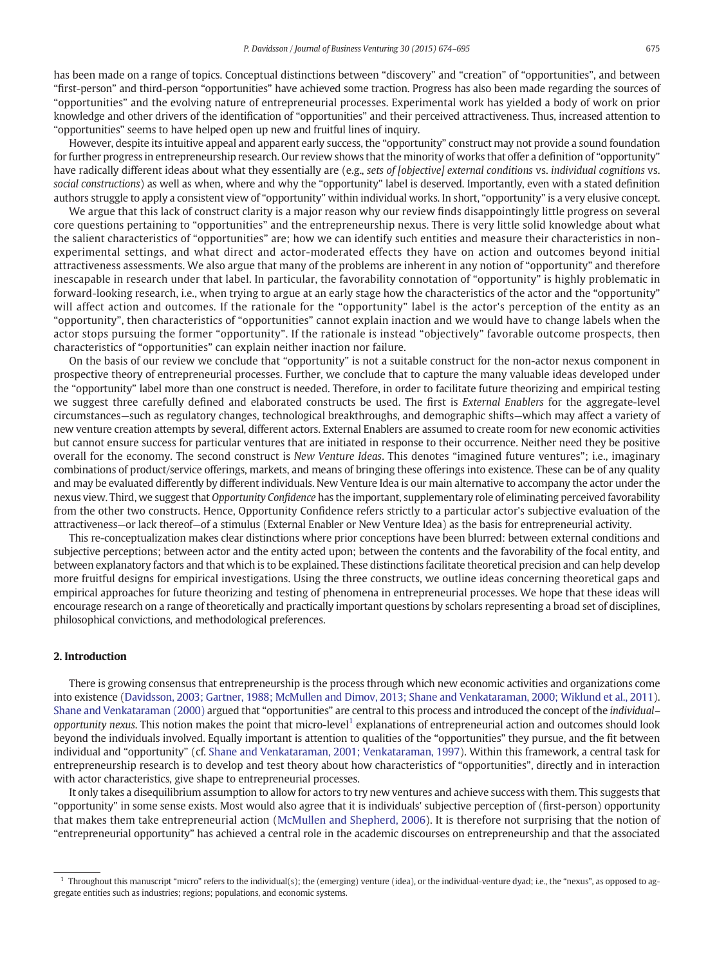has been made on a range of topics. Conceptual distinctions between "discovery" and "creation" of "opportunities", and between "first-person" and third-person "opportunities" have achieved some traction. Progress has also been made regarding the sources of "opportunities" and the evolving nature of entrepreneurial processes. Experimental work has yielded a body of work on prior knowledge and other drivers of the identification of "opportunities" and their perceived attractiveness. Thus, increased attention to "opportunities" seems to have helped open up new and fruitful lines of inquiry.

However, despite its intuitive appeal and apparent early success, the "opportunity" construct may not provide a sound foundation for further progress in entrepreneurship research. Our review shows that the minority of works that offer a definition of "opportunity" have radically different ideas about what they essentially are (e.g., sets of [objective] external conditions vs. individual cognitions vs. social constructions) as well as when, where and why the "opportunity" label is deserved. Importantly, even with a stated definition authors struggle to apply a consistent view of "opportunity" within individual works. In short, "opportunity" is a very elusive concept.

We argue that this lack of construct clarity is a major reason why our review finds disappointingly little progress on several core questions pertaining to "opportunities" and the entrepreneurship nexus. There is very little solid knowledge about what the salient characteristics of "opportunities" are; how we can identify such entities and measure their characteristics in nonexperimental settings, and what direct and actor-moderated effects they have on action and outcomes beyond initial attractiveness assessments. We also argue that many of the problems are inherent in any notion of "opportunity" and therefore inescapable in research under that label. In particular, the favorability connotation of "opportunity" is highly problematic in forward-looking research, i.e., when trying to argue at an early stage how the characteristics of the actor and the "opportunity" will affect action and outcomes. If the rationale for the "opportunity" label is the actor's perception of the entity as an "opportunity", then characteristics of "opportunities" cannot explain inaction and we would have to change labels when the actor stops pursuing the former "opportunity". If the rationale is instead "objectively" favorable outcome prospects, then characteristics of "opportunities" can explain neither inaction nor failure.

On the basis of our review we conclude that "opportunity" is not a suitable construct for the non-actor nexus component in prospective theory of entrepreneurial processes. Further, we conclude that to capture the many valuable ideas developed under the "opportunity" label more than one construct is needed. Therefore, in order to facilitate future theorizing and empirical testing we suggest three carefully defined and elaborated constructs be used. The first is External Enablers for the aggregate-level circumstances—such as regulatory changes, technological breakthroughs, and demographic shifts—which may affect a variety of new venture creation attempts by several, different actors. External Enablers are assumed to create room for new economic activities but cannot ensure success for particular ventures that are initiated in response to their occurrence. Neither need they be positive overall for the economy. The second construct is New Venture Ideas. This denotes "imagined future ventures"; i.e., imaginary combinations of product/service offerings, markets, and means of bringing these offerings into existence. These can be of any quality and may be evaluated differently by different individuals. New Venture Idea is our main alternative to accompany the actor under the nexus view. Third, we suggest that Opportunity Confidence has the important, supplementary role of eliminating perceived favorability from the other two constructs. Hence, Opportunity Confidence refers strictly to a particular actor's subjective evaluation of the attractiveness—or lack thereof—of a stimulus (External Enabler or New Venture Idea) as the basis for entrepreneurial activity.

This re-conceptualization makes clear distinctions where prior conceptions have been blurred: between external conditions and subjective perceptions; between actor and the entity acted upon; between the contents and the favorability of the focal entity, and between explanatory factors and that which is to be explained. These distinctions facilitate theoretical precision and can help develop more fruitful designs for empirical investigations. Using the three constructs, we outline ideas concerning theoretical gaps and empirical approaches for future theorizing and testing of phenomena in entrepreneurial processes. We hope that these ideas will encourage research on a range of theoretically and practically important questions by scholars representing a broad set of disciplines, philosophical convictions, and methodological preferences.

#### 2. Introduction

There is growing consensus that entrepreneurship is the process through which new economic activities and organizations come into existence ([Davidsson, 2003; Gartner, 1988; McMullen and Dimov, 2013; Shane and Venkataraman, 2000; Wiklund et al., 2011](#page-17-0)). [Shane and Venkataraman \(2000\)](#page-20-0) argued that "opportunities" are central to this process and introduced the concept of the *individual*– opportunity nexus. This notion makes the point that micro-level<sup>1</sup> explanations of entrepreneurial action and outcomes should look beyond the individuals involved. Equally important is attention to qualities of the "opportunities" they pursue, and the fit between individual and "opportunity" (cf. [Shane and Venkataraman, 2001; Venkataraman, 1997\)](#page-20-0). Within this framework, a central task for entrepreneurship research is to develop and test theory about how characteristics of "opportunities", directly and in interaction with actor characteristics, give shape to entrepreneurial processes.

It only takes a disequilibrium assumption to allow for actors to try new ventures and achieve success with them. This suggests that "opportunity" in some sense exists. Most would also agree that it is individuals' subjective perception of (first-person) opportunity that makes them take entrepreneurial action [\(McMullen and Shepherd, 2006](#page-19-0)). It is therefore not surprising that the notion of "entrepreneurial opportunity" has achieved a central role in the academic discourses on entrepreneurship and that the associated

<sup>&</sup>lt;sup>1</sup> Throughout this manuscript "micro" refers to the individual(s); the (emerging) venture (idea), or the individual-venture dyad; i.e., the "nexus", as opposed to aggregate entities such as industries; regions; populations, and economic systems.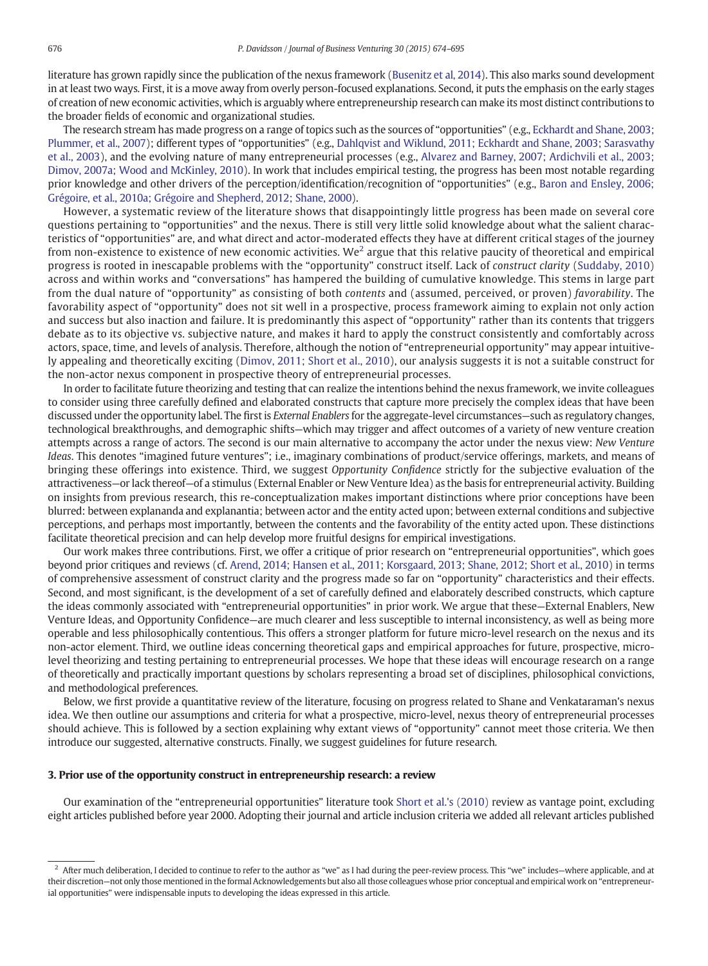<span id="page-2-0"></span>literature has grown rapidly since the publication of the nexus framework ([Busenitz et al, 2014\)](#page-17-0). This also marks sound development in at least two ways. First, it is a move away from overly person-focused explanations. Second, it puts the emphasis on the early stages of creation of new economic activities, which is arguably where entrepreneurship research can make its most distinct contributions to the broader fields of economic and organizational studies.

The research stream has made progress on a range of topics such as the sources of "opportunities" (e.g., [Eckhardt and Shane, 2003;](#page-17-0) [Plummer, et al., 2007](#page-17-0)); different types of "opportunities" (e.g., [Dahlqvist and Wiklund, 2011; Eckhardt and Shane, 2003; Sarasvathy](#page-17-0) [et al., 2003\)](#page-17-0), and the evolving nature of many entrepreneurial processes (e.g., [Alvarez and Barney, 2007; Ardichvili et al., 2003;](#page-16-0) [Dimov, 2007a; Wood and McKinley, 2010](#page-16-0)). In work that includes empirical testing, the progress has been most notable regarding prior knowledge and other drivers of the perception/identification/recognition of "opportunities" (e.g., [Baron and Ensley, 2006;](#page-16-0) [Grégoire, et al., 2010a; Grégoire and Shepherd, 2012; Shane, 2000](#page-16-0)).

However, a systematic review of the literature shows that disappointingly little progress has been made on several core questions pertaining to "opportunities" and the nexus. There is still very little solid knowledge about what the salient characteristics of "opportunities" are, and what direct and actor-moderated effects they have at different critical stages of the journey from non-existence to existence of new economic activities. We<sup>2</sup> argue that this relative paucity of theoretical and empirical progress is rooted in inescapable problems with the "opportunity" construct itself. Lack of construct clarity [\(Suddaby, 2010\)](#page-20-0) across and within works and "conversations" has hampered the building of cumulative knowledge. This stems in large part from the dual nature of "opportunity" as consisting of both contents and (assumed, perceived, or proven) favorability. The favorability aspect of "opportunity" does not sit well in a prospective, process framework aiming to explain not only action and success but also inaction and failure. It is predominantly this aspect of "opportunity" rather than its contents that triggers debate as to its objective vs. subjective nature, and makes it hard to apply the construct consistently and comfortably across actors, space, time, and levels of analysis. Therefore, although the notion of "entrepreneurial opportunity" may appear intuitively appealing and theoretically exciting ([Dimov, 2011; Short et al., 2010\)](#page-17-0), our analysis suggests it is not a suitable construct for the non-actor nexus component in prospective theory of entrepreneurial processes.

In order to facilitate future theorizing and testing that can realize the intentions behind the nexus framework, we invite colleagues to consider using three carefully defined and elaborated constructs that capture more precisely the complex ideas that have been discussed under the opportunity label. The first is External Enablers for the aggregate-level circumstances—such as regulatory changes, technological breakthroughs, and demographic shifts—which may trigger and affect outcomes of a variety of new venture creation attempts across a range of actors. The second is our main alternative to accompany the actor under the nexus view: New Venture Ideas. This denotes "imagined future ventures"; i.e., imaginary combinations of product/service offerings, markets, and means of bringing these offerings into existence. Third, we suggest Opportunity Confidence strictly for the subjective evaluation of the attractiveness—or lack thereof—of a stimulus (External Enabler or New Venture Idea) as the basis for entrepreneurial activity. Building on insights from previous research, this re-conceptualization makes important distinctions where prior conceptions have been blurred: between explananda and explanantia; between actor and the entity acted upon; between external conditions and subjective perceptions, and perhaps most importantly, between the contents and the favorability of the entity acted upon. These distinctions facilitate theoretical precision and can help develop more fruitful designs for empirical investigations.

Our work makes three contributions. First, we offer a critique of prior research on "entrepreneurial opportunities", which goes beyond prior critiques and reviews (cf. [Arend, 2014; Hansen et al., 2011; Korsgaard, 2013; Shane, 2012; Short et al., 2010\)](#page-16-0) in terms of comprehensive assessment of construct clarity and the progress made so far on "opportunity" characteristics and their effects. Second, and most significant, is the development of a set of carefully defined and elaborately described constructs, which capture the ideas commonly associated with "entrepreneurial opportunities" in prior work. We argue that these—External Enablers, New Venture Ideas, and Opportunity Confidence—are much clearer and less susceptible to internal inconsistency, as well as being more operable and less philosophically contentious. This offers a stronger platform for future micro-level research on the nexus and its non-actor element. Third, we outline ideas concerning theoretical gaps and empirical approaches for future, prospective, microlevel theorizing and testing pertaining to entrepreneurial processes. We hope that these ideas will encourage research on a range of theoretically and practically important questions by scholars representing a broad set of disciplines, philosophical convictions, and methodological preferences.

Below, we first provide a quantitative review of the literature, focusing on progress related to Shane and Venkataraman's nexus idea. We then outline our assumptions and criteria for what a prospective, micro-level, nexus theory of entrepreneurial processes should achieve. This is followed by a section explaining why extant views of "opportunity" cannot meet those criteria. We then introduce our suggested, alternative constructs. Finally, we suggest guidelines for future research.

#### 3. Prior use of the opportunity construct in entrepreneurship research: a review

Our examination of the "entrepreneurial opportunities" literature took [Short et al.'s \(2010\)](#page-20-0) review as vantage point, excluding eight articles published before year 2000. Adopting their journal and article inclusion criteria we added all relevant articles published

 $^2$  After much deliberation. I decided to continue to refer to the author as "we" as I had during the peer-review process. This "we" includes—where applicable, and at their discretion—not only those mentioned in the formal Acknowledgements but also all those colleagues whose prior conceptual and empirical work on "entrepreneurial opportunities" were indispensable inputs to developing the ideas expressed in this article.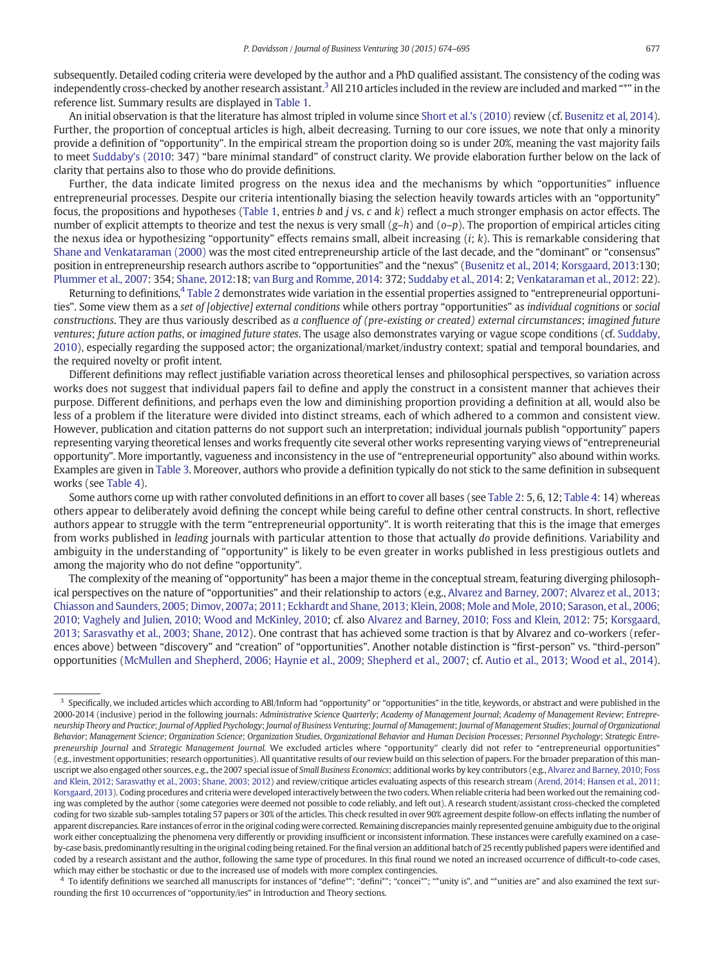subsequently. Detailed coding criteria were developed by the author and a PhD qualified assistant. The consistency of the coding was independently cross-checked by another research assistant.<sup>3</sup> All 210 articles included in the review are included and marked "\*" in the reference list. Summary results are displayed in [Table 1](#page-4-0).

An initial observation is that the literature has almost tripled in volume since [Short et al.'s \(2010\)](#page-20-0) review (cf. [Busenitz et al, 2014](#page-17-0)). Further, the proportion of conceptual articles is high, albeit decreasing. Turning to our core issues, we note that only a minority provide a definition of "opportunity". In the empirical stream the proportion doing so is under 20%, meaning the vast majority fails to meet [Suddaby's \(2010](#page-20-0): 347) "bare minimal standard" of construct clarity. We provide elaboration further below on the lack of clarity that pertains also to those who do provide definitions.

Further, the data indicate limited progress on the nexus idea and the mechanisms by which "opportunities" influence entrepreneurial processes. Despite our criteria intentionally biasing the selection heavily towards articles with an "opportunity" focus, the propositions and hypotheses [\(Table 1,](#page-4-0) entries b and j vs. c and k) reflect a much stronger emphasis on actor effects. The number of explicit attempts to theorize and test the nexus is very small  $(g-h)$  and  $(o-p)$ . The proportion of empirical articles citing the nexus idea or hypothesizing "opportunity" effects remains small, albeit increasing (i; k). This is remarkable considering that [Shane and Venkataraman \(2000\)](#page-20-0) was the most cited entrepreneurship article of the last decade, and the "dominant" or "consensus" position in entrepreneurship research authors ascribe to "opportunities" and the "nexus" ([Busenitz et al., 2014; Korsgaard, 2013:](#page-17-0)130; [Plummer et al., 2007:](#page-19-0) 354; [Shane, 2012:](#page-20-0)18; [van Burg and Romme, 2014:](#page-20-0) 372; [Suddaby et al., 2014](#page-20-0): 2; [Venkataraman et al., 2012:](#page-20-0) 22).

Returning to definitions.<sup>4</sup> [Table 2](#page-5-0) demonstrates wide variation in the essential properties assigned to "entrepreneurial opportunities". Some view them as a set of [objective] external conditions while others portray "opportunities" as individual cognitions or social constructions. They are thus variously described as a confluence of (pre-existing or created) external circumstances; imagined future ventures; future action paths, or imagined future states. The usage also demonstrates varying or vague scope conditions (cf. [Suddaby,](#page-20-0) [2010](#page-20-0)), especially regarding the supposed actor; the organizational/market/industry context; spatial and temporal boundaries, and the required novelty or profit intent.

Different definitions may reflect justifiable variation across theoretical lenses and philosophical perspectives, so variation across works does not suggest that individual papers fail to define and apply the construct in a consistent manner that achieves their purpose. Different definitions, and perhaps even the low and diminishing proportion providing a definition at all, would also be less of a problem if the literature were divided into distinct streams, each of which adhered to a common and consistent view. However, publication and citation patterns do not support such an interpretation; individual journals publish "opportunity" papers representing varying theoretical lenses and works frequently cite several other works representing varying views of "entrepreneurial opportunity". More importantly, vagueness and inconsistency in the use of "entrepreneurial opportunity" also abound within works. Examples are given in [Table 3](#page-6-0). Moreover, authors who provide a definition typically do not stick to the same definition in subsequent works (see [Table 4\)](#page-7-0).

Some authors come up with rather convoluted definitions in an effort to cover all bases (see [Table 2](#page-5-0): 5, 6, 12; [Table 4](#page-7-0): 14) whereas others appear to deliberately avoid defining the concept while being careful to define other central constructs. In short, reflective authors appear to struggle with the term "entrepreneurial opportunity". It is worth reiterating that this is the image that emerges from works published in leading journals with particular attention to those that actually do provide definitions. Variability and ambiguity in the understanding of "opportunity" is likely to be even greater in works published in less prestigious outlets and among the majority who do not define "opportunity".

The complexity of the meaning of "opportunity" has been a major theme in the conceptual stream, featuring diverging philosophical perspectives on the nature of "opportunities" and their relationship to actors (e.g., [Alvarez and Barney, 2007; Alvarez et al., 2013;](#page-16-0) [Chiasson and Saunders, 2005; Dimov, 2007a; 2011; Eckhardt and Shane, 2013; Klein, 2008; Mole and Mole, 2010; Sarason, et al., 2006;](#page-16-0) [2010; Vaghely and Julien, 2010; Wood and McKinley, 2010;](#page-16-0) cf. also [Alvarez and Barney, 2010; Foss and Klein, 2012](#page-16-0): 75; [Korsgaard,](#page-18-0) [2013; Sarasvathy et al., 2003; Shane, 2012\)](#page-18-0). One contrast that has achieved some traction is that by Alvarez and co-workers (references above) between "discovery" and "creation" of "opportunities". Another notable distinction is "first-person" vs. "third-person" opportunities ([McMullen and Shepherd, 2006; Haynie et al., 2009; Shepherd et al., 2007](#page-19-0); cf. [Autio et al., 2013; Wood et al., 2014](#page-16-0)).

<sup>3</sup> Specifically, we included articles which according to ABI/Inform had "opportunity" or "opportunities" in the title, keywords, or abstract and were published in the 2000-2014 (inclusive) period in the following journals: Administrative Science Quarterly; Academy of Management Journal; Academy of Management Review; Entrepreneurship Theory and Practice; Journal of Applied Psychology; Journal of Business Venturing; Journal of Management; Journal of Management Studies; Journal of Organizational Behavior; Management Science; Organization Science; Organization Studies, Organizational Behavior and Human Decision Processes; Personnel Psychology; Strategic Entrepreneurship Journal and Strategic Management Journal. We excluded articles where "opportunity" clearly did not refer to "entrepreneurial opportunities" (e.g., investment opportunities; research opportunities). All quantitative results of our review build on this selection of papers. For the broader preparation of this manuscript we also engaged other sources, e.g., the 2007 special issue of Small Business Economics; additional works by key contributors (e.g., [Alvarez and Barney, 2010; Foss](#page-16-0) [and Klein, 2012; Sarasvathy et al., 2003; Shane, 2003; 2012](#page-16-0)) and review/critique articles evaluating aspects of this research stream ([Arend, 2014; Hansen et al., 2011;](#page-16-0) [Korsgaard, 2013\)](#page-16-0). Coding procedures and criteria were developed interactively between the two coders. When reliable criteria had been worked out the remaining coding was completed by the author (some categories were deemed not possible to code reliably, and left out). A research student/assistant cross-checked the completed coding for two sizable sub-samples totaling 57 papers or 30% of the articles. This check resulted in over 90% agreement despite follow-on effects inflating the number of apparent discrepancies. Rare instances of error in the original coding were corrected. Remaining discrepancies mainly represented genuine ambiguity due to the original work either conceptualizing the phenomena very differently or providing insufficient or inconsistent information. These instances were carefully examined on a caseby-case basis, predominantly resulting in the original coding being retained. For the final version an additional batch of 25 recently published papers were identified and coded by a research assistant and the author, following the same type of procedures. In this final round we noted an increased occurrence of difficult-to-code cases, which may either be stochastic or due to the increased use of models with more complex contingencies.

<sup>4</sup> To identify definitions we searched all manuscripts for instances of "define\*"; "defini\*"; "concei\*"; "\*unity is", and "\*unities are" and also examined the text surrounding the first 10 occurrences of "opportunity/ies" in Introduction and Theory sections.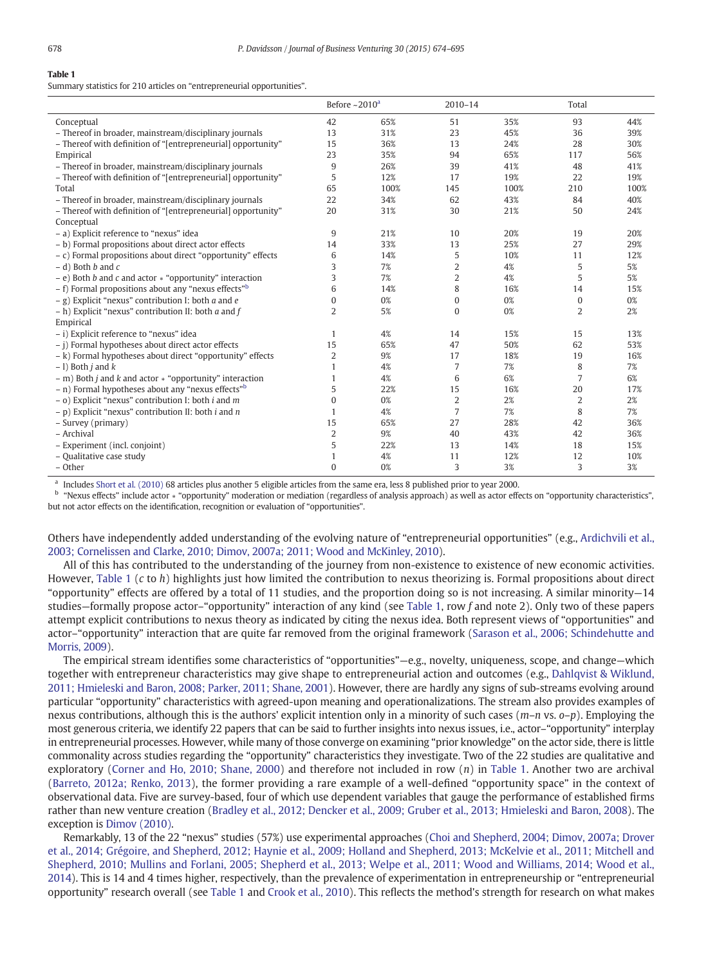<span id="page-4-0"></span>Summary statistics for 210 articles on "entrepreneurial opportunities".

|                                                                           | Before $\sim$ 2010 <sup>a</sup> |      | $2010 - 14$    |       | Total          |      |
|---------------------------------------------------------------------------|---------------------------------|------|----------------|-------|----------------|------|
| Conceptual                                                                | 42                              | 65%  | 51             | 35%   | 93             | 44%  |
| - Thereof in broader, mainstream/disciplinary journals                    | 13                              | 31%  | 23             | 45%   | 36             | 39%  |
| - Thereof with definition of "[entrepreneurial] opportunity"              | 15                              | 36%  | 13             | 24%   | 28             | 30%  |
| Empirical                                                                 | 23                              | 35%  | 94             | 65%   | 117            | 56%  |
| - Thereof in broader, mainstream/disciplinary journals                    | 9                               | 26%  | 39             | 41%   | 48             | 41%  |
| - Thereof with definition of "[entrepreneurial] opportunity"              | 5                               | 12%  | 17             | 19%   | 22             | 19%  |
| Total                                                                     | 65                              | 100% | 145            | 100%  | 210            | 100% |
| - Thereof in broader, mainstream/disciplinary journals                    | 22                              | 34%  | 62             | 43%   | 84             | 40%  |
| - Thereof with definition of "[entrepreneurial] opportunity"              | 20                              | 31%  | 30             | 21%   | 50             | 24%  |
| Conceptual                                                                |                                 |      |                |       |                |      |
| - a) Explicit reference to "nexus" idea                                   | 9                               | 21%  | 10             | 20%   | 19             | 20%  |
| - b) Formal propositions about direct actor effects                       | 14                              | 33%  | 13             | 25%   | 27             | 29%  |
| - c) Formal propositions about direct "opportunity" effects               | 6                               | 14%  | 5              | 10%   | 11             | 12%  |
| $- d$ ) Both <i>b</i> and <i>c</i>                                        | 3                               | 7%   | $\overline{2}$ | 4%    | 5              | 5%   |
| $-$ e) Both <i>b</i> and <i>c</i> and actor $*$ "opportunity" interaction | 3                               | 7%   | $\overline{2}$ | 4%    | 5              | 5%   |
| - f) Formal propositions about any "nexus effects"                        | 6                               | 14%  | 8              | 16%   | 14             | 15%  |
| $-$ g) Explicit "nexus" contribution I: both $a$ and $e$                  | $\Omega$                        | 0%   | $\bf{0}$       | $0\%$ | $\mathbf{0}$   | 0%   |
| $-$ h) Explicit "nexus" contribution II: both $a$ and $f$                 | 2                               | 5%   | $\mathbf{0}$   | 0%    | $\overline{2}$ | 2%   |
| Empirical                                                                 |                                 |      |                |       |                |      |
| - i) Explicit reference to "nexus" idea                                   | 1                               | 4%   | 14             | 15%   | 15             | 13%  |
| - i) Formal hypotheses about direct actor effects                         | 15                              | 65%  | 47             | 50%   | 62             | 53%  |
| - k) Formal hypotheses about direct "opportunity" effects                 | 2                               | 9%   | 17             | 18%   | 19             | 16%  |
| $-1$ ) Both <i>j</i> and <i>k</i>                                         | 1                               | 4%   | $\overline{7}$ | 7%    | 8              | 7%   |
| $-$ m) Both <i>j</i> and <i>k</i> and actor $*$ "opportunity" interaction |                                 | 4%   | 6              | 6%    | $\overline{7}$ | 6%   |
| $-$ n) Formal hypotheses about any "nexus effects"                        | 5                               | 22%  | 15             | 16%   | 20             | 17%  |
| $-$ o) Explicit "nexus" contribution I: both <i>i</i> and <i>m</i>        | $\Omega$                        | 0%   | $\overline{2}$ | 2%    | $\overline{2}$ | 2%   |
| $-$ p) Explicit "nexus" contribution II: both <i>i</i> and <i>n</i>       | 1                               | 4%   | $\overline{7}$ | 7%    | 8              | 7%   |
| - Survey (primary)                                                        | 15                              | 65%  | 27             | 28%   | 42             | 36%  |
| - Archival                                                                | $\overline{2}$                  | 9%   | 40             | 43%   | 42             | 36%  |
| - Experiment (incl. conjoint)                                             | 5                               | 22%  | 13             | 14%   | 18             | 15%  |
| - Qualitative case study                                                  | 1                               | 4%   | 11             | 12%   | 12             | 10%  |
| - Other                                                                   | $\Omega$                        | 0%   | 3              | 3%    | 3              | 3%   |

<sup>a</sup> Includes [Short et al. \(2010\)](#page-20-0) 68 articles plus another 5 eligible articles from the same era, less 8 published prior to year 2000.

<sup>b</sup> "Nexus effects" include actor ∗ "opportunity" moderation or mediation (regardless of analysis approach) as well as actor effects on "opportunity characteristics", but not actor effects on the identification, recognition or evaluation of "opportunities".

#### Others have independently added understanding of the evolving nature of "entrepreneurial opportunities" (e.g., [Ardichvili et al.,](#page-16-0) [2003; Cornelissen and Clarke, 2010; Dimov, 2007a; 2011; Wood and McKinley, 2010](#page-16-0)).

All of this has contributed to the understanding of the journey from non-existence to existence of new economic activities. However, Table 1 (c to h) highlights just how limited the contribution to nexus theorizing is. Formal propositions about direct "opportunity" effects are offered by a total of 11 studies, and the proportion doing so is not increasing. A similar minority—14 studies—formally propose actor–"opportunity" interaction of any kind (see Table 1, row f and note 2). Only two of these papers attempt explicit contributions to nexus theory as indicated by citing the nexus idea. Both represent views of "opportunities" and actor–"opportunity" interaction that are quite far removed from the original framework [\(Sarason et al., 2006; Schindehutte and](#page-19-0) [Morris, 2009](#page-19-0)).

The empirical stream identifies some characteristics of "opportunities"—e.g., novelty, uniqueness, scope, and change—which together with entrepreneur characteristics may give shape to entrepreneurial action and outcomes (e.g., [Dahlqvist & Wiklund,](#page-17-0) [2011; Hmieleski and Baron, 2008; Parker, 2011; Shane, 2001\)](#page-17-0). However, there are hardly any signs of sub-streams evolving around particular "opportunity" characteristics with agreed-upon meaning and operationalizations. The stream also provides examples of nexus contributions, although this is the authors' explicit intention only in a minority of such cases  $(m-n \, vs. \, o-p)$ . Employing the most generous criteria, we identify 22 papers that can be said to further insights into nexus issues, i.e., actor–"opportunity" interplay in entrepreneurial processes. However, while many of those converge on examining "prior knowledge" on the actor side, there is little commonality across studies regarding the "opportunity" characteristics they investigate. Two of the 22 studies are qualitative and exploratory [\(Corner and Ho, 2010; Shane, 2000](#page-17-0)) and therefore not included in row (n) in Table 1. Another two are archival [\(Barreto, 2012a; Renko, 2013\)](#page-16-0), the former providing a rare example of a well-defined "opportunity space" in the context of observational data. Five are survey-based, four of which use dependent variables that gauge the performance of established firms rather than new venture creation [\(Bradley et al., 2012; Dencker et al., 2009; Gruber et al., 2013; Hmieleski and Baron, 2008](#page-17-0)). The exception is [Dimov \(2010\).](#page-17-0)

Remarkably, 13 of the 22 "nexus" studies (57%) use experimental approaches [\(Choi and Shepherd, 2004; Dimov, 2007a; Drover](#page-17-0) [et al., 2014; Grégoire, and Shepherd, 2012; Haynie et al., 2009; Holland and Shepherd, 2013; McKelvie et al., 2011; Mitchell and](#page-17-0) [Shepherd, 2010; Mullins and Forlani, 2005; Shepherd et al., 2013; Welpe et al., 2011; Wood and Williams, 2014; Wood et al.,](#page-17-0) [2014\)](#page-17-0). This is 14 and 4 times higher, respectively, than the prevalence of experimentation in entrepreneurship or "entrepreneurial opportunity" research overall (see Table 1 and [Crook et al., 2010](#page-17-0)). This reflects the method's strength for research on what makes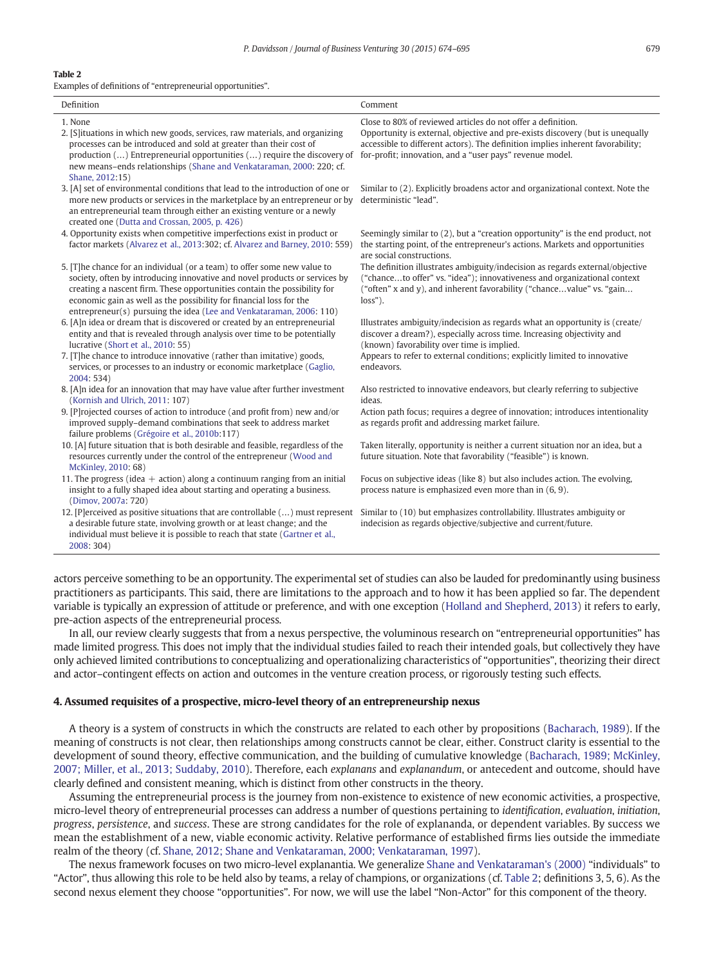<span id="page-5-0"></span>Examples of definitions of "entrepreneurial opportunities".

| Definition                                                                                                                                                                                                                                                                                                                                                                        | Comment                                                                                                                                                                                                                                                                                     |
|-----------------------------------------------------------------------------------------------------------------------------------------------------------------------------------------------------------------------------------------------------------------------------------------------------------------------------------------------------------------------------------|---------------------------------------------------------------------------------------------------------------------------------------------------------------------------------------------------------------------------------------------------------------------------------------------|
| 1. None<br>2. [S] ituations in which new goods, services, raw materials, and organizing<br>processes can be introduced and sold at greater than their cost of<br>production () Entrepreneurial opportunities () require the discovery of<br>new means-ends relationships (Shane and Venkataraman, 2000; 220; cf.<br>Shane, 2012:15)                                               | Close to 80% of reviewed articles do not offer a definition.<br>Opportunity is external, objective and pre-exists discovery (but is unequally<br>accessible to different actors). The definition implies inherent favorability;<br>for-profit; innovation, and a "user pays" revenue model. |
| 3. [A] set of environmental conditions that lead to the introduction of one or<br>more new products or services in the marketplace by an entrepreneur or by<br>an entrepreneurial team through either an existing venture or a newly<br>created one (Dutta and Crossan, 2005, p. 426)                                                                                             | Similar to (2). Explicitly broadens actor and organizational context. Note the<br>deterministic "lead".                                                                                                                                                                                     |
| 4. Opportunity exists when competitive imperfections exist in product or<br>factor markets (Alvarez et al., 2013:302; cf. Alvarez and Barney, 2010: 559)                                                                                                                                                                                                                          | Seemingly similar to (2), but a "creation opportunity" is the end product, not<br>the starting point, of the entrepreneur's actions. Markets and opportunities<br>are social constructions.                                                                                                 |
| 5. [T] he chance for an individual (or a team) to offer some new value to<br>society, often by introducing innovative and novel products or services by<br>creating a nascent firm. These opportunities contain the possibility for<br>economic gain as well as the possibility for financial loss for the<br>entrepreneur(s) pursuing the idea (Lee and Venkataraman, 2006: 110) | The definition illustrates ambiguity/indecision as regards external/objective<br>("chanceto offer" vs. "idea"); innovativeness and organizational context<br>("often" x and y), and inherent favorability ("chancevalue" vs. "gain<br>$loss$ ").                                            |
| 6. [A]n idea or dream that is discovered or created by an entrepreneurial<br>entity and that is revealed through analysis over time to be potentially<br>lucrative (Short et al., 2010: 55)<br>7. [T]he chance to introduce innovative (rather than imitative) goods,                                                                                                             | Illustrates ambiguity/indecision as regards what an opportunity is (create/<br>discover a dream?), especially across time. Increasing objectivity and<br>(known) favorability over time is implied.<br>Appears to refer to external conditions; explicitly limited to innovative            |
| services, or processes to an industry or economic marketplace (Gaglio,<br>2004: 534)                                                                                                                                                                                                                                                                                              | endeavors.                                                                                                                                                                                                                                                                                  |
| 8. [A]n idea for an innovation that may have value after further investment<br>(Kornish and Ulrich, 2011: 107)                                                                                                                                                                                                                                                                    | Also restricted to innovative endeavors, but clearly referring to subjective<br>ideas.                                                                                                                                                                                                      |
| 9. [P]rojected courses of action to introduce (and profit from) new and/or<br>improved supply-demand combinations that seek to address market<br>failure problems (Grégoire et al., 2010b;117)                                                                                                                                                                                    | Action path focus; requires a degree of innovation; introduces intentionality<br>as regards profit and addressing market failure.                                                                                                                                                           |
| 10. [A] future situation that is both desirable and feasible, regardless of the<br>resources currently under the control of the entrepreneur (Wood and<br>McKinley, 2010: 68)                                                                                                                                                                                                     | Taken literally, opportunity is neither a current situation nor an idea, but a<br>future situation. Note that favorability ("feasible") is known.                                                                                                                                           |
| 11. The progress (idea $+$ action) along a continuum ranging from an initial<br>insight to a fully shaped idea about starting and operating a business.<br>(Dimov, 2007a: 720)                                                                                                                                                                                                    | Focus on subjective ideas (like 8) but also includes action. The evolving,<br>process nature is emphasized even more than in (6, 9).                                                                                                                                                        |
| 12. [P]erceived as positive situations that are controllable () must represent<br>a desirable future state, involving growth or at least change; and the<br>individual must believe it is possible to reach that state (Gartner et al.,<br>2008: 304)                                                                                                                             | Similar to (10) but emphasizes controllability. Illustrates ambiguity or<br>indecision as regards objective/subjective and current/future.                                                                                                                                                  |

actors perceive something to be an opportunity. The experimental set of studies can also be lauded for predominantly using business practitioners as participants. This said, there are limitations to the approach and to how it has been applied so far. The dependent variable is typically an expression of attitude or preference, and with one exception ([Holland and Shepherd, 2013\)](#page-18-0) it refers to early, pre-action aspects of the entrepreneurial process.

In all, our review clearly suggests that from a nexus perspective, the voluminous research on "entrepreneurial opportunities" has made limited progress. This does not imply that the individual studies failed to reach their intended goals, but collectively they have only achieved limited contributions to conceptualizing and operationalizing characteristics of "opportunities", theorizing their direct and actor–contingent effects on action and outcomes in the venture creation process, or rigorously testing such effects.

#### 4. Assumed requisites of a prospective, micro-level theory of an entrepreneurship nexus

A theory is a system of constructs in which the constructs are related to each other by propositions [\(Bacharach, 1989\)](#page-16-0). If the meaning of constructs is not clear, then relationships among constructs cannot be clear, either. Construct clarity is essential to the development of sound theory, effective communication, and the building of cumulative knowledge [\(Bacharach, 1989; McKinley,](#page-16-0) [2007; Miller, et al., 2013; Suddaby, 2010\)](#page-16-0). Therefore, each explanans and explanandum, or antecedent and outcome, should have clearly defined and consistent meaning, which is distinct from other constructs in the theory.

Assuming the entrepreneurial process is the journey from non-existence to existence of new economic activities, a prospective, micro-level theory of entrepreneurial processes can address a number of questions pertaining to identification, evaluation, initiation, progress, persistence, and success. These are strong candidates for the role of explananda, or dependent variables. By success we mean the establishment of a new, viable economic activity. Relative performance of established firms lies outside the immediate realm of the theory (cf. [Shane, 2012; Shane and Venkataraman, 2000; Venkataraman, 1997](#page-20-0)).

The nexus framework focuses on two micro-level explanantia. We generalize [Shane and Venkataraman's \(2000\)](#page-20-0) "individuals" to "Actor", thus allowing this role to be held also by teams, a relay of champions, or organizations (cf. Table 2; definitions 3, 5, 6). As the second nexus element they choose "opportunities". For now, we will use the label "Non-Actor" for this component of the theory.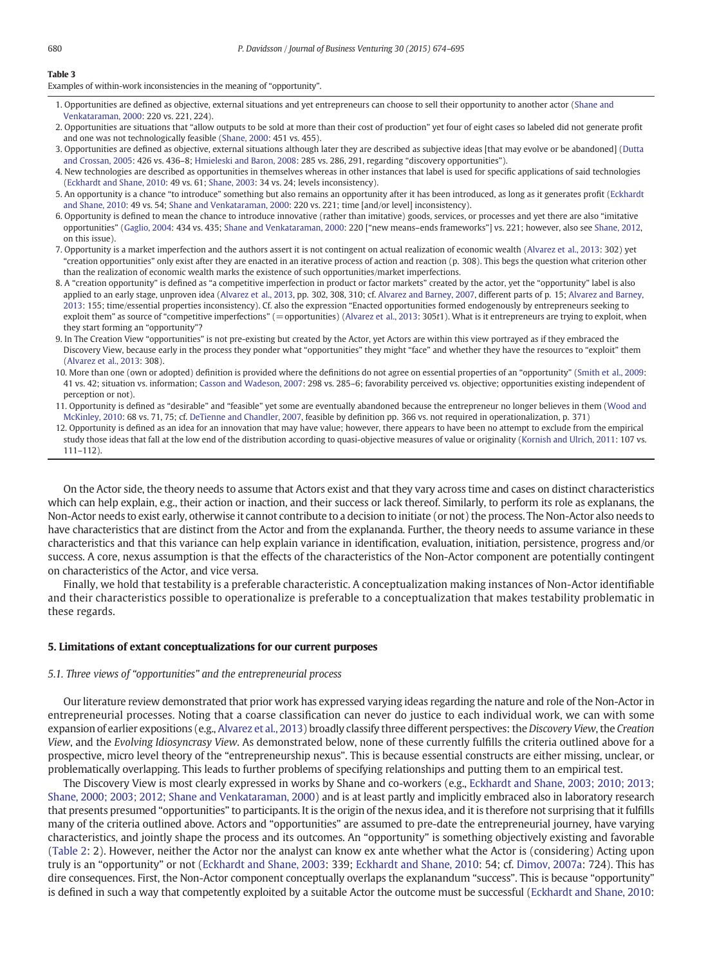<span id="page-6-0"></span>Examples of within-work inconsistencies in the meaning of "opportunity".

- 1. Opportunities are defined as objective, external situations and yet entrepreneurs can choose to sell their opportunity to another actor ([Shane and](#page-20-0) [Venkataraman, 2000](#page-20-0): 220 vs. 221, 224).
- 2. Opportunities are situations that "allow outputs to be sold at more than their cost of production" yet four of eight cases so labeled did not generate profit and one was not technologically feasible ([Shane, 2000](#page-20-0): 451 vs. 455).
- 3. Opportunities are defined as objective, external situations although later they are described as subjective ideas [that may evolve or be abandoned] ([Dutta](#page-17-0) [and Crossan, 2005:](#page-17-0) 426 vs. 436–8; [Hmieleski and Baron, 2008:](#page-18-0) 285 vs. 286, 291, regarding "discovery opportunities").
- 4. New technologies are described as opportunities in themselves whereas in other instances that label is used for specific applications of said technologies ([Eckhardt and Shane, 2010](#page-17-0): 49 vs. 61; [Shane, 2003:](#page-20-0) 34 vs. 24; levels inconsistency).
- 5. An opportunity is a chance "to introduce" something but also remains an opportunity after it has been introduced, as long as it generates profit [\(Eckhardt](#page-17-0) [and Shane, 2010:](#page-17-0) 49 vs. 54; [Shane and Venkataraman, 2000](#page-20-0): 220 vs. 221; time [and/or level] inconsistency).
- 6. Opportunity is defined to mean the chance to introduce innovative (rather than imitative) goods, services, or processes and yet there are also "imitative opportunities" ([Gaglio, 2004:](#page-18-0) 434 vs. 435; [Shane and Venkataraman, 2000](#page-20-0): 220 ["new means–ends frameworks"] vs. 221; however, also see [Shane, 2012](#page-20-0), on this issue).
- 7. Opportunity is a market imperfection and the authors assert it is not contingent on actual realization of economic wealth [\(Alvarez et al., 2013](#page-16-0): 302) yet "creation opportunities" only exist after they are enacted in an iterative process of action and reaction (p. 308). This begs the question what criterion other than the realization of economic wealth marks the existence of such opportunities/market imperfections.
- 8. A "creation opportunity" is defined as "a competitive imperfection in product or factor markets" created by the actor, yet the "opportunity" label is also applied to an early stage, unproven idea ([Alvarez et al., 2013](#page-16-0), pp. 302, 308, 310; cf. [Alvarez and Barney, 2007,](#page-16-0) different parts of p. 15; [Alvarez and Barney,](#page-16-0) [2013](#page-16-0): 155; time/essential properties inconsistency). Cf. also the expression "Enacted opportunities formed endogenously by entrepreneurs seeking to exploit them" as source of "competitive imperfections" (=opportunities) ([Alvarez et al., 2013](#page-16-0): 305t1). What is it entrepreneurs are trying to exploit, when they start forming an "opportunity"?
- 9. In The Creation View "opportunities" is not pre-existing but created by the Actor, yet Actors are within this view portrayed as if they embraced the Discovery View, because early in the process they ponder what "opportunities" they might "face" and whether they have the resources to "exploit" them  $(Alyarer et al. 2013: 308)$ .
- 10. More than one (own or adopted) definition is provided where the definitions do not agree on essential properties of an "opportunity" [\(Smith et al., 2009:](#page-20-0) 41 vs. 42; situation vs. information; [Casson and Wadeson, 2007:](#page-17-0) 298 vs. 285–6; favorability perceived vs. objective; opportunities existing independent of perception or not).
- 11. Opportunity is defined as "desirable" and "feasible" yet some are eventually abandoned because the entrepreneur no longer believes in them ([Wood and](#page-20-0) [McKinley, 2010:](#page-20-0) 68 vs. 71, 75; cf. [DeTienne and Chandler, 2007,](#page-17-0) feasible by definition pp. 366 vs. not required in operationalization, p. 371)
- 12. Opportunity is defined as an idea for an innovation that may have value; however, there appears to have been no attempt to exclude from the empirical study those ideas that fall at the low end of the distribution according to quasi-objective measures of value or originality [\(Kornish and Ulrich, 2011](#page-18-0): 107 vs. 111–112).

On the Actor side, the theory needs to assume that Actors exist and that they vary across time and cases on distinct characteristics which can help explain, e.g., their action or inaction, and their success or lack thereof. Similarly, to perform its role as explanans, the Non-Actor needs to exist early, otherwise it cannot contribute to a decision to initiate (or not) the process. The Non-Actor also needs to have characteristics that are distinct from the Actor and from the explananda. Further, the theory needs to assume variance in these characteristics and that this variance can help explain variance in identification, evaluation, initiation, persistence, progress and/or success. A core, nexus assumption is that the effects of the characteristics of the Non-Actor component are potentially contingent on characteristics of the Actor, and vice versa.

Finally, we hold that testability is a preferable characteristic. A conceptualization making instances of Non-Actor identifiable and their characteristics possible to operationalize is preferable to a conceptualization that makes testability problematic in these regards.

#### 5. Limitations of extant conceptualizations for our current purposes

#### 5.1. Three views of "opportunities" and the entrepreneurial process

Our literature review demonstrated that prior work has expressed varying ideas regarding the nature and role of the Non-Actor in entrepreneurial processes. Noting that a coarse classification can never do justice to each individual work, we can with some expansion of earlier expositions (e.g., [Alvarez et al., 2013\)](#page-16-0) broadly classify three different perspectives: the Discovery View, the Creation View, and the Evolving Idiosyncrasy View. As demonstrated below, none of these currently fulfills the criteria outlined above for a prospective, micro level theory of the "entrepreneurship nexus". This is because essential constructs are either missing, unclear, or problematically overlapping. This leads to further problems of specifying relationships and putting them to an empirical test.

The Discovery View is most clearly expressed in works by Shane and co-workers (e.g., [Eckhardt and Shane, 2003; 2010; 2013;](#page-17-0) [Shane, 2000; 2003; 2012; Shane and Venkataraman, 2000](#page-17-0)) and is at least partly and implicitly embraced also in laboratory research that presents presumed "opportunities" to participants. It is the origin of the nexus idea, and it is therefore not surprising that it fulfills many of the criteria outlined above. Actors and "opportunities" are assumed to pre-date the entrepreneurial journey, have varying characteristics, and jointly shape the process and its outcomes. An "opportunity" is something objectively existing and favorable [\(Table 2:](#page-5-0) 2). However, neither the Actor nor the analyst can know ex ante whether what the Actor is (considering) Acting upon truly is an "opportunity" or not ([Eckhardt and Shane, 2003](#page-17-0): 339; [Eckhardt and Shane, 2010:](#page-17-0) 54; cf. [Dimov, 2007a](#page-17-0): 724). This has dire consequences. First, the Non-Actor component conceptually overlaps the explanandum "success". This is because "opportunity" is defined in such a way that competently exploited by a suitable Actor the outcome must be successful [\(Eckhardt and Shane, 2010](#page-17-0):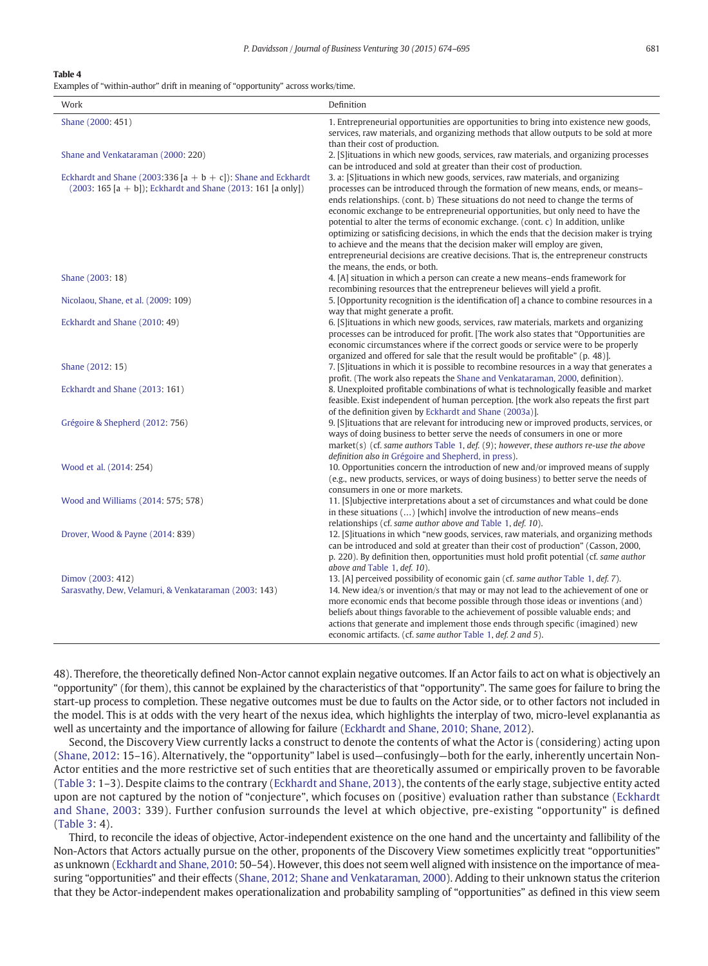<span id="page-7-0"></span>Examples of "within-author" drift in meaning of "opportunity" across works/time.

| Work                                                                                                                               | Definition                                                                                                                                                                                                                                                                                                                                                                                                                                                                                                                                                                                                                                                                                                                        |
|------------------------------------------------------------------------------------------------------------------------------------|-----------------------------------------------------------------------------------------------------------------------------------------------------------------------------------------------------------------------------------------------------------------------------------------------------------------------------------------------------------------------------------------------------------------------------------------------------------------------------------------------------------------------------------------------------------------------------------------------------------------------------------------------------------------------------------------------------------------------------------|
| Shane (2000: 451)                                                                                                                  | 1. Entrepreneurial opportunities are opportunities to bring into existence new goods,<br>services, raw materials, and organizing methods that allow outputs to be sold at more<br>than their cost of production.                                                                                                                                                                                                                                                                                                                                                                                                                                                                                                                  |
| Shane and Venkataraman (2000: 220)                                                                                                 | 2. [S] ituations in which new goods, services, raw materials, and organizing processes<br>can be introduced and sold at greater than their cost of production.                                                                                                                                                                                                                                                                                                                                                                                                                                                                                                                                                                    |
| Eckhardt and Shane (2003:336 [a + b + c]): Shane and Eckhardt<br>$(2003: 165 [a + b])$ ; Eckhardt and Shane $(2013: 161 [a only])$ | 3. a: [S] ituations in which new goods, services, raw materials, and organizing<br>processes can be introduced through the formation of new means, ends, or means-<br>ends relationships. (cont. b) These situations do not need to change the terms of<br>economic exchange to be entrepreneurial opportunities, but only need to have the<br>potential to alter the terms of economic exchange. (cont. c) In addition, unlike<br>optimizing or satisficing decisions, in which the ends that the decision maker is trying<br>to achieve and the means that the decision maker will employ are given,<br>entrepreneurial decisions are creative decisions. That is, the entrepreneur constructs<br>the means, the ends, or both. |
| Shane (2003: 18)                                                                                                                   | 4. [A] situation in which a person can create a new means-ends framework for<br>recombining resources that the entrepreneur believes will yield a profit.                                                                                                                                                                                                                                                                                                                                                                                                                                                                                                                                                                         |
| Nicolaou, Shane, et al. (2009: 109)                                                                                                | 5. [Opportunity recognition is the identification of] a chance to combine resources in a<br>way that might generate a profit.                                                                                                                                                                                                                                                                                                                                                                                                                                                                                                                                                                                                     |
| Eckhardt and Shane (2010: 49)                                                                                                      | 6. [S] ituations in which new goods, services, raw materials, markets and organizing<br>processes can be introduced for profit. [The work also states that "Opportunities are<br>economic circumstances where if the correct goods or service were to be properly<br>organized and offered for sale that the result would be profitable" (p. 48).                                                                                                                                                                                                                                                                                                                                                                                 |
| Shane (2012: 15)                                                                                                                   | 7. [S]ituations in which it is possible to recombine resources in a way that generates a<br>profit. (The work also repeats the Shane and Venkataraman, 2000, definition).                                                                                                                                                                                                                                                                                                                                                                                                                                                                                                                                                         |
| Eckhardt and Shane (2013: 161)                                                                                                     | 8. Unexploited profitable combinations of what is technologically feasible and market<br>feasible. Exist independent of human perception. [the work also repeats the first part<br>of the definition given by Eckhardt and Shane (2003a)].                                                                                                                                                                                                                                                                                                                                                                                                                                                                                        |
| Grégoire & Shepherd (2012: 756)                                                                                                    | 9. [S] ituations that are relevant for introducing new or improved products, services, or<br>ways of doing business to better serve the needs of consumers in one or more<br>market(s) (cf. same authors Table 1, def. $(9)$ ; however, these authors re-use the above<br>definition also in Grégoire and Shepherd, in press).                                                                                                                                                                                                                                                                                                                                                                                                    |
| Wood et al. (2014: 254)                                                                                                            | 10. Opportunities concern the introduction of new and/or improved means of supply<br>(e.g., new products, services, or ways of doing business) to better serve the needs of<br>consumers in one or more markets.                                                                                                                                                                                                                                                                                                                                                                                                                                                                                                                  |
| Wood and Williams (2014: 575; 578)                                                                                                 | 11. [S] ubjective interpretations about a set of circumstances and what could be done<br>in these situations $()$ [which] involve the introduction of new means-ends<br>relationships (cf. same author above and Table 1, def. 10).                                                                                                                                                                                                                                                                                                                                                                                                                                                                                               |
| Drover, Wood & Payne (2014: 839)                                                                                                   | 12. [S]ituations in which "new goods, services, raw materials, and organizing methods<br>can be introduced and sold at greater than their cost of production" (Casson, 2000,<br>p. 220). By definition then, opportunities must hold profit potential (cf. same author<br>above and Table 1, def. 10).                                                                                                                                                                                                                                                                                                                                                                                                                            |
| Dimov (2003: 412)<br>Sarasvathy, Dew, Velamuri, & Venkataraman (2003: 143)                                                         | 13. [A] perceived possibility of economic gain (cf. same author Table 1, def. 7).<br>14. New idea/s or invention/s that may or may not lead to the achievement of one or<br>more economic ends that become possible through those ideas or inventions (and)<br>beliefs about things favorable to the achievement of possible valuable ends; and<br>actions that generate and implement those ends through specific (imagined) new<br>economic artifacts. (cf. same author Table 1, def. 2 and 5).                                                                                                                                                                                                                                 |

48). Therefore, the theoretically defined Non-Actor cannot explain negative outcomes. If an Actor fails to act on what is objectively an "opportunity" (for them), this cannot be explained by the characteristics of that "opportunity". The same goes for failure to bring the start-up process to completion. These negative outcomes must be due to faults on the Actor side, or to other factors not included in the model. This is at odds with the very heart of the nexus idea, which highlights the interplay of two, micro-level explanantia as well as uncertainty and the importance of allowing for failure [\(Eckhardt and Shane, 2010; Shane, 2012](#page-17-0)).

Second, the Discovery View currently lacks a construct to denote the contents of what the Actor is (considering) acting upon ([Shane, 2012:](#page-20-0) 15–16). Alternatively, the "opportunity" label is used—confusingly—both for the early, inherently uncertain Non-Actor entities and the more restrictive set of such entities that are theoretically assumed or empirically proven to be favorable ([Table 3](#page-6-0): 1–3). Despite claims to the contrary ([Eckhardt and Shane, 2013](#page-17-0)), the contents of the early stage, subjective entity acted upon are not captured by the notion of "conjecture", which focuses on (positive) evaluation rather than substance [\(Eckhardt](#page-17-0) [and Shane, 2003:](#page-17-0) 339). Further confusion surrounds the level at which objective, pre-existing "opportunity" is defined ([Table 3:](#page-6-0) 4).

Third, to reconcile the ideas of objective, Actor-independent existence on the one hand and the uncertainty and fallibility of the Non-Actors that Actors actually pursue on the other, proponents of the Discovery View sometimes explicitly treat "opportunities" as unknown [\(Eckhardt and Shane, 2010:](#page-17-0) 50–54). However, this does not seem well aligned with insistence on the importance of measuring "opportunities" and their effects ([Shane, 2012; Shane and Venkataraman, 2000\)](#page-20-0). Adding to their unknown status the criterion that they be Actor-independent makes operationalization and probability sampling of "opportunities" as defined in this view seem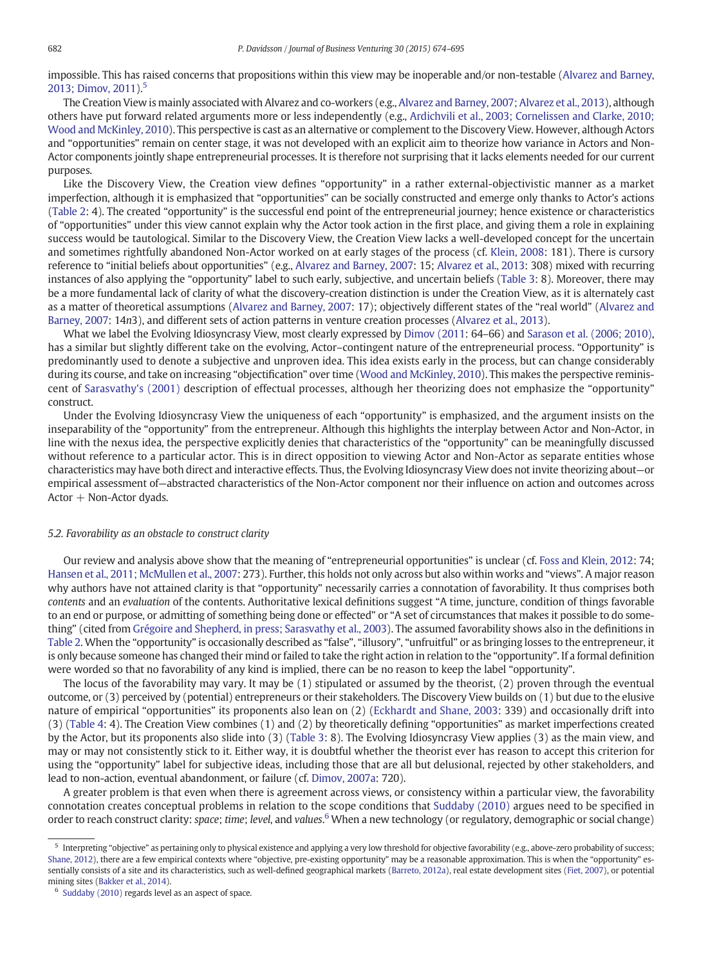impossible. This has raised concerns that propositions within this view may be inoperable and/or non-testable ([Alvarez and Barney,](#page-16-0) [2013; Dimov, 2011\)](#page-16-0).<sup>5</sup>

The Creation View is mainly associated with Alvarez and co-workers (e.g., [Alvarez and Barney, 2007; Alvarez et al., 2013\)](#page-16-0), although others have put forward related arguments more or less independently (e.g., [Ardichvili et al., 2003; Cornelissen and Clarke, 2010;](#page-16-0) [Wood and McKinley, 2010](#page-16-0)). This perspective is cast as an alternative or complement to the Discovery View. However, although Actors and "opportunities" remain on center stage, it was not developed with an explicit aim to theorize how variance in Actors and Non-Actor components jointly shape entrepreneurial processes. It is therefore not surprising that it lacks elements needed for our current purposes.

Like the Discovery View, the Creation view defines "opportunity" in a rather external-objectivistic manner as a market imperfection, although it is emphasized that "opportunities" can be socially constructed and emerge only thanks to Actor's actions [\(Table 2:](#page-5-0) 4). The created "opportunity" is the successful end point of the entrepreneurial journey; hence existence or characteristics of "opportunities" under this view cannot explain why the Actor took action in the first place, and giving them a role in explaining success would be tautological. Similar to the Discovery View, the Creation View lacks a well-developed concept for the uncertain and sometimes rightfully abandoned Non-Actor worked on at early stages of the process (cf. [Klein, 2008](#page-18-0): 181). There is cursory reference to "initial beliefs about opportunities" (e.g., [Alvarez and Barney, 2007:](#page-16-0) 15; [Alvarez et al., 2013](#page-16-0): 308) mixed with recurring instances of also applying the "opportunity" label to such early, subjective, and uncertain beliefs [\(Table 3](#page-6-0): 8). Moreover, there may be a more fundamental lack of clarity of what the discovery-creation distinction is under the Creation View, as it is alternately cast as a matter of theoretical assumptions [\(Alvarez and Barney, 2007](#page-16-0): 17); objectively different states of the "real world" ([Alvarez and](#page-16-0) [Barney, 2007](#page-16-0): 14n3), and different sets of action patterns in venture creation processes ([Alvarez et al., 2013\)](#page-16-0).

What we label the Evolving Idiosyncrasy View, most clearly expressed by [Dimov \(2011:](#page-17-0) 64–66) and [Sarason et al. \(2006; 2010\)](#page-19-0), has a similar but slightly different take on the evolving, Actor–contingent nature of the entrepreneurial process. "Opportunity" is predominantly used to denote a subjective and unproven idea. This idea exists early in the process, but can change considerably during its course, and take on increasing "objectification" over time ([Wood and McKinley, 2010\)](#page-20-0). This makes the perspective reminiscent of [Sarasvathy's \(2001\)](#page-19-0) description of effectual processes, although her theorizing does not emphasize the "opportunity" construct.

Under the Evolving Idiosyncrasy View the uniqueness of each "opportunity" is emphasized, and the argument insists on the inseparability of the "opportunity" from the entrepreneur. Although this highlights the interplay between Actor and Non-Actor, in line with the nexus idea, the perspective explicitly denies that characteristics of the "opportunity" can be meaningfully discussed without reference to a particular actor. This is in direct opposition to viewing Actor and Non-Actor as separate entities whose characteristics may have both direct and interactive effects. Thus, the Evolving Idiosyncrasy View does not invite theorizing about—or empirical assessment of—abstracted characteristics of the Non-Actor component nor their influence on action and outcomes across  $Actor + Non-Actor dyads.$ 

#### 5.2. Favorability as an obstacle to construct clarity

Our review and analysis above show that the meaning of "entrepreneurial opportunities" is unclear (cf. [Foss and Klein, 2012:](#page-18-0) 74; [Hansen et al., 2011; McMullen et al., 2007](#page-18-0): 273). Further, this holds not only across but also within works and "views". A major reason why authors have not attained clarity is that "opportunity" necessarily carries a connotation of favorability. It thus comprises both contents and an evaluation of the contents. Authoritative lexical definitions suggest "A time, juncture, condition of things favorable to an end or purpose, or admitting of something being done or effected" or "A set of circumstances that makes it possible to do something" (cited from [Grégoire and Shepherd, in press; Sarasvathy et al., 2003](#page-18-0)). The assumed favorability shows also in the definitions in [Table 2.](#page-5-0) When the "opportunity" is occasionally described as "false", "illusory", "unfruitful" or as bringing losses to the entrepreneur, it is only because someone has changed their mind or failed to take the right action in relation to the "opportunity". If a formal definition were worded so that no favorability of any kind is implied, there can be no reason to keep the label "opportunity".

The locus of the favorability may vary. It may be (1) stipulated or assumed by the theorist, (2) proven through the eventual outcome, or (3) perceived by (potential) entrepreneurs or their stakeholders. The Discovery View builds on (1) but due to the elusive nature of empirical "opportunities" its proponents also lean on (2) [\(Eckhardt and Shane, 2003:](#page-17-0) 339) and occasionally drift into (3) ([Table 4](#page-7-0): 4). The Creation View combines (1) and (2) by theoretically defining "opportunities" as market imperfections created by the Actor, but its proponents also slide into (3) [\(Table 3](#page-6-0): 8). The Evolving Idiosyncrasy View applies (3) as the main view, and may or may not consistently stick to it. Either way, it is doubtful whether the theorist ever has reason to accept this criterion for using the "opportunity" label for subjective ideas, including those that are all but delusional, rejected by other stakeholders, and lead to non-action, eventual abandonment, or failure (cf. [Dimov, 2007a:](#page-17-0) 720).

A greater problem is that even when there is agreement across views, or consistency within a particular view, the favorability connotation creates conceptual problems in relation to the scope conditions that [Suddaby \(2010\)](#page-20-0) argues need to be specified in order to reach construct clarity: space; time; level, and values.<sup>6</sup> When a new technology (or regulatory, demographic or social change)

 $5$  Interpreting "objective" as pertaining only to physical existence and applying a very low threshold for objective favorability (e.g., above-zero probability of success; [Shane, 2012](#page-20-0)), there are a few empirical contexts where "objective, pre-existing opportunity" may be a reasonable approximation. This is when the "opportunity" essentially consists of a site and its characteristics, such as well-defined geographical markets [\(Barreto, 2012a\)](#page-16-0), real estate development sites [\(Fiet, 2007\)](#page-17-0), or potential mining sites ([Bakker et al., 2014\)](#page-16-0).

<sup>6</sup> [Suddaby \(2010\)](#page-20-0) regards level as an aspect of space.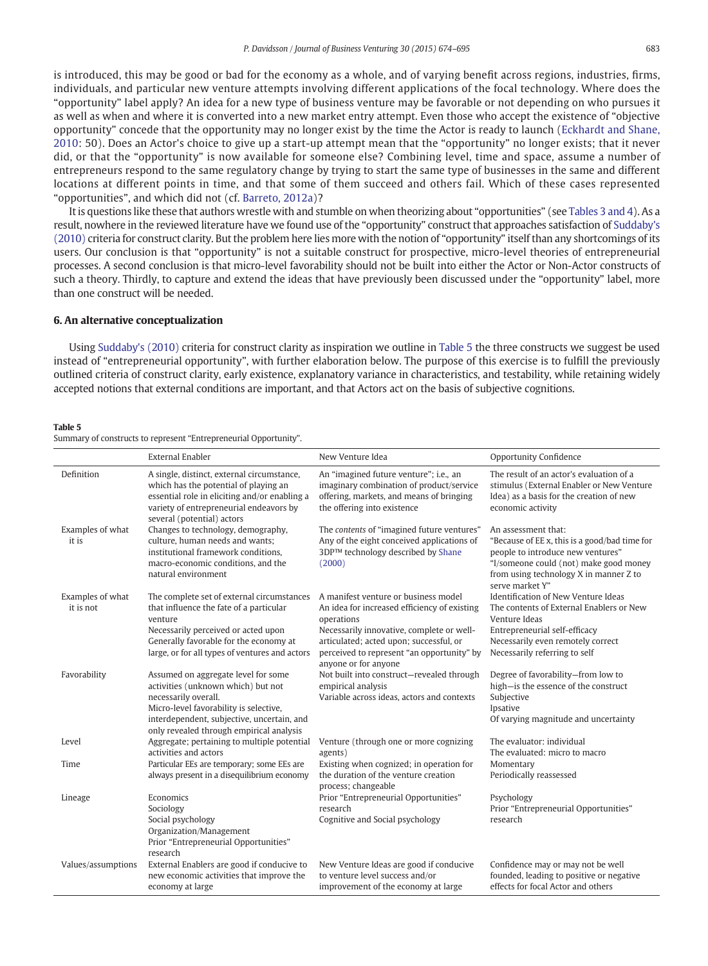<span id="page-9-0"></span>is introduced, this may be good or bad for the economy as a whole, and of varying benefit across regions, industries, firms, individuals, and particular new venture attempts involving different applications of the focal technology. Where does the "opportunity" label apply? An idea for a new type of business venture may be favorable or not depending on who pursues it as well as when and where it is converted into a new market entry attempt. Even those who accept the existence of "objective opportunity" concede that the opportunity may no longer exist by the time the Actor is ready to launch ([Eckhardt and Shane,](#page-17-0) [2010](#page-17-0): 50). Does an Actor's choice to give up a start-up attempt mean that the "opportunity" no longer exists; that it never did, or that the "opportunity" is now available for someone else? Combining level, time and space, assume a number of entrepreneurs respond to the same regulatory change by trying to start the same type of businesses in the same and different locations at different points in time, and that some of them succeed and others fail. Which of these cases represented "opportunities", and which did not (cf. [Barreto, 2012a\)](#page-16-0)?

It is questions like these that authors wrestle with and stumble on when theorizing about "opportunities" (see [Tables 3 and 4\)](#page-6-0). As a result, nowhere in the reviewed literature have we found use of the "opportunity" construct that approaches satisfaction of [Suddaby's](#page-20-0) [\(2010\)](#page-20-0) criteria for construct clarity. But the problem here lies more with the notion of "opportunity" itself than any shortcomings of its users. Our conclusion is that "opportunity" is not a suitable construct for prospective, micro-level theories of entrepreneurial processes. A second conclusion is that micro-level favorability should not be built into either the Actor or Non-Actor constructs of such a theory. Thirdly, to capture and extend the ideas that have previously been discussed under the "opportunity" label, more than one construct will be needed.

#### 6. An alternative conceptualization

Using [Suddaby's \(2010\)](#page-20-0) criteria for construct clarity as inspiration we outline in Table 5 the three constructs we suggest be used instead of "entrepreneurial opportunity", with further elaboration below. The purpose of this exercise is to fulfill the previously outlined criteria of construct clarity, early existence, explanatory variance in characteristics, and testability, while retaining widely accepted notions that external conditions are important, and that Actors act on the basis of subjective cognitions.

#### Table 5

Summary of constructs to represent "Entrepreneurial Opportunity".

|                               | <b>External Enabler</b>                                                                                                                                                                                                               | New Venture Idea                                                                                                                                                                                                                                                 | Opportunity Confidence                                                                                                                                                                                           |
|-------------------------------|---------------------------------------------------------------------------------------------------------------------------------------------------------------------------------------------------------------------------------------|------------------------------------------------------------------------------------------------------------------------------------------------------------------------------------------------------------------------------------------------------------------|------------------------------------------------------------------------------------------------------------------------------------------------------------------------------------------------------------------|
| Definition                    | A single, distinct, external circumstance,<br>which has the potential of playing an<br>essential role in eliciting and/or enabling a<br>variety of entrepreneurial endeavors by<br>several (potential) actors                         | An "imagined future venture"; i.e., an<br>imaginary combination of product/service<br>offering, markets, and means of bringing<br>the offering into existence                                                                                                    | The result of an actor's evaluation of a<br>stimulus (External Enabler or New Venture<br>Idea) as a basis for the creation of new<br>economic activity                                                           |
| Examples of what<br>it is     | Changes to technology, demography,<br>culture, human needs and wants;<br>institutional framework conditions.<br>macro-economic conditions, and the<br>natural environment                                                             | The contents of "imagined future ventures"<br>Any of the eight conceived applications of<br>3DP™ technology described by Shane<br>(2000)                                                                                                                         | An assessment that:<br>"Because of EE x, this is a good/bad time for<br>people to introduce new ventures"<br>"I/someone could (not) make good money<br>from using technology X in manner Z to<br>serve market Y" |
| Examples of what<br>it is not | The complete set of external circumstances<br>that influence the fate of a particular<br>venture<br>Necessarily perceived or acted upon<br>Generally favorable for the economy at<br>large, or for all types of ventures and actors   | A manifest venture or business model<br>An idea for increased efficiency of existing<br>operations<br>Necessarily innovative, complete or well-<br>articulated; acted upon; successful, or<br>perceived to represent "an opportunity" by<br>anyone or for anyone | Identification of New Venture Ideas<br>The contents of External Enablers or New<br>Venture Ideas<br>Entrepreneurial self-efficacy<br>Necessarily even remotely correct<br>Necessarily referring to self          |
| Favorability                  | Assumed on aggregate level for some<br>activities (unknown which) but not<br>necessarily overall.<br>Micro-level favorability is selective,<br>interdependent, subjective, uncertain, and<br>only revealed through empirical analysis | Not built into construct-revealed through<br>empirical analysis<br>Variable across ideas, actors and contexts                                                                                                                                                    | Degree of favorability-from low to<br>high-is the essence of the construct<br>Subjective<br>Ipsative<br>Of varying magnitude and uncertainty                                                                     |
| Level                         | Aggregate; pertaining to multiple potential<br>activities and actors                                                                                                                                                                  | Venture (through one or more cognizing<br>agents)                                                                                                                                                                                                                | The evaluator: individual<br>The evaluated: micro to macro                                                                                                                                                       |
| Time                          | Particular EEs are temporary; some EEs are<br>always present in a disequilibrium economy                                                                                                                                              | Existing when cognized; in operation for<br>the duration of the venture creation<br>process; changeable                                                                                                                                                          | Momentary<br>Periodically reassessed                                                                                                                                                                             |
| Lineage                       | Economics<br>Sociology<br>Social psychology<br>Organization/Management<br>Prior "Entrepreneurial Opportunities"<br>research                                                                                                           | Prior "Entrepreneurial Opportunities"<br>research<br>Cognitive and Social psychology                                                                                                                                                                             | Psychology<br>Prior "Entrepreneurial Opportunities"<br>research                                                                                                                                                  |
| Values/assumptions            | External Enablers are good if conducive to<br>new economic activities that improve the<br>economy at large                                                                                                                            | New Venture Ideas are good if conducive<br>to venture level success and/or<br>improvement of the economy at large                                                                                                                                                | Confidence may or may not be well<br>founded, leading to positive or negative<br>effects for focal Actor and others                                                                                              |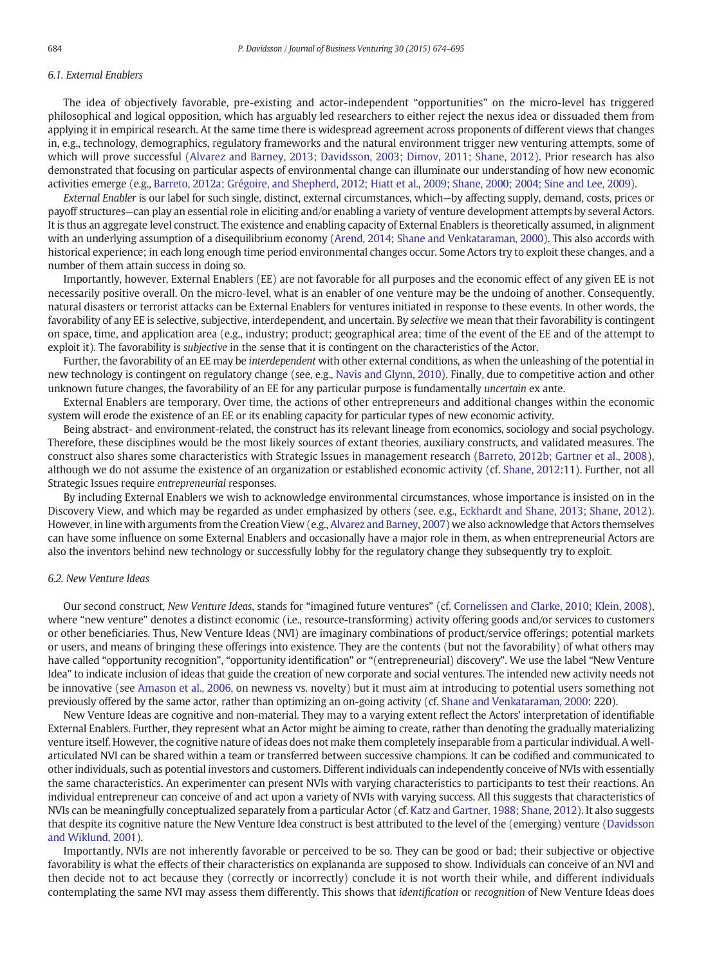### 6.1. External Enablers

The idea of objectively favorable, pre-existing and actor-independent "opportunities" on the micro-level has triggered philosophical and logical opposition, which has arguably led researchers to either reject the nexus idea or dissuaded them from applying it in empirical research. At the same time there is widespread agreement across proponents of different views that changes in, e.g., technology, demographics, regulatory frameworks and the natural environment trigger new venturing attempts, some of which will prove successful ([Alvarez and Barney, 2013; Davidsson, 2003; Dimov, 2011; Shane, 2012\)](#page-16-0). Prior research has also demonstrated that focusing on particular aspects of environmental change can illuminate our understanding of how new economic activities emerge (e.g., [Barreto, 2012a; Grégoire, and Shepherd, 2012; Hiatt et al., 2009; Shane, 2000; 2004; Sine and Lee, 2009\)](#page-16-0).

External Enabler is our label for such single, distinct, external circumstances, which—by affecting supply, demand, costs, prices or payoff structures—can play an essential role in eliciting and/or enabling a variety of venture development attempts by several Actors. It is thus an aggregate level construct. The existence and enabling capacity of External Enablers is theoretically assumed, in alignment with an underlying assumption of a disequilibrium economy [\(Arend, 2014; Shane and Venkataraman, 2000\)](#page-16-0). This also accords with historical experience; in each long enough time period environmental changes occur. Some Actors try to exploit these changes, and a number of them attain success in doing so.

Importantly, however, External Enablers (EE) are not favorable for all purposes and the economic effect of any given EE is not necessarily positive overall. On the micro-level, what is an enabler of one venture may be the undoing of another. Consequently, natural disasters or terrorist attacks can be External Enablers for ventures initiated in response to these events. In other words, the favorability of any EE is selective, subjective, interdependent, and uncertain. By selective we mean that their favorability is contingent on space, time, and application area (e.g., industry; product; geographical area; time of the event of the EE and of the attempt to exploit it). The favorability is subjective in the sense that it is contingent on the characteristics of the Actor.

Further, the favorability of an EE may be interdependent with other external conditions, as when the unleashing of the potential in new technology is contingent on regulatory change (see, e.g., [Navis and Glynn, 2010](#page-19-0)). Finally, due to competitive action and other unknown future changes, the favorability of an EE for any particular purpose is fundamentally uncertain ex ante.

External Enablers are temporary. Over time, the actions of other entrepreneurs and additional changes within the economic system will erode the existence of an EE or its enabling capacity for particular types of new economic activity.

Being abstract- and environment-related, the construct has its relevant lineage from economics, sociology and social psychology. Therefore, these disciplines would be the most likely sources of extant theories, auxiliary constructs, and validated measures. The construct also shares some characteristics with Strategic Issues in management research ([Barreto, 2012b; Gartner et al., 2008\)](#page-16-0), although we do not assume the existence of an organization or established economic activity (cf. [Shane, 2012:](#page-20-0)11). Further, not all Strategic Issues require entrepreneurial responses.

By including External Enablers we wish to acknowledge environmental circumstances, whose importance is insisted on in the Discovery View, and which may be regarded as under emphasized by others (see. e.g., [Eckhardt and Shane, 2013; Shane, 2012\)](#page-17-0). However, in line with arguments from the Creation View (e.g., [Alvarez and Barney, 2007](#page-16-0)) we also acknowledge that Actors themselves can have some influence on some External Enablers and occasionally have a major role in them, as when entrepreneurial Actors are also the inventors behind new technology or successfully lobby for the regulatory change they subsequently try to exploit.

#### 6.2. New Venture Ideas

Our second construct, New Venture Ideas, stands for "imagined future ventures" (cf. [Cornelissen and Clarke, 2010; Klein, 2008\)](#page-17-0), where "new venture" denotes a distinct economic (i.e., resource-transforming) activity offering goods and/or services to customers or other beneficiaries. Thus, New Venture Ideas (NVI) are imaginary combinations of product/service offerings; potential markets or users, and means of bringing these offerings into existence. They are the contents (but not the favorability) of what others may have called "opportunity recognition", "opportunity identification" or "(entrepreneurial) discovery". We use the label "New Venture Idea" to indicate inclusion of ideas that guide the creation of new corporate and social ventures. The intended new activity needs not be innovative (see [Amason et al., 2006,](#page-16-0) on newness vs. novelty) but it must aim at introducing to potential users something not previously offered by the same actor, rather than optimizing an on-going activity (cf. [Shane and Venkataraman, 2000:](#page-20-0) 220).

New Venture Ideas are cognitive and non-material. They may to a varying extent reflect the Actors' interpretation of identifiable External Enablers. Further, they represent what an Actor might be aiming to create, rather than denoting the gradually materializing venture itself. However, the cognitive nature of ideas does not make them completely inseparable from a particular individual. A wellarticulated NVI can be shared within a team or transferred between successive champions. It can be codified and communicated to other individuals, such as potential investors and customers. Different individuals can independently conceive of NVIs with essentially the same characteristics. An experimenter can present NVIs with varying characteristics to participants to test their reactions. An individual entrepreneur can conceive of and act upon a variety of NVIs with varying success. All this suggests that characteristics of NVIs can be meaningfully conceptualized separately from a particular Actor (cf. [Katz and Gartner, 1988; Shane, 2012\)](#page-18-0). It also suggests that despite its cognitive nature the New Venture Idea construct is best attributed to the level of the (emerging) venture ([Davidsson](#page-17-0) [and Wiklund, 2001\)](#page-17-0).

Importantly, NVIs are not inherently favorable or perceived to be so. They can be good or bad; their subjective or objective favorability is what the effects of their characteristics on explananda are supposed to show. Individuals can conceive of an NVI and then decide not to act because they (correctly or incorrectly) conclude it is not worth their while, and different individuals contemplating the same NVI may assess them differently. This shows that identification or recognition of New Venture Ideas does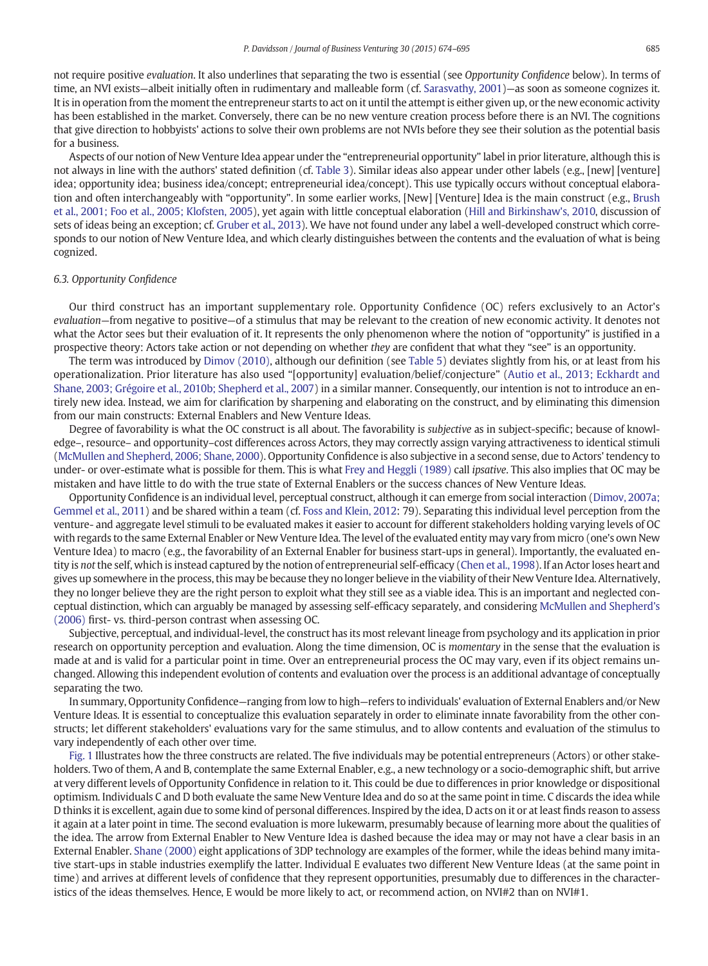not require positive evaluation. It also underlines that separating the two is essential (see Opportunity Confidence below). In terms of time, an NVI exists—albeit initially often in rudimentary and malleable form (cf. [Sarasvathy, 2001](#page-19-0))—as soon as someone cognizes it. It is in operation from the moment the entrepreneur starts to act on it until the attempt is either given up, or the new economic activity has been established in the market. Conversely, there can be no new venture creation process before there is an NVI. The cognitions that give direction to hobbyists' actions to solve their own problems are not NVIs before they see their solution as the potential basis for a business.

Aspects of our notion of New Venture Idea appear under the "entrepreneurial opportunity" label in prior literature, although this is not always in line with the authors' stated definition (cf. [Table 3](#page-6-0)). Similar ideas also appear under other labels (e.g., [new] [venture] idea; opportunity idea; business idea/concept; entrepreneurial idea/concept). This use typically occurs without conceptual elaboration and often interchangeably with "opportunity". In some earlier works, [New] [Venture] Idea is the main construct (e.g., [Brush](#page-17-0) [et al., 2001; Foo et al., 2005; Klofsten, 2005](#page-17-0)), yet again with little conceptual elaboration [\(Hill and Birkinshaw's, 2010,](#page-18-0) discussion of sets of ideas being an exception; cf. [Gruber et al., 2013](#page-18-0)). We have not found under any label a well-developed construct which corresponds to our notion of New Venture Idea, and which clearly distinguishes between the contents and the evaluation of what is being cognized.

#### 6.3. Opportunity Confidence

Our third construct has an important supplementary role. Opportunity Confidence (OC) refers exclusively to an Actor's evaluation—from negative to positive—of a stimulus that may be relevant to the creation of new economic activity. It denotes not what the Actor sees but their evaluation of it. It represents the only phenomenon where the notion of "opportunity" is justified in a prospective theory: Actors take action or not depending on whether they are confident that what they "see" is an opportunity.

The term was introduced by [Dimov \(2010\)](#page-17-0), although our definition (see [Table 5](#page-9-0)) deviates slightly from his, or at least from his operationalization. Prior literature has also used "[opportunity] evaluation/belief/conjecture" ([Autio et al., 2013; Eckhardt and](#page-16-0) [Shane, 2003; Grégoire et al., 2010b; Shepherd et al., 2007\)](#page-16-0) in a similar manner. Consequently, our intention is not to introduce an entirely new idea. Instead, we aim for clarification by sharpening and elaborating on the construct, and by eliminating this dimension from our main constructs: External Enablers and New Venture Ideas.

Degree of favorability is what the OC construct is all about. The favorability is subjective as in subject-specific; because of knowledge–, resource– and opportunity–cost differences across Actors, they may correctly assign varying attractiveness to identical stimuli ([McMullen and Shepherd, 2006; Shane, 2000](#page-19-0)). Opportunity Confidence is also subjective in a second sense, due to Actors' tendency to under- or over-estimate what is possible for them. This is what [Frey and Heggli \(1989\)](#page-18-0) call ipsative. This also implies that OC may be mistaken and have little to do with the true state of External Enablers or the success chances of New Venture Ideas.

Opportunity Confidence is an individual level, perceptual construct, although it can emerge from social interaction [\(Dimov, 2007a;](#page-17-0) [Gemmel et al., 2011\)](#page-17-0) and be shared within a team (cf. [Foss and Klein, 2012:](#page-18-0) 79). Separating this individual level perception from the venture- and aggregate level stimuli to be evaluated makes it easier to account for different stakeholders holding varying levels of OC with regards to the same External Enabler or New Venture Idea. The level of the evaluated entity may vary from micro (one's own New Venture Idea) to macro (e.g., the favorability of an External Enabler for business start-ups in general). Importantly, the evaluated en-tity is not the self, which is instead captured by the notion of entrepreneurial self-efficacy [\(Chen et al., 1998](#page-17-0)). If an Actor loses heart and gives up somewhere in the process, this may be because they no longer believe in the viability of their New Venture Idea. Alternatively, they no longer believe they are the right person to exploit what they still see as a viable idea. This is an important and neglected conceptual distinction, which can arguably be managed by assessing self-efficacy separately, and considering [McMullen and Shepherd's](#page-19-0) [\(2006\)](#page-19-0) first- vs. third-person contrast when assessing OC.

Subjective, perceptual, and individual-level, the construct has its most relevant lineage from psychology and its application in prior research on opportunity perception and evaluation. Along the time dimension, OC is momentary in the sense that the evaluation is made at and is valid for a particular point in time. Over an entrepreneurial process the OC may vary, even if its object remains unchanged. Allowing this independent evolution of contents and evaluation over the process is an additional advantage of conceptually separating the two.

In summary, Opportunity Confidence—ranging from low to high—refers to individuals' evaluation of External Enablers and/or New Venture Ideas. It is essential to conceptualize this evaluation separately in order to eliminate innate favorability from the other constructs; let different stakeholders' evaluations vary for the same stimulus, and to allow contents and evaluation of the stimulus to vary independently of each other over time.

[Fig. 1](#page-12-0) Illustrates how the three constructs are related. The five individuals may be potential entrepreneurs (Actors) or other stakeholders. Two of them, A and B, contemplate the same External Enabler, e.g., a new technology or a socio-demographic shift, but arrive at very different levels of Opportunity Confidence in relation to it. This could be due to differences in prior knowledge or dispositional optimism. Individuals C and D both evaluate the same New Venture Idea and do so at the same point in time. C discards the idea while D thinks it is excellent, again due to some kind of personal differences. Inspired by the idea, D acts on it or at least finds reason to assess it again at a later point in time. The second evaluation is more lukewarm, presumably because of learning more about the qualities of the idea. The arrow from External Enabler to New Venture Idea is dashed because the idea may or may not have a clear basis in an External Enabler. [Shane \(2000\)](#page-20-0) eight applications of 3DP technology are examples of the former, while the ideas behind many imitative start-ups in stable industries exemplify the latter. Individual E evaluates two different New Venture Ideas (at the same point in time) and arrives at different levels of confidence that they represent opportunities, presumably due to differences in the characteristics of the ideas themselves. Hence, E would be more likely to act, or recommend action, on NVI#2 than on NVI#1.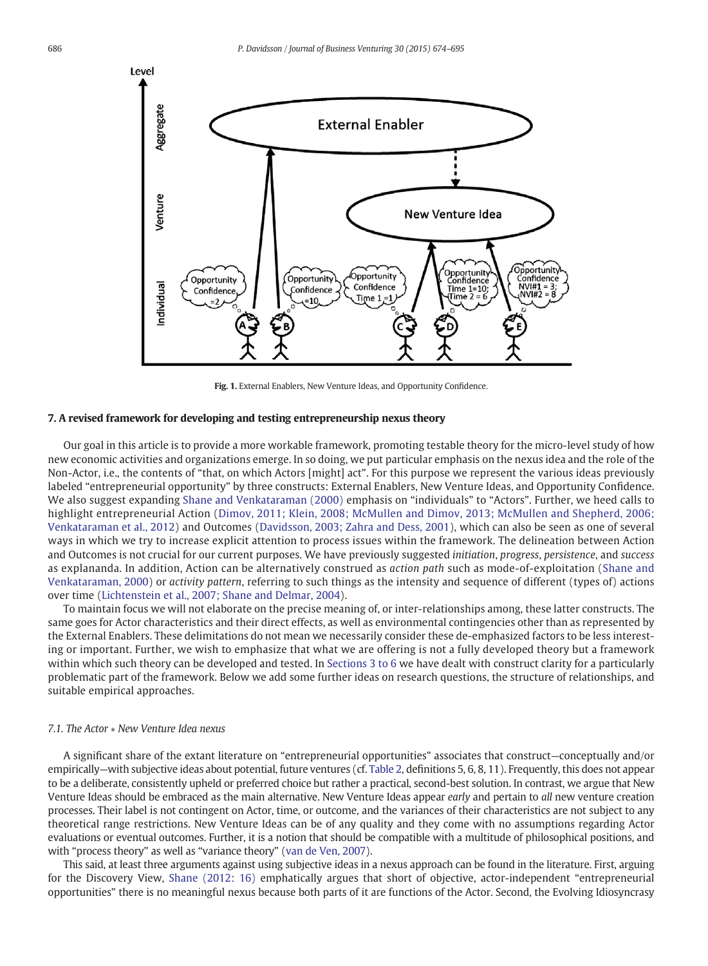<span id="page-12-0"></span>

Fig. 1. External Enablers, New Venture Ideas, and Opportunity Confidence.

#### 7. A revised framework for developing and testing entrepreneurship nexus theory

Our goal in this article is to provide a more workable framework, promoting testable theory for the micro-level study of how new economic activities and organizations emerge. In so doing, we put particular emphasis on the nexus idea and the role of the Non-Actor, i.e., the contents of "that, on which Actors [might] act". For this purpose we represent the various ideas previously labeled "entrepreneurial opportunity" by three constructs: External Enablers, New Venture Ideas, and Opportunity Confidence. We also suggest expanding [Shane and Venkataraman \(2000\)](#page-20-0) emphasis on "individuals" to "Actors". Further, we heed calls to highlight entrepreneurial Action ([Dimov, 2011; Klein, 2008; McMullen and Dimov, 2013; McMullen and Shepherd, 2006;](#page-17-0) [Venkataraman et al., 2012](#page-17-0)) and Outcomes ([Davidsson, 2003; Zahra and Dess, 2001\)](#page-17-0), which can also be seen as one of several ways in which we try to increase explicit attention to process issues within the framework. The delineation between Action and Outcomes is not crucial for our current purposes. We have previously suggested initiation, progress, persistence, and success as explananda. In addition, Action can be alternatively construed as action path such as mode-of-exploitation ([Shane and](#page-20-0) [Venkataraman, 2000](#page-20-0)) or activity pattern, referring to such things as the intensity and sequence of different (types of) actions over time [\(Lichtenstein et al., 2007; Shane and Delmar, 2004\)](#page-19-0).

To maintain focus we will not elaborate on the precise meaning of, or inter-relationships among, these latter constructs. The same goes for Actor characteristics and their direct effects, as well as environmental contingencies other than as represented by the External Enablers. These delimitations do not mean we necessarily consider these de-emphasized factors to be less interesting or important. Further, we wish to emphasize that what we are offering is not a fully developed theory but a framework within which such theory can be developed and tested. In [Sections 3 to 6](#page-2-0) we have dealt with construct clarity for a particularly problematic part of the framework. Below we add some further ideas on research questions, the structure of relationships, and suitable empirical approaches.

#### 7.1. The Actor ∗ New Venture Idea nexus

A significant share of the extant literature on "entrepreneurial opportunities" associates that construct—conceptually and/or empirically—with subjective ideas about potential, future ventures (cf. [Table 2,](#page-5-0) definitions 5, 6, 8, 11). Frequently, this does not appear to be a deliberate, consistently upheld or preferred choice but rather a practical, second-best solution. In contrast, we argue that New Venture Ideas should be embraced as the main alternative. New Venture Ideas appear early and pertain to all new venture creation processes. Their label is not contingent on Actor, time, or outcome, and the variances of their characteristics are not subject to any theoretical range restrictions. New Venture Ideas can be of any quality and they come with no assumptions regarding Actor evaluations or eventual outcomes. Further, it is a notion that should be compatible with a multitude of philosophical positions, and with "process theory" as well as "variance theory" ([van de Ven, 2007](#page-20-0)).

This said, at least three arguments against using subjective ideas in a nexus approach can be found in the literature. First, arguing for the Discovery View, [Shane \(2012: 16\)](#page-20-0) emphatically argues that short of objective, actor-independent "entrepreneurial opportunities" there is no meaningful nexus because both parts of it are functions of the Actor. Second, the Evolving Idiosyncrasy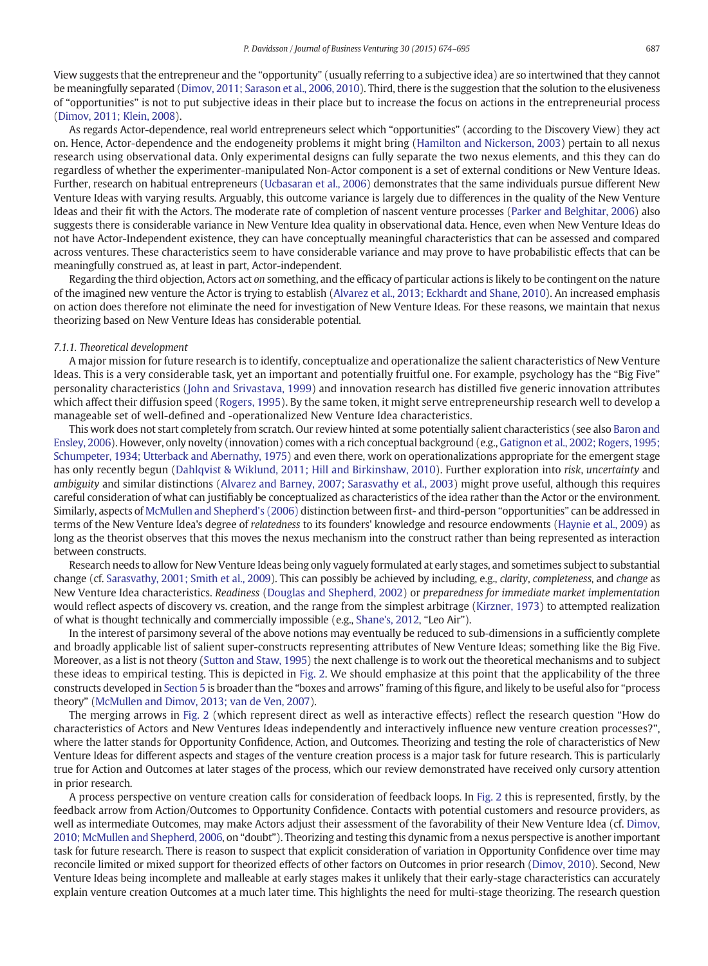View suggests that the entrepreneur and the "opportunity" (usually referring to a subjective idea) are so intertwined that they cannot be meaningfully separated [\(Dimov, 2011; Sarason et al., 2006, 2010](#page-17-0)). Third, there is the suggestion that the solution to the elusiveness of "opportunities" is not to put subjective ideas in their place but to increase the focus on actions in the entrepreneurial process ([Dimov, 2011; Klein, 2008\)](#page-17-0).

As regards Actor-dependence, real world entrepreneurs select which "opportunities" (according to the Discovery View) they act on. Hence, Actor-dependence and the endogeneity problems it might bring [\(Hamilton and Nickerson, 2003](#page-18-0)) pertain to all nexus research using observational data. Only experimental designs can fully separate the two nexus elements, and this they can do regardless of whether the experimenter-manipulated Non-Actor component is a set of external conditions or New Venture Ideas. Further, research on habitual entrepreneurs [\(Ucbasaran et al., 2006\)](#page-20-0) demonstrates that the same individuals pursue different New Venture Ideas with varying results. Arguably, this outcome variance is largely due to differences in the quality of the New Venture Ideas and their fit with the Actors. The moderate rate of completion of nascent venture processes [\(Parker and Belghitar, 2006\)](#page-19-0) also suggests there is considerable variance in New Venture Idea quality in observational data. Hence, even when New Venture Ideas do not have Actor-Independent existence, they can have conceptually meaningful characteristics that can be assessed and compared across ventures. These characteristics seem to have considerable variance and may prove to have probabilistic effects that can be meaningfully construed as, at least in part, Actor-independent.

Regarding the third objection, Actors act on something, and the efficacy of particular actions is likely to be contingent on the nature of the imagined new venture the Actor is trying to establish ([Alvarez et al., 2013; Eckhardt and Shane, 2010](#page-16-0)). An increased emphasis on action does therefore not eliminate the need for investigation of New Venture Ideas. For these reasons, we maintain that nexus theorizing based on New Venture Ideas has considerable potential.

#### 7.1.1. Theoretical development

A major mission for future research is to identify, conceptualize and operationalize the salient characteristics of New Venture Ideas. This is a very considerable task, yet an important and potentially fruitful one. For example, psychology has the "Big Five" personality characteristics [\(John and Srivastava, 1999\)](#page-18-0) and innovation research has distilled five generic innovation attributes which affect their diffusion speed ([Rogers, 1995](#page-19-0)). By the same token, it might serve entrepreneurship research well to develop a manageable set of well-defined and -operationalized New Venture Idea characteristics.

This work does not start completely from scratch. Our review hinted at some potentially salient characteristics (see also [Baron and](#page-16-0) [Ensley, 2006](#page-16-0)). However, only novelty (innovation) comes with a rich conceptual background (e.g., [Gatignon et al., 2002; Rogers, 1995;](#page-18-0) [Schumpeter, 1934; Utterback and Abernathy, 1975\)](#page-18-0) and even there, work on operationalizations appropriate for the emergent stage has only recently begun [\(Dahlqvist & Wiklund, 2011; Hill and Birkinshaw, 2010\)](#page-17-0). Further exploration into risk, uncertainty and ambiguity and similar distinctions ([Alvarez and Barney, 2007; Sarasvathy et al., 2003\)](#page-16-0) might prove useful, although this requires careful consideration of what can justifiably be conceptualized as characteristics of the idea rather than the Actor or the environment. Similarly, aspects of [McMullen and Shepherd's \(2006\)](#page-19-0) distinction between first- and third-person "opportunities" can be addressed in terms of the New Venture Idea's degree of relatedness to its founders' knowledge and resource endowments [\(Haynie et al., 2009\)](#page-18-0) as long as the theorist observes that this moves the nexus mechanism into the construct rather than being represented as interaction between constructs.

Research needs to allow for New Venture Ideas being only vaguely formulated at early stages, and sometimes subject to substantial change (cf. [Sarasvathy, 2001; Smith et al., 2009](#page-19-0)). This can possibly be achieved by including, e.g., clarity, completeness, and change as New Venture Idea characteristics. Readiness ([Douglas and Shepherd, 2002\)](#page-17-0) or preparedness for immediate market implementation would reflect aspects of discovery vs. creation, and the range from the simplest arbitrage [\(Kirzner, 1973\)](#page-18-0) to attempted realization of what is thought technically and commercially impossible (e.g., [Shane's, 2012](#page-20-0), "Leo Air").

In the interest of parsimony several of the above notions may eventually be reduced to sub-dimensions in a sufficiently complete and broadly applicable list of salient super-constructs representing attributes of New Venture Ideas; something like the Big Five. Moreover, as a list is not theory ([Sutton and Staw, 1995](#page-20-0)) the next challenge is to work out the theoretical mechanisms and to subject these ideas to empirical testing. This is depicted in [Fig. 2.](#page-14-0) We should emphasize at this point that the applicability of the three constructs developed in [Section 5](#page-6-0) is broader than the "boxes and arrows" framing of this figure, and likely to be useful also for "process theory" [\(McMullen and Dimov, 2013; van de Ven, 2007](#page-19-0)).

The merging arrows in [Fig. 2](#page-14-0) (which represent direct as well as interactive effects) reflect the research question "How do characteristics of Actors and New Ventures Ideas independently and interactively influence new venture creation processes?", where the latter stands for Opportunity Confidence, Action, and Outcomes. Theorizing and testing the role of characteristics of New Venture Ideas for different aspects and stages of the venture creation process is a major task for future research. This is particularly true for Action and Outcomes at later stages of the process, which our review demonstrated have received only cursory attention in prior research.

A process perspective on venture creation calls for consideration of feedback loops. In [Fig. 2](#page-14-0) this is represented, firstly, by the feedback arrow from Action/Outcomes to Opportunity Confidence. Contacts with potential customers and resource providers, as well as intermediate Outcomes, may make Actors adjust their assessment of the favorability of their New Venture Idea (cf. [Dimov,](#page-17-0) [2010; McMullen and Shepherd, 2006,](#page-17-0) on "doubt"). Theorizing and testing this dynamic from a nexus perspective is another important task for future research. There is reason to suspect that explicit consideration of variation in Opportunity Confidence over time may reconcile limited or mixed support for theorized effects of other factors on Outcomes in prior research [\(Dimov, 2010](#page-17-0)). Second, New Venture Ideas being incomplete and malleable at early stages makes it unlikely that their early-stage characteristics can accurately explain venture creation Outcomes at a much later time. This highlights the need for multi-stage theorizing. The research question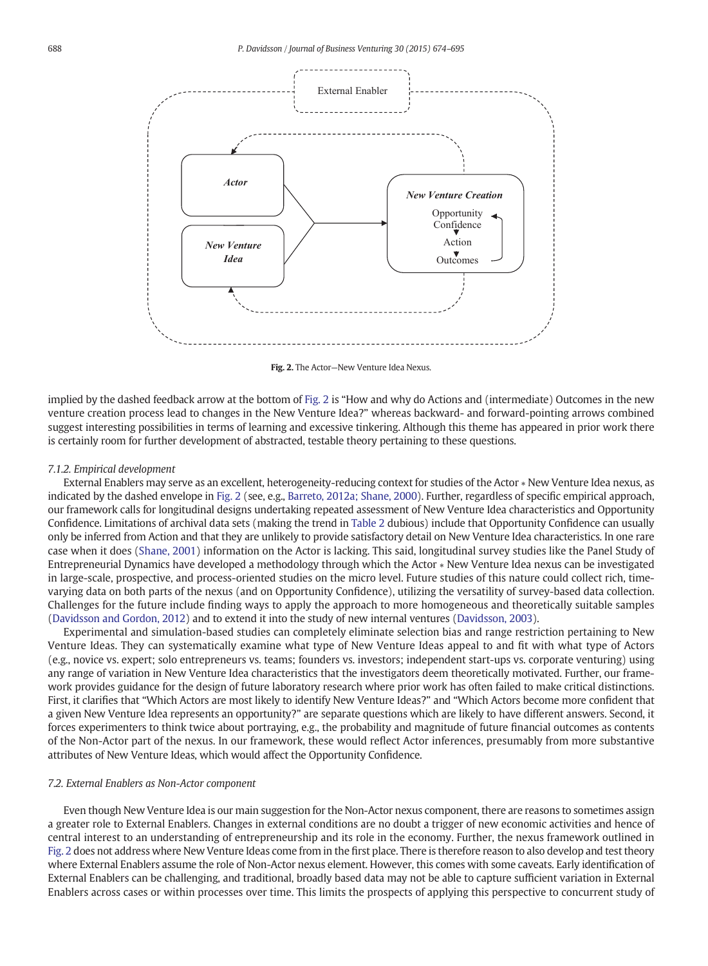<span id="page-14-0"></span>

Fig. 2. The Actor—New Venture Idea Nexus.

implied by the dashed feedback arrow at the bottom of Fig. 2 is "How and why do Actions and (intermediate) Outcomes in the new venture creation process lead to changes in the New Venture Idea?" whereas backward- and forward-pointing arrows combined suggest interesting possibilities in terms of learning and excessive tinkering. Although this theme has appeared in prior work there is certainly room for further development of abstracted, testable theory pertaining to these questions.

#### 7.1.2. Empirical development

External Enablers may serve as an excellent, heterogeneity-reducing context for studies of the Actor ∗ New Venture Idea nexus, as indicated by the dashed envelope in Fig. 2 (see, e.g., [Barreto, 2012a; Shane, 2000](#page-16-0)). Further, regardless of specific empirical approach, our framework calls for longitudinal designs undertaking repeated assessment of New Venture Idea characteristics and Opportunity Confidence. Limitations of archival data sets (making the trend in [Table 2](#page-5-0) dubious) include that Opportunity Confidence can usually only be inferred from Action and that they are unlikely to provide satisfactory detail on New Venture Idea characteristics. In one rare case when it does ([Shane, 2001\)](#page-20-0) information on the Actor is lacking. This said, longitudinal survey studies like the Panel Study of Entrepreneurial Dynamics have developed a methodology through which the Actor ∗ New Venture Idea nexus can be investigated in large-scale, prospective, and process-oriented studies on the micro level. Future studies of this nature could collect rich, timevarying data on both parts of the nexus (and on Opportunity Confidence), utilizing the versatility of survey-based data collection. Challenges for the future include finding ways to apply the approach to more homogeneous and theoretically suitable samples [\(Davidsson and Gordon, 2012\)](#page-17-0) and to extend it into the study of new internal ventures [\(Davidsson, 2003](#page-17-0)).

Experimental and simulation-based studies can completely eliminate selection bias and range restriction pertaining to New Venture Ideas. They can systematically examine what type of New Venture Ideas appeal to and fit with what type of Actors (e.g., novice vs. expert; solo entrepreneurs vs. teams; founders vs. investors; independent start-ups vs. corporate venturing) using any range of variation in New Venture Idea characteristics that the investigators deem theoretically motivated. Further, our framework provides guidance for the design of future laboratory research where prior work has often failed to make critical distinctions. First, it clarifies that "Which Actors are most likely to identify New Venture Ideas?" and "Which Actors become more confident that a given New Venture Idea represents an opportunity?" are separate questions which are likely to have different answers. Second, it forces experimenters to think twice about portraying, e.g., the probability and magnitude of future financial outcomes as contents of the Non-Actor part of the nexus. In our framework, these would reflect Actor inferences, presumably from more substantive attributes of New Venture Ideas, which would affect the Opportunity Confidence.

#### 7.2. External Enablers as Non-Actor component

Even though New Venture Idea is our main suggestion for the Non-Actor nexus component, there are reasons to sometimes assign a greater role to External Enablers. Changes in external conditions are no doubt a trigger of new economic activities and hence of central interest to an understanding of entrepreneurship and its role in the economy. Further, the nexus framework outlined in Fig. 2 does not address where New Venture Ideas come from in the first place. There is therefore reason to also develop and test theory where External Enablers assume the role of Non-Actor nexus element. However, this comes with some caveats. Early identification of External Enablers can be challenging, and traditional, broadly based data may not be able to capture sufficient variation in External Enablers across cases or within processes over time. This limits the prospects of applying this perspective to concurrent study of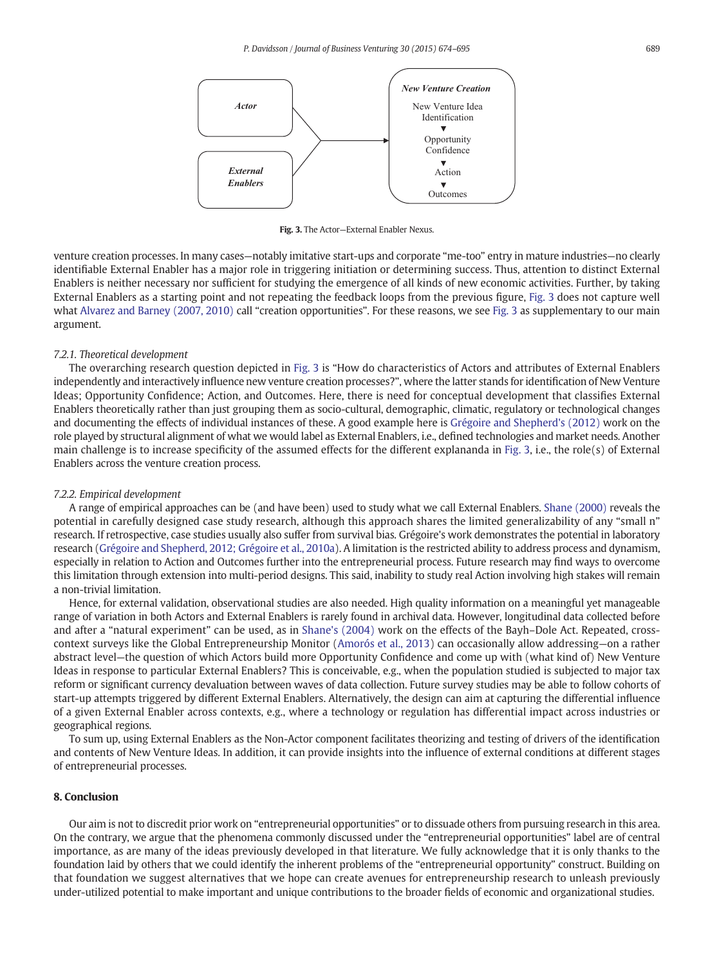

Fig. 3. The Actor—External Enabler Nexus.

venture creation processes. In many cases—notably imitative start-ups and corporate "me-too" entry in mature industries—no clearly identifiable External Enabler has a major role in triggering initiation or determining success. Thus, attention to distinct External Enablers is neither necessary nor sufficient for studying the emergence of all kinds of new economic activities. Further, by taking External Enablers as a starting point and not repeating the feedback loops from the previous figure, Fig. 3 does not capture well what [Alvarez and Barney \(2007, 2010\)](#page-16-0) call "creation opportunities". For these reasons, we see Fig. 3 as supplementary to our main argument.

#### 7.2.1. Theoretical development

The overarching research question depicted in Fig. 3 is "How do characteristics of Actors and attributes of External Enablers independently and interactively influence new venture creation processes?", where the latter stands for identification of New Venture Ideas; Opportunity Confidence; Action, and Outcomes. Here, there is need for conceptual development that classifies External Enablers theoretically rather than just grouping them as socio-cultural, demographic, climatic, regulatory or technological changes and documenting the effects of individual instances of these. A good example here is [Grégoire and Shepherd's \(2012\)](#page-18-0) work on the role played by structural alignment of what we would label as External Enablers, i.e., defined technologies and market needs. Another main challenge is to increase specificity of the assumed effects for the different explananda in Fig. 3, i.e., the role(s) of External Enablers across the venture creation process.

#### 7.2.2. Empirical development

A range of empirical approaches can be (and have been) used to study what we call External Enablers. [Shane \(2000\)](#page-20-0) reveals the potential in carefully designed case study research, although this approach shares the limited generalizability of any "small n" research. If retrospective, case studies usually also suffer from survival bias. Grégoire's work demonstrates the potential in laboratory research [\(Grégoire and Shepherd, 2012; Grégoire et al., 2010a](#page-18-0)). A limitation is the restricted ability to address process and dynamism, especially in relation to Action and Outcomes further into the entrepreneurial process. Future research may find ways to overcome this limitation through extension into multi-period designs. This said, inability to study real Action involving high stakes will remain a non-trivial limitation.

Hence, for external validation, observational studies are also needed. High quality information on a meaningful yet manageable range of variation in both Actors and External Enablers is rarely found in archival data. However, longitudinal data collected before and after a "natural experiment" can be used, as in [Shane's \(2004\)](#page-20-0) work on the effects of the Bayh–Dole Act. Repeated, crosscontext surveys like the Global Entrepreneurship Monitor ([Amorós et al., 2013\)](#page-16-0) can occasionally allow addressing—on a rather abstract level—the question of which Actors build more Opportunity Confidence and come up with (what kind of) New Venture Ideas in response to particular External Enablers? This is conceivable, e.g., when the population studied is subjected to major tax reform or significant currency devaluation between waves of data collection. Future survey studies may be able to follow cohorts of start-up attempts triggered by different External Enablers. Alternatively, the design can aim at capturing the differential influence of a given External Enabler across contexts, e.g., where a technology or regulation has differential impact across industries or geographical regions.

To sum up, using External Enablers as the Non-Actor component facilitates theorizing and testing of drivers of the identification and contents of New Venture Ideas. In addition, it can provide insights into the influence of external conditions at different stages of entrepreneurial processes.

### 8. Conclusion

Our aim is not to discredit prior work on "entrepreneurial opportunities" or to dissuade others from pursuing research in this area. On the contrary, we argue that the phenomena commonly discussed under the "entrepreneurial opportunities" label are of central importance, as are many of the ideas previously developed in that literature. We fully acknowledge that it is only thanks to the foundation laid by others that we could identify the inherent problems of the "entrepreneurial opportunity" construct. Building on that foundation we suggest alternatives that we hope can create avenues for entrepreneurship research to unleash previously under-utilized potential to make important and unique contributions to the broader fields of economic and organizational studies.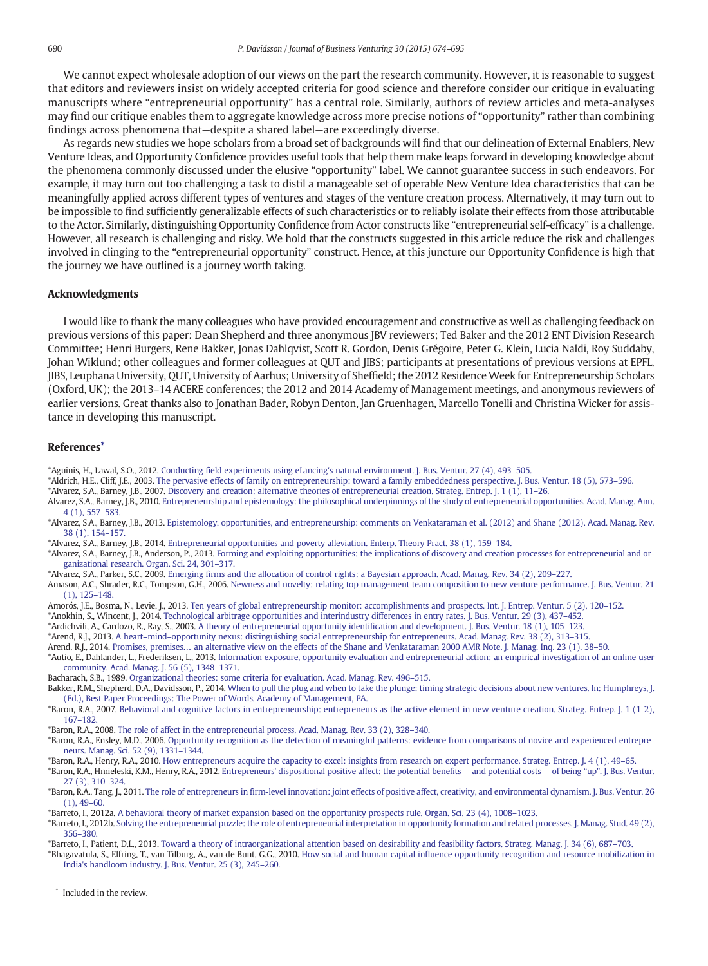<span id="page-16-0"></span>We cannot expect wholesale adoption of our views on the part the research community. However, it is reasonable to suggest that editors and reviewers insist on widely accepted criteria for good science and therefore consider our critique in evaluating manuscripts where "entrepreneurial opportunity" has a central role. Similarly, authors of review articles and meta-analyses may find our critique enables them to aggregate knowledge across more precise notions of "opportunity" rather than combining findings across phenomena that—despite a shared label—are exceedingly diverse.

As regards new studies we hope scholars from a broad set of backgrounds will find that our delineation of External Enablers, New Venture Ideas, and Opportunity Confidence provides useful tools that help them make leaps forward in developing knowledge about the phenomena commonly discussed under the elusive "opportunity" label. We cannot guarantee success in such endeavors. For example, it may turn out too challenging a task to distil a manageable set of operable New Venture Idea characteristics that can be meaningfully applied across different types of ventures and stages of the venture creation process. Alternatively, it may turn out to be impossible to find sufficiently generalizable effects of such characteristics or to reliably isolate their effects from those attributable to the Actor. Similarly, distinguishing Opportunity Confidence from Actor constructs like "entrepreneurial self-efficacy" is a challenge. However, all research is challenging and risky. We hold that the constructs suggested in this article reduce the risk and challenges involved in clinging to the "entrepreneurial opportunity" construct. Hence, at this juncture our Opportunity Confidence is high that the journey we have outlined is a journey worth taking.

#### Acknowledgments

I would like to thank the many colleagues who have provided encouragement and constructive as well as challenging feedback on previous versions of this paper: Dean Shepherd and three anonymous JBV reviewers; Ted Baker and the 2012 ENT Division Research Committee; Henri Burgers, Rene Bakker, Jonas Dahlqvist, Scott R. Gordon, Denis Grégoire, Peter G. Klein, Lucia Naldi, Roy Suddaby, Johan Wiklund; other colleagues and former colleagues at QUT and JIBS; participants at presentations of previous versions at EPFL, JIBS, Leuphana University, QUT, University of Aarhus; University of Sheffield; the 2012 Residence Week for Entrepreneurship Scholars (Oxford, UK); the 2013–14 ACERE conferences; the 2012 and 2014 Academy of Management meetings, and anonymous reviewers of earlier versions. Great thanks also to Jonathan Bader, Robyn Denton, Jan Gruenhagen, Marcello Tonelli and Christina Wicker for assistance in developing this manuscript.

#### References⁎

- \*Aguinis, H., Lawal, S.O., 2012. [Conducting field experiments using eLancing's natural environment. J. Bus. Ventur. 27 \(4\), 493](http://refhub.elsevier.com/S0883-9026(15)00013-0/rf0005)–505.
- \*Aldrich, H.E., Cliff, J.E., 2003. [The pervasive effects of family on entrepreneurship: toward a family embeddedness perspective. J. Bus. Ventur. 18 \(5\), 573](http://refhub.elsevier.com/S0883-9026(15)00013-0/rf0010)–596.
- \*Alvarez, S.A., Barney, J.B., 2007. [Discovery and creation: alternative theories of entrepreneurial creation. Strateg. Entrep. J. 1 \(1\), 11](http://refhub.elsevier.com/S0883-9026(15)00013-0/rf0015)–26.
- Alvarez, S.A., Barney, J.B., 2010. [Entrepreneurship and epistemology: the philosophical underpinnings of the study of entrepreneurial opportunities. Acad. Manag. Ann.](http://refhub.elsevier.com/S0883-9026(15)00013-0/rf0020) [4 \(1\), 557](http://refhub.elsevier.com/S0883-9026(15)00013-0/rf0020)–583.
- \*Alvarez, S.A., Barney, J.B., 2013. [Epistemology, opportunities, and entrepreneurship: comments on Venkataraman et al. \(2012\) and Shane \(2012\). Acad. Manag. Rev.](http://refhub.elsevier.com/S0883-9026(15)00013-0/rf1305) [38 \(1\), 154](http://refhub.elsevier.com/S0883-9026(15)00013-0/rf1305)–157.
- \*Alvarez, S.A., Barney, J.B., 2014. [Entrepreneurial opportunities and poverty alleviation. Enterp. Theory Pract. 38 \(1\), 159](http://refhub.elsevier.com/S0883-9026(15)00013-0/rf0025)–184.
- \*Alvarez, S.A., Barney, J.B., Anderson, P., 2013. [Forming and exploiting opportunities: the implications of discovery and creation processes for entrepreneurial and or](http://refhub.elsevier.com/S0883-9026(15)00013-0/rf0030)[ganizational research. Organ. Sci. 24, 301](http://refhub.elsevier.com/S0883-9026(15)00013-0/rf0030)–317.
- \*Alvarez, S.A., Parker, S.C., 2009. [Emerging firms and the allocation of control rights: a Bayesian approach. Acad. Manag. Rev. 34 \(2\), 209](http://refhub.elsevier.com/S0883-9026(15)00013-0/rf0035)–227.
- Amason, A.C., Shrader, R.C., Tompson, G.H., 2006. [Newness and novelty: relating top management team composition to new venture performance. J. Bus. Ventur. 21](http://refhub.elsevier.com/S0883-9026(15)00013-0/rf0040) [\(1\), 125](http://refhub.elsevier.com/S0883-9026(15)00013-0/rf0040)–148.
- Amorós, J.E., Bosma, N., Levie, J., 2013. [Ten years of global entrepreneurship monitor: accomplishments and prospects. Int. J. Entrep. Ventur. 5 \(2\), 120](http://refhub.elsevier.com/S0883-9026(15)00013-0/rf0045)–152.
- \*Anokhin, S., Wincent, J., 2014. [Technological arbitrage opportunities and interindustry differences in entry rates. J. Bus. Ventur. 29 \(3\), 437](http://refhub.elsevier.com/S0883-9026(15)00013-0/rf0050)–452.
- \*Ardichvili, A., Cardozo, R., Ray, S., 2003. [A theory of entrepreneurial opportunity identification and development. J. Bus. Ventur. 18 \(1\), 105](http://refhub.elsevier.com/S0883-9026(15)00013-0/rf0055)–123.
- \*Arend, R.J., 2013. A heart–mind–[opportunity nexus: distinguishing social entrepreneurship for entrepreneurs. Acad. Manag. Rev. 38 \(2\), 313](http://refhub.elsevier.com/S0883-9026(15)00013-0/rf0060)–315.
- Arend, R.J., 2014. Promises, premises… [an alternative view on the effects of the Shane and Venkataraman 2000 AMR Note. J. Manag. Inq. 23 \(1\), 38](http://refhub.elsevier.com/S0883-9026(15)00013-0/rf0065)–50.
- \*Autio, E., Dahlander, L., Frederiksen, L., 2013. [Information exposure, opportunity evaluation and entrepreneurial action: an empirical investigation of an online user](http://refhub.elsevier.com/S0883-9026(15)00013-0/rf0070) [community. Acad. Manag. J. 56 \(5\), 1348](http://refhub.elsevier.com/S0883-9026(15)00013-0/rf0070)–1371.
- Bacharach, S.B., 1989. [Organizational theories: some criteria for evaluation. Acad. Manag. Rev. 496](http://refhub.elsevier.com/S0883-9026(15)00013-0/rf0075)–515.
- Bakker, R.M., Shepherd, D.A., Davidsson, P., 2014. [When to pull the plug and when to take the plunge: timing strategic decisions about new ventures. In: Humphreys, J.](http://refhub.elsevier.com/S0883-9026(15)00013-0/rf1310) [\(Ed.\), Best Paper Proceedings: The Power of Words. Academy of Management, PA](http://refhub.elsevier.com/S0883-9026(15)00013-0/rf1310).
- \*Baron, R.A., 2007. [Behavioral and cognitive factors in entrepreneurship: entrepreneurs as the active element in new venture creation. Strateg. Entrep. J. 1 \(1](http://refhub.elsevier.com/S0883-9026(15)00013-0/rf1315)‐2), 167–[182.](http://refhub.elsevier.com/S0883-9026(15)00013-0/rf1315)
- \*Baron, R.A., 2008. [The role of affect in the entrepreneurial process. Acad. Manag. Rev. 33 \(2\), 328](http://refhub.elsevier.com/S0883-9026(15)00013-0/rf0080)–340.
- \*Baron, R.A., Ensley, M.D., 2006. [Opportunity recognition as the detection of meaningful patterns: evidence from comparisons of novice and experienced entrepre](http://refhub.elsevier.com/S0883-9026(15)00013-0/rf0085)[neurs. Manag. Sci. 52 \(9\), 1331](http://refhub.elsevier.com/S0883-9026(15)00013-0/rf0085)–1344.
- \*Baron, R.A., Henry, R.A., 2010. [How entrepreneurs acquire the capacity to excel: insights from research on expert performance. Strateg. Entrep. J. 4 \(1\), 49](http://refhub.elsevier.com/S0883-9026(15)00013-0/rf0090)–65.
- \*Baron, R.A., Hmieleski, K.M., Henry, R.A., 2012. [Entrepreneurs' dispositional positive affect: the potential benefits](http://refhub.elsevier.com/S0883-9026(15)00013-0/rf0095) and potential costs of being "up". J. Bus. Ventur. [27 \(3\), 310](http://refhub.elsevier.com/S0883-9026(15)00013-0/rf0095)–324.
- \*Baron, R.A., Tang, J., 2011. [The role of entrepreneurs in firm-level innovation: joint effects of positive affect, creativity, and environmental dynamism. J. Bus. Ventur. 26](http://refhub.elsevier.com/S0883-9026(15)00013-0/rf0100)  $(1)$ , 49–60.
- \*Barreto, I., 2012a. [A behavioral theory of market expansion based on the opportunity prospects rule. Organ. Sci. 23 \(4\), 1008](http://refhub.elsevier.com/S0883-9026(15)00013-0/rf0105)–1023.
- \*Barreto, I., 2012b. [Solving the entrepreneurial puzzle: the role of entrepreneurial interpretation in opportunity formation and related processes. J. Manag. Stud. 49](http://refhub.elsevier.com/S0883-9026(15)00013-0/rf0110) (2), 356–[380.](http://refhub.elsevier.com/S0883-9026(15)00013-0/rf0110)
- \*Barreto, I., Patient, D.L., 2013. [Toward a theory of intraorganizational attention based on desirability and feasibility factors. Strateg. Manag. J. 34 \(6\), 687](http://refhub.elsevier.com/S0883-9026(15)00013-0/rf0115)–703.
- \*Bhagavatula, S., Elfring, T., van Tilburg, A., van de Bunt, G.G., 2010. [How social and human capital influence opportunity recognition and resource mobilization in](http://refhub.elsevier.com/S0883-9026(15)00013-0/rf0120) [India's handloom industry. J. Bus. Ventur. 25 \(3\), 245](http://refhub.elsevier.com/S0883-9026(15)00013-0/rf0120)–260.

⁎ Included in the review.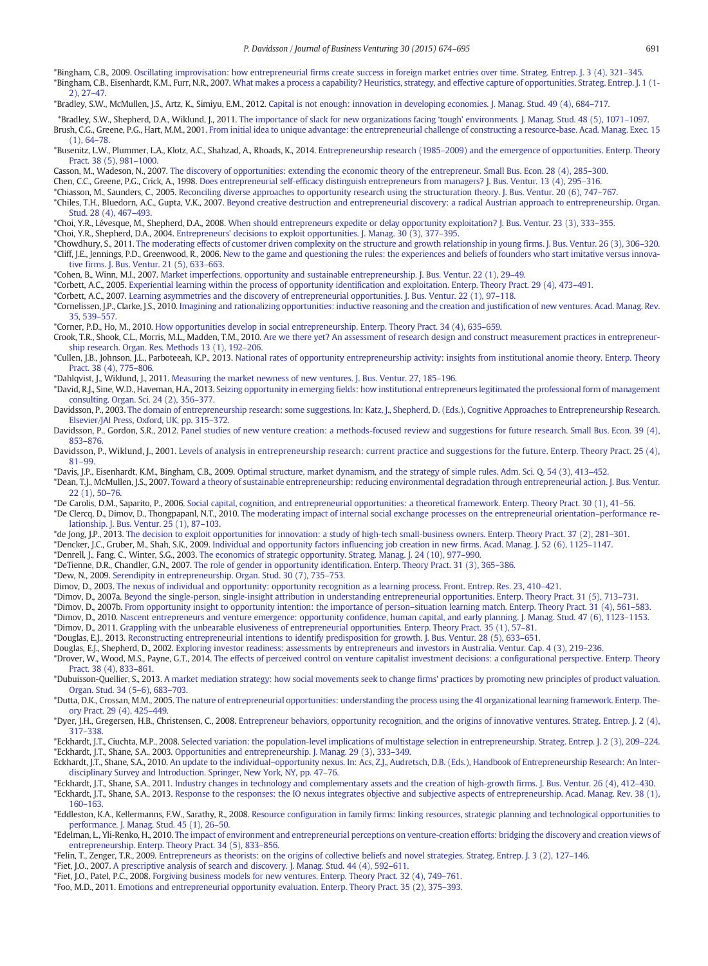<span id="page-17-0"></span>\*Bingham, C.B., 2009. [Oscillating improvisation: how entrepreneurial firms create success in foreign market entries over time. Strateg. Entrep. J. 3 \(4\), 321](http://refhub.elsevier.com/S0883-9026(15)00013-0/rf0125)–345. \*Bingham, C.B., Eisenhardt, K.M., Furr, N.R., 2007. [What makes a process a capability? Heuristics, strategy, and effective capture of opportunities. Strateg. Entrep. J. 1 \(1](http://refhub.elsevier.com/S0883-9026(15)00013-0/rf1320)‐ [2\), 27](http://refhub.elsevier.com/S0883-9026(15)00013-0/rf1320)–47.

\*Bradley, S.W., McMullen, J.S., Artz, K., Simiyu, E.M., 2012. [Capital is not enough: innovation in developing economies. J. Manag. Stud. 49 \(4\), 684](http://refhub.elsevier.com/S0883-9026(15)00013-0/rf0130)–717.

- \*Bradley, S.W., Shepherd, D.A., Wiklund, J., 2011. [The importance of slack for new organizations facing](http://refhub.elsevier.com/S0883-9026(15)00013-0/rf0135) 'tough' environments. J. Manag. Stud. 48 (5), 1071–1097. Brush, C.G., Greene, P.G., Hart, M.M., 2001. [From initial idea to unique advantage: the entrepreneurial challenge of constructing a resource-base. Acad. Manag. Exec. 15](http://refhub.elsevier.com/S0883-9026(15)00013-0/rf0140) [\(1\), 64](http://refhub.elsevier.com/S0883-9026(15)00013-0/rf0140)–78.
- \*Busenitz, L.W., Plummer, L.A., Klotz, A.C., Shahzad, A., Rhoads, K., 2014. Entrepreneurship research (1985–[2009\) and the emergence of opportunities. Enterp. Theory](http://refhub.elsevier.com/S0883-9026(15)00013-0/rf0145) [Pract. 38 \(5\), 981](http://refhub.elsevier.com/S0883-9026(15)00013-0/rf0145)–1000.
- Casson, M., Wadeson, N., 2007. [The discovery of opportunities: extending the economic theory of the entrepreneur. Small Bus. Econ. 28 \(4\), 285](http://refhub.elsevier.com/S0883-9026(15)00013-0/rf0150)–300.

Chen, C.C., Greene, P.G., Crick, A., 1998. [Does entrepreneurial self-efficacy distinguish entrepreneurs from managers? J. Bus. Ventur. 13 \(4\), 295](http://refhub.elsevier.com/S0883-9026(15)00013-0/rf0155)–316.

- \*Chiasson, M., Saunders, C., 2005. [Reconciling diverse approaches to opportunity research using the structuration theory. J. Bus. Ventur. 20 \(6\), 747](http://refhub.elsevier.com/S0883-9026(15)00013-0/rf0160)–767.
- \*Chiles, T.H., Bluedorn, A.C., Gupta, V.K., 2007. [Beyond creative destruction and entrepreneurial discovery: a radical Austrian approach to entrepreneurship. Organ.](http://refhub.elsevier.com/S0883-9026(15)00013-0/rf0165) [Stud. 28 \(4\), 467](http://refhub.elsevier.com/S0883-9026(15)00013-0/rf0165)–493.

\*Choi, Y.R., Lévesque, M., Shepherd, D.A., 2008. [When should entrepreneurs expedite or delay opportunity exploitation? J. Bus. Ventur. 23 \(3\), 333](http://refhub.elsevier.com/S0883-9026(15)00013-0/rf0170)–355.

- \*Choi, Y.R., Shepherd, D.A., 2004. [Entrepreneurs' decisions to exploit opportunities. J. Manag. 30 \(3\), 377](http://refhub.elsevier.com/S0883-9026(15)00013-0/rf0175)–395. \*Chowdhury, S., 2011. [The moderating effects of customer driven complexity on the structure and growth relationship in young firms. J. Bus. Ventur. 26 \(3\), 306](http://refhub.elsevier.com/S0883-9026(15)00013-0/rf0180)–320.
- \*Cliff, J.E., Jennings, P.D., Greenwood, R., 2006. [New to the game and questioning the rules: the experiences and beliefs of founders who start imitative versus innova](http://refhub.elsevier.com/S0883-9026(15)00013-0/rf0185)[tive firms. J. Bus. Ventur. 21 \(5\), 633](http://refhub.elsevier.com/S0883-9026(15)00013-0/rf0185)–663.
- \*Cohen, B., Winn, M.I., 2007. [Market imperfections, opportunity and sustainable entrepreneurship. J. Bus. Ventur. 22 \(1\), 29](http://refhub.elsevier.com/S0883-9026(15)00013-0/rf0190)–49.
- \*Corbett, A.C., 2005. [Experiential learning within the process of opportunity identification and exploitation. Enterp. Theory Pract. 29 \(4\), 473](http://refhub.elsevier.com/S0883-9026(15)00013-0/rf0195)–491.
- \*Corbett, A.C., 2007. [Learning asymmetries and the discovery of entrepreneurial opportunities. J. Bus. Ventur. 22 \(1\), 97](http://refhub.elsevier.com/S0883-9026(15)00013-0/rf0200)–118.
- \*Cornelissen, J.P., Clarke, J.S., 2010. [Imagining and rationalizing opportunities: inductive reasoning and the creation and justification of new ventures. Acad. Manag. Rev.](http://refhub.elsevier.com/S0883-9026(15)00013-0/rf0205) [35, 539](http://refhub.elsevier.com/S0883-9026(15)00013-0/rf0205)–557.
- \*Corner, P.D., Ho, M., 2010. [How opportunities develop in social entrepreneurship. Enterp. Theory Pract. 34 \(4\), 635](http://refhub.elsevier.com/S0883-9026(15)00013-0/rf0210)–659.
- Crook, T.R., Shook, C.L., Morris, M.L., Madden, T.M., 2010. [Are we there yet? An assessment of research design and construct measurement practices in entrepreneur](http://refhub.elsevier.com/S0883-9026(15)00013-0/rf0215)[ship research. Organ. Res. Methods 13 \(1\), 192](http://refhub.elsevier.com/S0883-9026(15)00013-0/rf0215)–206.
- \*Cullen, J.B., Johnson, J.L., Parboteeah, K.P., 2013. [National rates of opportunity entrepreneurship activity: insights from institutional anomie theory. Enterp. Theory](http://refhub.elsevier.com/S0883-9026(15)00013-0/rf0220) [Pract. 38 \(4\), 775](http://refhub.elsevier.com/S0883-9026(15)00013-0/rf0220)–806.
- \*Dahlqvist, J., Wiklund, J., 2011. [Measuring the market newness of new ventures. J. Bus. Ventur. 27, 185](http://refhub.elsevier.com/S0883-9026(15)00013-0/rf0225)–196.
- \*David, R.J., Sine, W.D., Haveman, H.A., 2013. [Seizing opportunity in emerging fields: how institutional entrepreneurs legitimated the professional form of management](http://refhub.elsevier.com/S0883-9026(15)00013-0/rf0230) [consulting. Organ. Sci. 24 \(2\), 356](http://refhub.elsevier.com/S0883-9026(15)00013-0/rf0230)–377.
- Davidsson, P., 2003. [The domain of entrepreneurship research: some suggestions. In: Katz, J., Shepherd, D. \(Eds.\), Cognitive Approaches to Entrepreneurship Research.](http://refhub.elsevier.com/S0883-9026(15)00013-0/rf0235) [Elsevier/JAI Press, Oxford, UK, pp. 315](http://refhub.elsevier.com/S0883-9026(15)00013-0/rf0235)–372.
- Davidsson, P., Gordon, S.R., 2012. [Panel studies of new venture creation: a methods-focused review and suggestions for future research. Small Bus. Econ. 39 \(4\),](http://refhub.elsevier.com/S0883-9026(15)00013-0/rf0240) [853](http://refhub.elsevier.com/S0883-9026(15)00013-0/rf0240)–876.
- Davidsson, P., Wiklund, J., 2001. [Levels of analysis in entrepreneurship research: current practice and suggestions for the future. Enterp. Theory Pract. 25 \(4\),](http://refhub.elsevier.com/S0883-9026(15)00013-0/rf0245) 81–[99.](http://refhub.elsevier.com/S0883-9026(15)00013-0/rf0245)
- \*Davis, J.P., Eisenhardt, K.M., Bingham, C.B., 2009. [Optimal structure, market dynamism, and the strategy of simple rules. Adm. Sci. Q. 54 \(3\), 413](http://refhub.elsevier.com/S0883-9026(15)00013-0/rf0250)–452.
- \*Dean, T.J., McMullen, J.S., 2007. [Toward a theory of sustainable entrepreneurship: reducing environmental degradation through entrepreneurial action. J. Bus. Ventur.](http://refhub.elsevier.com/S0883-9026(15)00013-0/rf0255) [22 \(1\), 50](http://refhub.elsevier.com/S0883-9026(15)00013-0/rf0255)–76.
- \*De Carolis, D.M., Saparito, P., 2006. [Social capital, cognition, and entrepreneurial opportunities: a theoretical framework. Enterp. Theory Pract. 30 \(1\), 41](http://refhub.elsevier.com/S0883-9026(15)00013-0/rf0260)–56. \*De Clercq, D., Dimov, D., Thongpapanl, N.T., 2010. [The moderating impact of internal social exchange processes on the entrepreneurial orientation](http://refhub.elsevier.com/S0883-9026(15)00013-0/rf0265)–performance re-
- [lationship. J. Bus. Ventur. 25 \(1\), 87](http://refhub.elsevier.com/S0883-9026(15)00013-0/rf0265)–103.
- \*de Jong, J.P., 2013. [The decision to exploit opportunities for innovation: a study of high](http://refhub.elsevier.com/S0883-9026(15)00013-0/rf0270)‐tech small‐business owners. Enterp. Theory Pract. 37 (2), 281–301.
- \*Dencker, J.C., Gruber, M., Shah, S.K., 2009. [Individual and opportunity factors influencing job creation in new firms. Acad. Manag. J. 52 \(6\), 1125](http://refhub.elsevier.com/S0883-9026(15)00013-0/rf0275)–1147.
- \*Denrell, J., Fang, C., Winter, S.G., 2003. [The economics of strategic opportunity. Strateg. Manag. J. 24 \(10\), 977](http://refhub.elsevier.com/S0883-9026(15)00013-0/rf0280)–990.
- \*DeTienne, D.R., Chandler, G.N., 2007. [The role of gender in opportunity identification. Enterp. Theory Pract. 31 \(3\), 365](http://refhub.elsevier.com/S0883-9026(15)00013-0/rf0285)–386.
- \*Dew, N., 2009. [Serendipity in entrepreneurship. Organ. Stud. 30 \(7\), 735](http://refhub.elsevier.com/S0883-9026(15)00013-0/rf0290)–753.
- Dimov, D., 2003. [The nexus of individual and opportunity: opportunity recognition as a learning process. Front. Entrep. Res. 23, 410](http://refhub.elsevier.com/S0883-9026(15)00013-0/rf0295)–421.
- \*Dimov, D., 2007a. Beyond the single‐person, single‐[insight attribution in understanding entrepreneurial opportunities. Enterp. Theory Pract. 31 \(5\), 713](http://refhub.elsevier.com/S0883-9026(15)00013-0/rf0300)–731.
- \*Dimov, D., 2007b. [From opportunity insight to opportunity intention: the importance of person](http://refhub.elsevier.com/S0883-9026(15)00013-0/rf0305)–situation learning match. Enterp. Theory Pract. 31 (4), 561–583.
- \*Dimov, D., 2010. [Nascent entrepreneurs and venture emergence: opportunity confidence, human capital, and early planning. J. Manag. Stud. 47 \(6\), 1123](http://refhub.elsevier.com/S0883-9026(15)00013-0/rf0310)–1153.
- \*Dimov, D., 2011. [Grappling with the unbearable elusiveness of entrepreneurial opportunities. Enterp. Theory Pract. 35 \(1\), 57](http://refhub.elsevier.com/S0883-9026(15)00013-0/rf0315)–81.
- \*Douglas, E.J., 2013. [Reconstructing entrepreneurial intentions to identify predisposition for growth. J. Bus. Ventur. 28 \(5\), 633](http://refhub.elsevier.com/S0883-9026(15)00013-0/rf0320)–651.
- Douglas, E.J., Shepherd, D., 2002. [Exploring investor readiness: assessments by entrepreneurs and investors in Australia. Ventur. Cap. 4 \(3\), 219](http://refhub.elsevier.com/S0883-9026(15)00013-0/rf0325)–236.
- \*Drover, W., Wood, M.S., Payne, G.T., 2014. [The effects of perceived control on venture capitalist investment decisions: a configurational perspective. Enterp. Theory](http://refhub.elsevier.com/S0883-9026(15)00013-0/rf0330) [Pract. 38 \(4\), 833](http://refhub.elsevier.com/S0883-9026(15)00013-0/rf0330)–861.
- \*Dubuisson-Quellier, S., 2013. [A market mediation strategy: how social movements seek to change firms' practices by promoting new principles of product valuation.](http://refhub.elsevier.com/S0883-9026(15)00013-0/rf0335) [Organ. Stud. 34 \(5](http://refhub.elsevier.com/S0883-9026(15)00013-0/rf0335)–6), 683–703.
- \*Dutta, D.K., Crossan, M.M., 2005. [The nature of entrepreneurial opportunities: understanding the process using the 4I organizational learning framework. Enterp. The](http://refhub.elsevier.com/S0883-9026(15)00013-0/rf0340)[ory Pract. 29 \(4\), 425](http://refhub.elsevier.com/S0883-9026(15)00013-0/rf0340)–449.
- \*Dyer, J.H., Gregersen, H.B., Christensen, C., 2008. [Entrepreneur behaviors, opportunity recognition, and the origins of innovative ventures. Strateg. Entrep. J. 2 \(4\),](http://refhub.elsevier.com/S0883-9026(15)00013-0/rf0345) [317](http://refhub.elsevier.com/S0883-9026(15)00013-0/rf0345)–338.
- \*Eckhardt, J.T., Ciuchta, M.P., 2008. Selected variation: the population‐[level implications of multistage selection in entrepreneurship. Strateg. Entrep. J. 2 \(3\), 209](http://refhub.elsevier.com/S0883-9026(15)00013-0/rf0350)–224.
- \*Eckhardt, J.T., Shane, S.A., 2003. [Opportunities and entrepreneurship. J. Manag. 29 \(3\), 333](http://refhub.elsevier.com/S0883-9026(15)00013-0/rf0355)–349.
- Eckhardt, J.T., Shane, S.A., 2010. An update to the individual–[opportunity nexus. In: Acs, Z.J., Audretsch, D.B. \(Eds.\), Handbook of Entrepreneurship Research: An Inter](http://refhub.elsevier.com/S0883-9026(15)00013-0/rf0360)[disciplinary Survey and Introduction. Springer, New York, NY, pp. 47](http://refhub.elsevier.com/S0883-9026(15)00013-0/rf0360)–76.

\*Eckhardt, J.T., Shane, S.A., 2011. [Industry changes in technology and complementary assets and the creation of high-growth firms. J. Bus. Ventur. 26 \(4\), 412](http://refhub.elsevier.com/S0883-9026(15)00013-0/rf0365)–430. \*Eckhardt, J.T., Shane, S.A., 2013. [Response to the responses: the IO nexus integrates objective and subjective aspects of entrepreneurship. Acad. Manag. Rev. 38 \(1\),](http://refhub.elsevier.com/S0883-9026(15)00013-0/rf0370) [160](http://refhub.elsevier.com/S0883-9026(15)00013-0/rf0370)–163.

- \*Eddleston, K.A., Kellermanns, F.W., Sarathy, R., 2008. [Resource configuration in family firms: linking resources, strategic planning and technological opportunities to](http://refhub.elsevier.com/S0883-9026(15)00013-0/rf0375) [performance. J. Manag. Stud. 45 \(1\), 26](http://refhub.elsevier.com/S0883-9026(15)00013-0/rf0375)–50.
- \*Edelman, L., Yli‐Renko, H., 2010. [The impact of environment and entrepreneurial perceptions on venture](http://refhub.elsevier.com/S0883-9026(15)00013-0/rf1325)‐creation efforts: bridging the discovery and creation views of [entrepreneurship. Enterp. Theory Pract. 34 \(5\), 833](http://refhub.elsevier.com/S0883-9026(15)00013-0/rf1325)–856.
- \*Felin, T., Zenger, T.R., 2009. [Entrepreneurs as theorists: on the origins of collective beliefs and novel strategies. Strateg. Entrep. J. 3 \(2\), 127](http://refhub.elsevier.com/S0883-9026(15)00013-0/rf0380)–146.
- \*Fiet, J.O., 2007. [A prescriptive analysis of search and discovery. J. Manag. Stud. 44 \(4\), 592](http://refhub.elsevier.com/S0883-9026(15)00013-0/rf0385)–611.
- \*Fiet, J.O., Patel, P.C., 2008. [Forgiving business models for new ventures. Enterp. Theory Pract. 32 \(4\), 749](http://refhub.elsevier.com/S0883-9026(15)00013-0/rf0390)–761.
- \*Foo, M.D., 2011. [Emotions and entrepreneurial opportunity evaluation. Enterp. Theory Pract. 35 \(2\), 375](http://refhub.elsevier.com/S0883-9026(15)00013-0/rf0395)–393.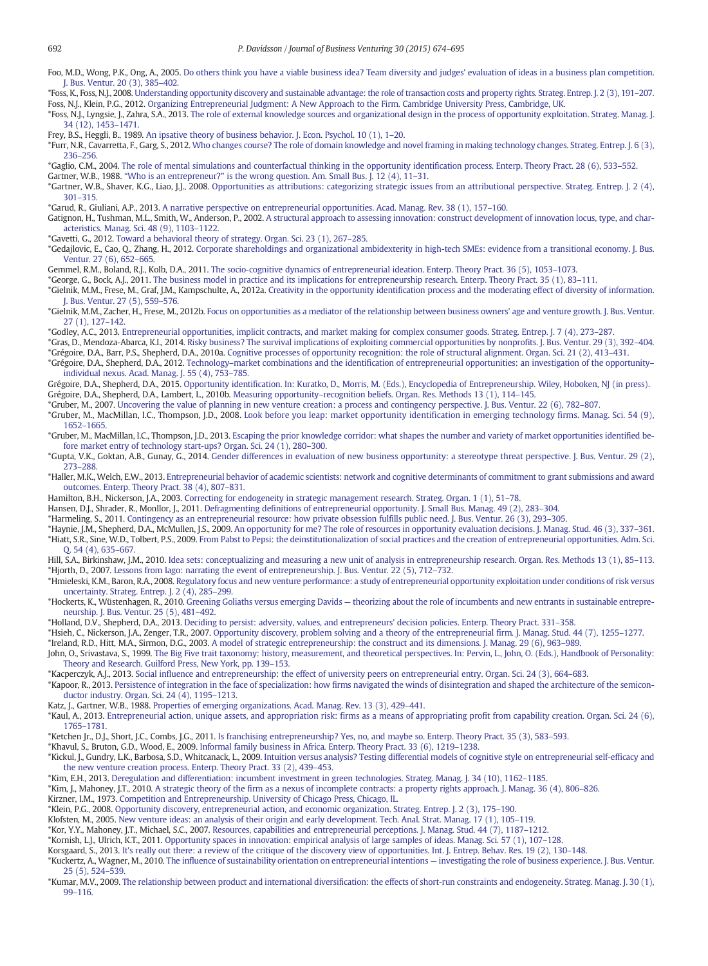<span id="page-18-0"></span>Foo, M.D., Wong, P.K., Ong, A., 2005. [Do others think you have a viable business idea? Team diversity and judges' evaluation of ideas in a business plan competition.](http://refhub.elsevier.com/S0883-9026(15)00013-0/rf0400) [J. Bus. Ventur. 20 \(3\), 385](http://refhub.elsevier.com/S0883-9026(15)00013-0/rf0400)–402.

\*Foss, K., Foss, N.J., 2008. [Understanding opportunity discovery and sustainable advantage: the role of transaction costs and property rights. Strateg. Entrep. J. 2 \(3\), 191](http://refhub.elsevier.com/S0883-9026(15)00013-0/rf0405)–207. Foss, N.J., Klein, P.G., 2012. [Organizing Entrepreneurial Judgment: A New Approach to the Firm. Cambridge University Press, Cambridge, UK](http://refhub.elsevier.com/S0883-9026(15)00013-0/rf0410).

\*Foss, N.J., Lyngsie, J., Zahra, S.A., 2013. [The role of external knowledge sources and organizational design in the process of opportunity exploitation. Strateg. Manag. J.](http://refhub.elsevier.com/S0883-9026(15)00013-0/rf0415) [34 \(12\), 1453](http://refhub.elsevier.com/S0883-9026(15)00013-0/rf0415)–1471.

Frey, B.S., Heggli, B., 1989. [An ipsative theory of business behavior. J. Econ. Psychol. 10 \(1\), 1](http://refhub.elsevier.com/S0883-9026(15)00013-0/rf0420)–20.

\*Furr, N.R., Cavarretta, F., Garg, S., 2012. [Who changes course? The role of domain knowledge and novel framing in making technology changes. Strateg. Entrep. J. 6 \(3\),](http://refhub.elsevier.com/S0883-9026(15)00013-0/rf0425) 236–[256.](http://refhub.elsevier.com/S0883-9026(15)00013-0/rf0425)

\*Gaglio, C.M., 2004. [The role of mental simulations and counterfactual thinking in the opportunity identification process. Enterp. Theory Pract. 28 \(6\), 533](http://refhub.elsevier.com/S0883-9026(15)00013-0/rf0430)–552.

Gartner, W.B., 1988. "Who is an entrepreneur?" [is the wrong question. Am. Small Bus. J. 12 \(4\), 11](http://refhub.elsevier.com/S0883-9026(15)00013-0/rf0435)–31.

\*Gartner, W.B., Shaver, K.G., Liao, J.J., 2008. [Opportunities as attributions: categorizing strategic issues from an attributional perspective. Strateg. Entrep. J. 2 \(4\),](http://refhub.elsevier.com/S0883-9026(15)00013-0/rf0440) 301–[315.](http://refhub.elsevier.com/S0883-9026(15)00013-0/rf0440)

\*Garud, R., Giuliani, A.P., 2013. [A narrative perspective on entrepreneurial opportunities. Acad. Manag. Rev. 38 \(1\), 157](http://refhub.elsevier.com/S0883-9026(15)00013-0/rf0445)–160.

Gatignon, H., Tushman, M.L., Smith, W., Anderson, P., 2002. [A structural approach to assessing innovation: construct development of innovation locus, type, and char](http://refhub.elsevier.com/S0883-9026(15)00013-0/rf0450)[acteristics. Manag. Sci. 48 \(9\), 1103](http://refhub.elsevier.com/S0883-9026(15)00013-0/rf0450)–1122.

\*Gavetti, G., 2012. [Toward a behavioral theory of strategy. Organ. Sci. 23 \(1\), 267](http://refhub.elsevier.com/S0883-9026(15)00013-0/rf0455)–285.

\*Gedajlovic, E., Cao, Q., Zhang, H., 2012. [Corporate shareholdings and organizational ambidexterity in high-tech SMEs: evidence from a transitional economy. J. Bus.](http://refhub.elsevier.com/S0883-9026(15)00013-0/rf0460) [Ventur. 27 \(6\), 652](http://refhub.elsevier.com/S0883-9026(15)00013-0/rf0460)–665.

Gemmel, R.M., Boland, R.J., Kolb, D.A., 2011. [The socio-cognitive dynamics of entrepreneurial ideation. Enterp. Theory Pract. 36 \(5\), 1053](http://refhub.elsevier.com/S0883-9026(15)00013-0/rf0465)–1073.

\*George, G., Bock, A.J., 2011. [The business model in practice and its implications for entrepreneurship research. Enterp. Theory Pract. 35 \(1\), 83](http://refhub.elsevier.com/S0883-9026(15)00013-0/rf0470)–111.

\*Gielnik, M.M., Frese, M., Graf, J.M., Kampschulte, A., 2012a. [Creativity in the opportunity identification process and the moderating effect of diversity of information.](http://refhub.elsevier.com/S0883-9026(15)00013-0/rf0475) [J. Bus. Ventur. 27 \(5\), 559](http://refhub.elsevier.com/S0883-9026(15)00013-0/rf0475)–576.

\*Gielnik, M.M., Zacher, H., Frese, M., 2012b. [Focus on opportunities as a mediator of the relationship between business owners' age and venture growth. J. Bus. Ventur.](http://refhub.elsevier.com/S0883-9026(15)00013-0/rf0480) [27 \(1\), 127](http://refhub.elsevier.com/S0883-9026(15)00013-0/rf0480)–142.

\*Godley, A.C., 2013. [Entrepreneurial opportunities, implicit contracts, and market making for complex consumer goods. Strateg. Entrep. J. 7 \(4\), 273](http://refhub.elsevier.com/S0883-9026(15)00013-0/rf0485)–287.

\*Gras, D., Mendoza-Abarca, K.I., 2014. [Risky business? The survival implications of exploiting commercial opportunities by nonprofits. J. Bus. Ventur. 29 \(3\), 392](http://refhub.elsevier.com/S0883-9026(15)00013-0/rf0490)–404. \*Grégoire, D.A., Barr, P.S., Shepherd, D.A., 2010a. [Cognitive processes of opportunity recognition: the role of structural alignment. Organ. Sci. 21 \(2\), 413](http://refhub.elsevier.com/S0883-9026(15)00013-0/rf0495)–431.

\*Grégoire, D.A., Shepherd, D.A., 2012. Technology–[market combinations and the identification of entrepreneurial opportunities: an investigation of the opportunity](http://refhub.elsevier.com/S0883-9026(15)00013-0/rf0500)– [individual nexus. Acad. Manag. J. 55 \(4\), 753](http://refhub.elsevier.com/S0883-9026(15)00013-0/rf0500)–785.

Grégoire, D.A., Shepherd, D.A., 2015. [Opportunity identification. In: Kuratko, D., Morris, M. \(Eds.\), Encyclopedia of Entrepreneurship. Wiley, Hoboken, NJ \(in press\)](http://refhub.elsevier.com/S0883-9026(15)00013-0/rf1345). Grégoire, D.A., Shepherd, D.A., Lambert, L., 2010b. Measuring opportunity–[recognition beliefs. Organ. Res. Methods 13 \(1\), 114](http://refhub.elsevier.com/S0883-9026(15)00013-0/rf0505)–145.

\*Gruber, M., 2007. [Uncovering the value of planning in new venture creation: a process and contingency perspective. J. Bus. Ventur. 22 \(6\), 782](http://refhub.elsevier.com/S0883-9026(15)00013-0/rf0510)–807.

\*Gruber, M., MacMillan, I.C., Thompson, J.D., 2008. [Look before you leap: market opportunity identification in emerging technology firms. Manag. Sci. 54 \(9\),](http://refhub.elsevier.com/S0883-9026(15)00013-0/rf0515) 1652–[1665.](http://refhub.elsevier.com/S0883-9026(15)00013-0/rf0515)

\*Gruber, M., MacMillan, I.C., Thompson, J.D., 2013. [Escaping the prior knowledge corridor: what shapes the number and variety of market opportunities identified be](http://refhub.elsevier.com/S0883-9026(15)00013-0/rf0520)[fore market entry of technology start-ups? Organ. Sci. 24 \(1\), 280](http://refhub.elsevier.com/S0883-9026(15)00013-0/rf0520)–300.

\*Gupta, V.K., Goktan, A.B., Gunay, G., 2014. [Gender differences in evaluation of new business opportunity: a stereotype threat perspective. J. Bus. Ventur. 29 \(2\),](http://refhub.elsevier.com/S0883-9026(15)00013-0/rf0525) 273–[288.](http://refhub.elsevier.com/S0883-9026(15)00013-0/rf0525)

\*Haller, M.K., Welch, E.W., 2013. [Entrepreneurial behavior of academic scientists: network and cognitive determinants of commitment to grant submissions and award](http://refhub.elsevier.com/S0883-9026(15)00013-0/rf0530) [outcomes. Enterp. Theory Pract. 38 \(4\), 807](http://refhub.elsevier.com/S0883-9026(15)00013-0/rf0530)–831.

Hamilton, B.H., Nickerson, J.A., 2003. [Correcting for endogeneity in strategic management research. Strateg. Organ. 1 \(1\), 51](http://refhub.elsevier.com/S0883-9026(15)00013-0/rf0535)–78.

Hansen, D.J., Shrader, R., Monllor, J., 2011. [Defragmenting definitions of entrepreneurial opportunity. J. Small Bus. Manag. 49 \(2\), 283](http://refhub.elsevier.com/S0883-9026(15)00013-0/rf0540)–304.

\*Harmeling, S., 2011. [Contingency as an entrepreneurial resource: how private obsession fulfills public need. J. Bus. Ventur. 26 \(3\), 293](http://refhub.elsevier.com/S0883-9026(15)00013-0/rf0545)–305.

\*Haynie, J.M., Shepherd, D.A., McMullen, J.S., 2009. [An opportunity for me? The role of resources in opportunity evaluation decisions. J. Manag. Stud. 46 \(3\), 337](http://refhub.elsevier.com/S0883-9026(15)00013-0/rf0550)–361. \*Hiatt, S.R., Sine, W.D., Tolbert, P.S., 2009. [From Pabst to Pepsi: the deinstitutionalization of social practices and the creation of entrepreneurial opportunities. Adm. Sci.](http://refhub.elsevier.com/S0883-9026(15)00013-0/rf0555) [Q. 54 \(4\), 635](http://refhub.elsevier.com/S0883-9026(15)00013-0/rf0555)–667.

Hill, S.A., Birkinshaw, J.M., 2010. [Idea sets: conceptualizing and measuring a new unit of analysis in entrepreneurship research. Organ. Res. Methods 13 \(1\), 85](http://refhub.elsevier.com/S0883-9026(15)00013-0/rf0560)–113. \*Hjorth, D., 2007. [Lessons from Iago: narrating the event of entrepreneurship. J. Bus. Ventur. 22 \(5\), 712](http://refhub.elsevier.com/S0883-9026(15)00013-0/rf0565)–732.

\*Hmieleski, K.M., Baron, R.A., 2008. [Regulatory focus and new venture performance: a study of entrepreneurial opportunity exploitation under conditions of risk versus](http://refhub.elsevier.com/S0883-9026(15)00013-0/rf0570) [uncertainty. Strateg. Entrep. J. 2 \(4\), 285](http://refhub.elsevier.com/S0883-9026(15)00013-0/rf0570)–299.

\*Hockerts, K., Wüstenhagen, R., 2010. Greening Goliaths versus emerging Davids — [theorizing about the role of incumbents and new entrants in sustainable entrepre](http://refhub.elsevier.com/S0883-9026(15)00013-0/rf0575)[neurship. J. Bus. Ventur. 25 \(5\), 481](http://refhub.elsevier.com/S0883-9026(15)00013-0/rf0575)–492.

\*Holland, D.V., Shepherd, D.A., 2013. [Deciding to persist: adversity, values, and entrepreneurs' decision policies. Enterp. Theory Pract. 331](http://refhub.elsevier.com/S0883-9026(15)00013-0/rf0580)–358.

\*Hsieh, C., Nickerson, J.A., Zenger, T.R., 2007. [Opportunity discovery, problem solving and a theory of the entrepreneurial firm. J. Manag. Stud. 44 \(7\), 1255](http://refhub.elsevier.com/S0883-9026(15)00013-0/rf0585)–1277.

\*Ireland, R.D., Hitt, M.A., Sirmon, D.G., 2003. [A model of strategic entrepreneurship: the construct and its dimensions. J. Manag. 29 \(6\), 963](http://refhub.elsevier.com/S0883-9026(15)00013-0/rf0590)–989.

John, O., Srivastava, S., 1999. [The Big Five trait taxonomy: history, measurement, and theoretical perspectives. In: Pervin, L., John, O. \(Eds.\), Handbook of Personality:](http://refhub.elsevier.com/S0883-9026(15)00013-0/rf0595) [Theory and Research. Guilford Press, New York, pp. 139](http://refhub.elsevier.com/S0883-9026(15)00013-0/rf0595)–153.

\*Kacperczyk, A.J., 2013. [Social influence and entrepreneurship: the effect of university peers on entrepreneurial entry. Organ. Sci. 24 \(3\), 664](http://refhub.elsevier.com/S0883-9026(15)00013-0/rf0600)–683.

\*Kapoor, R., 2013. [Persistence of integration in the face of specialization: how firms navigated the winds of disintegration and shaped the architecture of the semicon](http://refhub.elsevier.com/S0883-9026(15)00013-0/rf0605)[ductor industry. Organ. Sci. 24 \(4\), 1195](http://refhub.elsevier.com/S0883-9026(15)00013-0/rf0605)–1213.

Katz, J., Gartner, W.B., 1988. [Properties of emerging organizations. Acad. Manag. Rev. 13 \(3\), 429](http://refhub.elsevier.com/S0883-9026(15)00013-0/rf0610)–441.

\*Kaul, A., 2013. [Entrepreneurial action, unique assets, and appropriation risk: firms as a means of appropriating profit from capability creation. Organ. Sci. 24 \(6\),](http://refhub.elsevier.com/S0883-9026(15)00013-0/rf0615) 1765–[1781.](http://refhub.elsevier.com/S0883-9026(15)00013-0/rf0615)

\*Ketchen Jr., D.J., Short, J.C., Combs, J.G., 2011. [Is franchising entrepreneurship? Yes, no, and maybe so. Enterp. Theory Pract. 35 \(3\), 583](http://refhub.elsevier.com/S0883-9026(15)00013-0/rf0620)–593.

\*Khavul, S., Bruton, G.D., Wood, E., 2009. [Informal family business in Africa. Enterp. Theory Pract. 33 \(6\), 1219](http://refhub.elsevier.com/S0883-9026(15)00013-0/rf0625)–1238.

\*Kickul, J., Gundry, L.K., Barbosa, S.D., Whitcanack, L., 2009. [Intuition versus analysis? Testing differential models of cognitive style on entrepreneurial self](http://refhub.elsevier.com/S0883-9026(15)00013-0/rf0630)‐efficacy and [the new venture creation process. Enterp. Theory Pract. 33 \(2\), 439](http://refhub.elsevier.com/S0883-9026(15)00013-0/rf0630)–453.

\*Kim, E.H., 2013. [Deregulation and differentiation: incumbent investment in green technologies. Strateg. Manag. J. 34 \(10\), 1162](http://refhub.elsevier.com/S0883-9026(15)00013-0/rf0635)–1185.

\*Kim, J., Mahoney, J.T., 2010. [A strategic theory of the firm as a nexus of incomplete contracts: a property rights approach. J. Manag. 36 \(4\), 806](http://refhub.elsevier.com/S0883-9026(15)00013-0/rf0640)–826.

Kirzner, I.M., 1973. [Competition and Entrepreneurship. University of Chicago Press, Chicago, IL.](http://refhub.elsevier.com/S0883-9026(15)00013-0/rf0645)

\*Klein, P.G., 2008. [Opportunity discovery, entrepreneurial action, and economic organization. Strateg. Entrep. J. 2 \(3\), 175](http://refhub.elsevier.com/S0883-9026(15)00013-0/rf0650)–190.

Klofsten, M., 2005. [New venture ideas: an analysis of their origin and early development. Tech. Anal. Strat. Manag. 17 \(1\), 105](http://refhub.elsevier.com/S0883-9026(15)00013-0/rf0655)–119.

\*Kor, Y.Y., Mahoney, J.T., Michael, S.C., 2007. [Resources, capabilities and entrepreneurial perceptions. J. Manag. Stud. 44 \(7\), 1187](http://refhub.elsevier.com/S0883-9026(15)00013-0/rf0660)–1212.

\*Kornish, L.J., Ulrich, K.T., 2011. [Opportunity spaces in innovation: empirical analysis of large samples of ideas. Manag. Sci. 57 \(1\), 107](http://refhub.elsevier.com/S0883-9026(15)00013-0/rf0665)–128.

Korsgaard, S., 2013. [It's really out there: a review of the critique of the discovery view of opportunities. Int. J. Entrep. Behav. Res. 19 \(2\), 130](http://refhub.elsevier.com/S0883-9026(15)00013-0/rf0670)–148.

\*Kuckertz, A., Wagner, M., 2010. [The influence of sustainability orientation on entrepreneurial intentions](http://refhub.elsevier.com/S0883-9026(15)00013-0/rf0675) — investigating the role of business experience. J. Bus. Ventur. [25 \(5\), 524](http://refhub.elsevier.com/S0883-9026(15)00013-0/rf0675)–539.

\*Kumar, M.V., 2009. [The relationship between product and international diversification: the effects of short](http://refhub.elsevier.com/S0883-9026(15)00013-0/rf0680)‐run constraints and endogeneity. Strateg. Manag. J. 30 (1), 99–[116](http://refhub.elsevier.com/S0883-9026(15)00013-0/rf0680).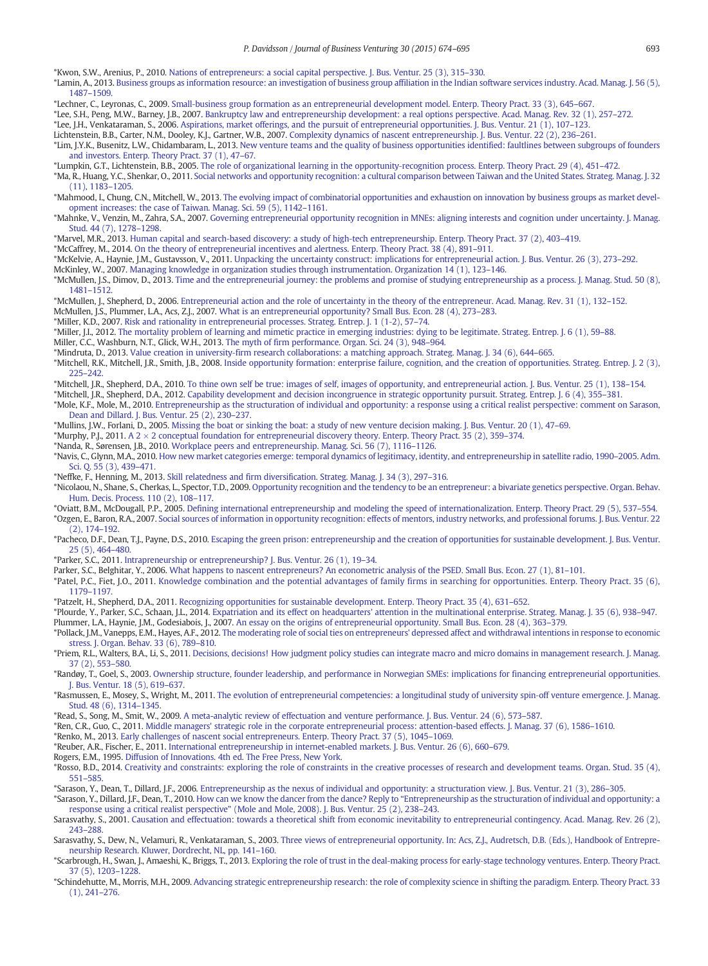<span id="page-19-0"></span>\*Kwon, S.W., Arenius, P., 2010. [Nations of entrepreneurs: a social capital perspective. J. Bus. Ventur. 25 \(3\), 315](http://refhub.elsevier.com/S0883-9026(15)00013-0/rf0685)–330. \*Lamin, A., 2013. [Business groups as information resource: an investigation of business group affiliation in the Indian software services industry. Acad. Manag. J. 56 \(5\),](http://refhub.elsevier.com/S0883-9026(15)00013-0/rf0690) [1487](http://refhub.elsevier.com/S0883-9026(15)00013-0/rf0690)–1509. \*Lechner, C., Leyronas, C., 2009. Small‐[business group formation as an entrepreneurial development model. Enterp. Theory Pract. 33 \(3\), 645](http://refhub.elsevier.com/S0883-9026(15)00013-0/rf0695)–667. \*Lee, S.H., Peng, M.W., Barney, J.B., 2007. [Bankruptcy law and entrepreneurship development: a real options perspective. Acad. Manag. Rev. 32 \(1\), 257](http://refhub.elsevier.com/S0883-9026(15)00013-0/rf0700)–272. \*Lee, J.H., Venkataraman, S., 2006. [Aspirations, market offerings, and the pursuit of entrepreneurial opportunities. J. Bus. Ventur. 21 \(1\), 107](http://refhub.elsevier.com/S0883-9026(15)00013-0/rf0705)–123. Lichtenstein, B.B., Carter, N.M., Dooley, K.J., Gartner, W.B., 2007. [Complexity dynamics of nascent entrepreneurship. J. Bus. Ventur. 22 \(2\), 236](http://refhub.elsevier.com/S0883-9026(15)00013-0/rf0710)–261. \*Lim, J.Y.K., Busenitz, L.W., Chidambaram, L., 2013. [New venture teams and the quality of business opportunities identified: faultlines between subgroups of founders](http://refhub.elsevier.com/S0883-9026(15)00013-0/rf0715) [and investors. Enterp. Theory Pract. 37 \(1\), 47](http://refhub.elsevier.com/S0883-9026(15)00013-0/rf0715)–67. \*Lumpkin, G.T., Lichtenstein, B.B., 2005. [The role of organizational learning in the opportunity](http://refhub.elsevier.com/S0883-9026(15)00013-0/rf0720)‐recognition process. Enterp. Theory Pract. 29 (4), 451–472. \*Ma, R., Huang, Y.C., Shenkar, O., 2011. [Social networks and opportunity recognition: a cultural comparison between Taiwan and the United States. Strateg. Manag. J. 32](http://refhub.elsevier.com/S0883-9026(15)00013-0/rf0725) [\(11\), 1183](http://refhub.elsevier.com/S0883-9026(15)00013-0/rf0725)–1205. \*Mahmood, I., Chung, C.N., Mitchell, W., 2013. [The evolving impact of combinatorial opportunities and exhaustion on innovation by business groups as market devel](http://refhub.elsevier.com/S0883-9026(15)00013-0/rf0730)[opment increases: the case of Taiwan. Manag. Sci. 59 \(5\), 1142](http://refhub.elsevier.com/S0883-9026(15)00013-0/rf0730)–1161. \*Mahnke, V., Venzin, M., Zahra, S.A., 2007. [Governing entrepreneurial opportunity recognition in MNEs: aligning interests and cognition under uncertainty. J. Manag.](http://refhub.elsevier.com/S0883-9026(15)00013-0/rf0735) [Stud. 44 \(7\), 1278](http://refhub.elsevier.com/S0883-9026(15)00013-0/rf0735)–1298. \*Marvel, M.R., 2013. Human capital and search‐based discovery: a study of high‐[tech entrepreneurship. Enterp. Theory Pract. 37 \(2\), 403](http://refhub.elsevier.com/S0883-9026(15)00013-0/rf0740)–419. \*McCaffrey, M., 2014. [On the theory of entrepreneurial incentives and alertness. Enterp. Theory Pract. 38 \(4\), 891](http://refhub.elsevier.com/S0883-9026(15)00013-0/rf0745)–911. \*McKelvie, A., Haynie, J.M., Gustavsson, V., 2011. [Unpacking the uncertainty construct: implications for entrepreneurial action. J. Bus. Ventur. 26 \(3\), 273](http://refhub.elsevier.com/S0883-9026(15)00013-0/rf0750)–292. McKinley, W., 2007. [Managing knowledge in organization studies through instrumentation. Organization 14 \(1\), 123](http://refhub.elsevier.com/S0883-9026(15)00013-0/rf0755)–146. \*McMullen, J.S., Dimov, D., 2013. [Time and the entrepreneurial journey: the problems and promise of studying entrepreneurship as a process. J. Manag. Stud. 50 \(8\),](http://refhub.elsevier.com/S0883-9026(15)00013-0/rf0760) [1481](http://refhub.elsevier.com/S0883-9026(15)00013-0/rf0760)–1512. \*McMullen, J., Shepherd, D., 2006. [Entrepreneurial action and the role of uncertainty in the theory of the entrepreneur. Acad. Manag. Rev. 31 \(1\), 132](http://refhub.elsevier.com/S0883-9026(15)00013-0/rf0765)–152. McMullen, J.S., Plummer, L.A., Acs, Z.J., 2007. [What is an entrepreneurial opportunity? Small Bus. Econ. 28 \(4\), 273](http://refhub.elsevier.com/S0883-9026(15)00013-0/rf0770)–283. \*Miller, K.D., 2007. [Risk and rationality in entrepreneurial processes. Strateg. Entrep. J. 1 \(1](http://refhub.elsevier.com/S0883-9026(15)00013-0/rf1335)‐2), 57–74. \*Miller, J.I., 2012. [The mortality problem of learning and mimetic practice in emerging industries: dying to be legitimate. Strateg. Entrep. J. 6 \(1\), 59](http://refhub.elsevier.com/S0883-9026(15)00013-0/rf0775)–88. Miller, C.C., Washburn, N.T., Glick, W.H., 2013. [The myth of firm performance. Organ. Sci. 24 \(3\), 948](http://refhub.elsevier.com/S0883-9026(15)00013-0/rf0780)–964. \*Mindruta, D., 2013. Value creation in university‐[firm research collaborations: a matching approach. Strateg. Manag. J. 34 \(6\), 644](http://refhub.elsevier.com/S0883-9026(15)00013-0/rf0785)–665. \*Mitchell, R.K., Mitchell, J.R., Smith, J.B., 2008. [Inside opportunity formation: enterprise failure, cognition, and the creation of opportunities. Strateg. Entrep. J. 2 \(3\),](http://refhub.elsevier.com/S0883-9026(15)00013-0/rf0790) [225](http://refhub.elsevier.com/S0883-9026(15)00013-0/rf0790)–242. \*Mitchell, J.R., Shepherd, D.A., 2010. [To thine own self be true: images of self, images of opportunity, and entrepreneurial action. J. Bus. Ventur. 25 \(1\), 138](http://refhub.elsevier.com/S0883-9026(15)00013-0/rf0795)–154. \*Mitchell, J.R., Shepherd, D.A., 2012. [Capability development and decision incongruence in strategic opportunity pursuit. Strateg. Entrep. J. 6 \(4\), 355](http://refhub.elsevier.com/S0883-9026(15)00013-0/rf0800)–381. \*Mole, K.F., Mole, M., 2010. [Entrepreneurship as the structuration of individual and opportunity: a response using a critical realist perspective: comment on Sarason,](http://refhub.elsevier.com/S0883-9026(15)00013-0/rf0805) [Dean and Dillard. J. Bus. Ventur. 25 \(2\), 230](http://refhub.elsevier.com/S0883-9026(15)00013-0/rf0805)–237. \*Mullins, J.W., Forlani, D., 2005. [Missing the boat or sinking the boat: a study of new venture decision making. J. Bus. Ventur. 20 \(1\), 47](http://refhub.elsevier.com/S0883-9026(15)00013-0/rf0810)–69. \*Murphy, P.J., 2011. [A 2 × 2 conceptual foundation for entrepreneurial discovery theory. Enterp. Theory Pract. 35 \(2\), 359](http://refhub.elsevier.com/S0883-9026(15)00013-0/rf0815)–374. \*Nanda, R., Sørensen, J.B., 2010. [Workplace peers and entrepreneurship. Manag. Sci. 56 \(7\), 1116](http://refhub.elsevier.com/S0883-9026(15)00013-0/rf0820)–1126. \*Navis, C., Glynn, M.A., 2010. [How new market categories emerge: temporal dynamics of legitimacy, identity, and entrepreneurship in satellite radio, 1990](http://refhub.elsevier.com/S0883-9026(15)00013-0/rf0825)–2005. Adm. [Sci. Q. 55 \(3\), 439](http://refhub.elsevier.com/S0883-9026(15)00013-0/rf0825)–471. \*Neffke, F., Henning, M., 2013. [Skill relatedness and firm diversification. Strateg. Manag. J. 34 \(3\), 297](http://refhub.elsevier.com/S0883-9026(15)00013-0/rf0830)–316. \*Nicolaou, N., Shane, S., Cherkas, L., Spector, T.D., 2009. [Opportunity recognition and the tendency to be an entrepreneur: a bivariate genetics perspective. Organ. Behav.](http://refhub.elsevier.com/S0883-9026(15)00013-0/rf0835) [Hum. Decis. Process. 110 \(2\), 108](http://refhub.elsevier.com/S0883-9026(15)00013-0/rf0835)–117. \*Oviatt, B.M., McDougall, P.P., 2005. [Defining international entrepreneurship and modeling the speed of internationalization. Enterp. Theory Pract. 29 \(5\), 537](http://refhub.elsevier.com/S0883-9026(15)00013-0/rf0840)–554. \*Ozgen, E., Baron, R.A., 2007. [Social sources of information in opportunity recognition: effects of mentors, industry networks, and professional forums. J. Bus. Ventur. 22](http://refhub.elsevier.com/S0883-9026(15)00013-0/rf0845)  $(2)$ , 174–192. \*Pacheco, D.F., Dean, T.J., Payne, D.S., 2010. [Escaping the green prison: entrepreneurship and the creation of opportunities for sustainable development. J. Bus. Ventur.](http://refhub.elsevier.com/S0883-9026(15)00013-0/rf0850) [25 \(5\), 464](http://refhub.elsevier.com/S0883-9026(15)00013-0/rf0850)–480. \*Parker, S.C., 2011. [Intrapreneurship or entrepreneurship? J. Bus. Ventur. 26 \(1\), 19](http://refhub.elsevier.com/S0883-9026(15)00013-0/rf0855)–34. Parker, S.C., Belghitar, Y., 2006. [What happens to nascent entrepreneurs? An econometric analysis of the PSED. Small Bus. Econ. 27 \(1\), 81](http://refhub.elsevier.com/S0883-9026(15)00013-0/rf0860)–101. \*Patel, P.C., Fiet, J.O., 2011. [Knowledge combination and the potential advantages of family firms in searching for opportunities. Enterp. Theory Pract. 35 \(6\),](http://refhub.elsevier.com/S0883-9026(15)00013-0/rf0865) [1179](http://refhub.elsevier.com/S0883-9026(15)00013-0/rf0865)–1197. \*Patzelt, H., Shepherd, D.A., 2011. [Recognizing opportunities for sustainable development. Enterp. Theory Pract. 35 \(4\), 631](http://refhub.elsevier.com/S0883-9026(15)00013-0/rf0870)–652. \*Plourde, Y., Parker, S.C., Schaan, J.L., 2014. [Expatriation and its effect on headquarters' attention in the multinational enterprise. Strateg. Manag. J. 35 \(6\), 938](http://refhub.elsevier.com/S0883-9026(15)00013-0/rf0875)–947. Plummer, L.A., Haynie, J.M., Godesiabois, J., 2007. [An essay on the origins of entrepreneurial opportunity. Small Bus. Econ. 28 \(4\), 363](http://refhub.elsevier.com/S0883-9026(15)00013-0/rf0880)–379. \*Pollack, J.M., Vanepps, E.M., Hayes, A.F., 2012. [The moderating role of social ties on entrepreneurs' depressed affect and withdrawal intentions in response to economic](http://refhub.elsevier.com/S0883-9026(15)00013-0/rf0885) [stress. J. Organ. Behav. 33 \(6\), 789](http://refhub.elsevier.com/S0883-9026(15)00013-0/rf0885)–810. \*Priem, R.L., Walters, B.A., Li, S., 2011. [Decisions, decisions! How judgment policy studies can integrate macro and micro domains in management research. J. Manag.](http://refhub.elsevier.com/S0883-9026(15)00013-0/rf0890) [37 \(2\), 553](http://refhub.elsevier.com/S0883-9026(15)00013-0/rf0890)–580. \*Randøy, T., Goel, S., 2003. [Ownership structure, founder leadership, and performance in Norwegian SMEs: implications for financing entrepreneurial opportunities.](http://refhub.elsevier.com/S0883-9026(15)00013-0/rf0895) [J. Bus. Ventur. 18 \(5\), 619](http://refhub.elsevier.com/S0883-9026(15)00013-0/rf0895)–637. P. Davidsson / Journal of Business Venturing 30 (2015) 674–695 693

\*Rasmussen, E., Mosey, S., Wright, M., 2011. [The evolution of entrepreneurial competencies: a longitudinal study of university spin](http://refhub.elsevier.com/S0883-9026(15)00013-0/rf0900)‐off venture emergence. J. Manag. [Stud. 48 \(6\), 1314](http://refhub.elsevier.com/S0883-9026(15)00013-0/rf0900)–1345.

\*Read, S., Song, M., Smit, W., 2009. [A meta-analytic review of effectuation and venture performance. J. Bus. Ventur. 24 \(6\), 573](http://refhub.elsevier.com/S0883-9026(15)00013-0/rf0905)–587.

\*Ren, C.R., Guo, C., 2011. [Middle managers' strategic role in the corporate entrepreneurial process: attention-based effects. J. Manag. 37 \(6\), 1586](http://refhub.elsevier.com/S0883-9026(15)00013-0/rf0910)–1610.

\*Renko, M., 2013. [Early challenges of nascent social entrepreneurs. Enterp. Theory Pract. 37 \(5\), 1045](http://refhub.elsevier.com/S0883-9026(15)00013-0/rf0915)–1069.

\*Reuber, A.R., Fischer, E., 2011. [International entrepreneurship in internet-enabled markets. J. Bus. Ventur. 26 \(6\), 660](http://refhub.elsevier.com/S0883-9026(15)00013-0/rf0920)–679.

Rogers, E.M., 1995. [Diffusion of Innovations. 4th ed. The Free Press, New York.](http://refhub.elsevier.com/S0883-9026(15)00013-0/rf0925)

\*Rosso, B.D., 2014. [Creativity and constraints: exploring the role of constraints in the creative processes of research and development teams. Organ. Stud. 35 \(4\),](http://refhub.elsevier.com/S0883-9026(15)00013-0/rf0930) [551](http://refhub.elsevier.com/S0883-9026(15)00013-0/rf0930)–585.

\*Sarason, Y., Dean, T., Dillard, J.F., 2006. [Entrepreneurship as the nexus of individual and opportunity: a structuration view. J. Bus. Ventur. 21 \(3\), 286](http://refhub.elsevier.com/S0883-9026(15)00013-0/rf0935)–305.

\*Sarason, Y., Dillard, J.F., Dean, T., 2010. How can we know the dancer from the dance? Reply to "[Entrepreneurship as the structuration of individual and opportunity: a](http://refhub.elsevier.com/S0883-9026(15)00013-0/rf0940) response using a critical realist perspective" [\(Mole and Mole, 2008\). J. Bus. Ventur. 25 \(2\), 238](http://refhub.elsevier.com/S0883-9026(15)00013-0/rf0940)–243.

Sarasvathy, S., 2001. [Causation and effectuation: towards a theoretical shift from economic inevitability to entrepreneurial contingency. Acad. Manag. Rev. 26 \(2\),](http://refhub.elsevier.com/S0883-9026(15)00013-0/rf0945) [243](http://refhub.elsevier.com/S0883-9026(15)00013-0/rf0945)–288.

Sarasvathy, S., Dew, N., Velamuri, R., Venkataraman, S., 2003. [Three views of entrepreneurial opportunity. In: Acs, Z.J., Audretsch, D.B. \(Eds.\), Handbook of Entrepre](http://refhub.elsevier.com/S0883-9026(15)00013-0/rf0950)[neurship Research. Kluwer, Dordrecht, NL, pp. 141](http://refhub.elsevier.com/S0883-9026(15)00013-0/rf0950)–160.

\*Scarbrough, H., Swan, J., Amaeshi, K., Briggs, T., 2013. Exploring the role of trust in the deal‐making process for early‐[stage technology ventures. Enterp. Theory Pract.](http://refhub.elsevier.com/S0883-9026(15)00013-0/rf0955) [37 \(5\), 1203](http://refhub.elsevier.com/S0883-9026(15)00013-0/rf0955)–1228.

\*Schindehutte, M., Morris, M.H., 2009. [Advancing strategic entrepreneurship research: the role of complexity science in shifting the paradigm. Enterp. Theory Pract. 33](http://refhub.elsevier.com/S0883-9026(15)00013-0/rf0960)  $(1)$ , 241–276.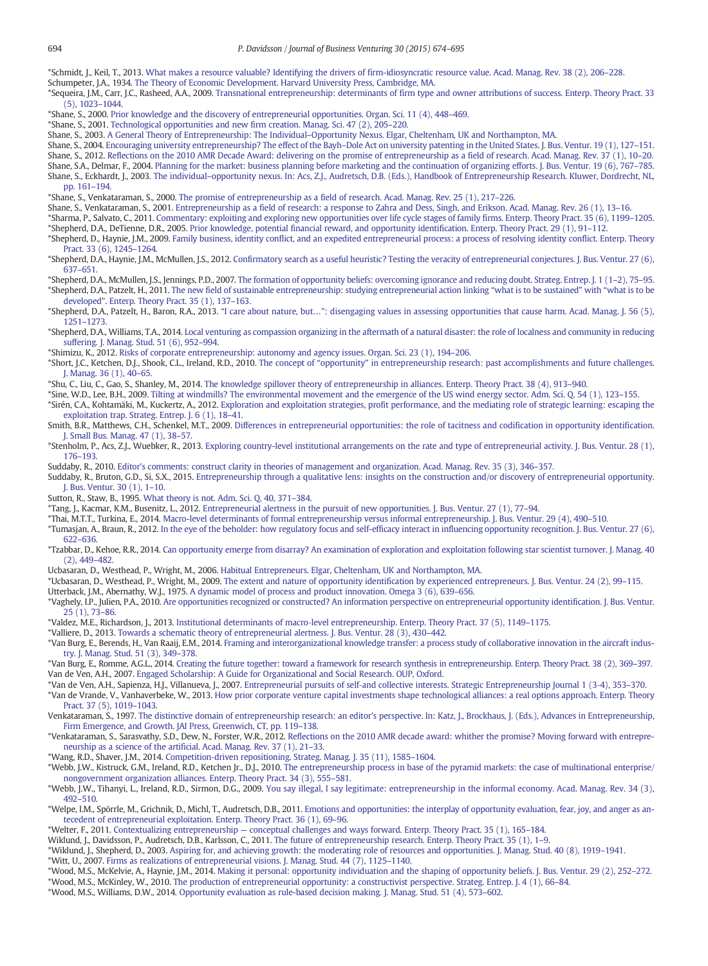<span id="page-20-0"></span>\*Schmidt, J., Keil, T., 2013. [What makes a resource valuable? Identifying the drivers of firm-idiosyncratic resource value. Acad. Manag. Rev. 38 \(2\), 206](http://refhub.elsevier.com/S0883-9026(15)00013-0/rf0965)–228.

Schumpeter, J.A., 1934. [The Theory of Economic Development. Harvard University Press, Cambridge, MA](http://refhub.elsevier.com/S0883-9026(15)00013-0/rf0970).

\*Sequeira, J.M., Carr, J.C., Rasheed, A.A., 2009. [Transnational entrepreneurship: determinants of firm type and owner attributions of success. Enterp. Theory Pract. 33](http://refhub.elsevier.com/S0883-9026(15)00013-0/rf0975) [\(5\), 1023](http://refhub.elsevier.com/S0883-9026(15)00013-0/rf0975)–1044.

\*Shane, S., 2000. [Prior knowledge and the discovery of entrepreneurial opportunities. Organ. Sci. 11 \(4\), 448](http://refhub.elsevier.com/S0883-9026(15)00013-0/rf0980)–469.

\*Shane, S., 2001. [Technological opportunities and new firm creation. Manag. Sci. 47 \(2\), 205](http://refhub.elsevier.com/S0883-9026(15)00013-0/rf0985)–220.

Shane, S., 2003. A General Theory of Entrepreneurship: The Individual–[Opportunity Nexus. Elgar, Cheltenham, UK and Northampton, MA.](http://refhub.elsevier.com/S0883-9026(15)00013-0/rf0990)

Shane, S., 2004. Encouraging university entrepreneurship? The effect of the Bayh–[Dole Act on university patenting in the United States. J. Bus. Ventur. 19 \(1\), 127](http://refhub.elsevier.com/S0883-9026(15)00013-0/rf0995)–151. Shane, S., 2012. [Reflections on the 2010 AMR Decade Award: delivering on the promise of entrepreneurship as a field of research. Acad. Manag. Rev. 37 \(1\), 10](http://refhub.elsevier.com/S0883-9026(15)00013-0/rf1000)–20. Shane, S.A., Delmar, F., 2004. [Planning for the market: business planning before marketing and the continuation of organizing efforts. J. Bus. Ventur. 19 \(6\), 767](http://refhub.elsevier.com/S0883-9026(15)00013-0/rf1005)–785. Shane, S., Eckhardt, J., 2003. The individual–[opportunity nexus. In: Acs, Z.J., Audretsch, D.B. \(Eds.\), Handbook of Entrepreneurship Research. Kluwer, Dordrecht, NL,](http://refhub.elsevier.com/S0883-9026(15)00013-0/rf1010)

[pp. 161](http://refhub.elsevier.com/S0883-9026(15)00013-0/rf1010)–194. \*Shane, S., Venkataraman, S., 2000. [The promise of entrepreneurship as a field of research. Acad. Manag. Rev. 25 \(1\), 217](http://refhub.elsevier.com/S0883-9026(15)00013-0/rf1015)–226.

Shane, S., Venkataraman, S., 2001. [Entrepreneurship as a field of research: a response to Zahra and Dess, Singh, and Erikson. Acad. Manag. Rev. 26 \(1\), 13](http://refhub.elsevier.com/S0883-9026(15)00013-0/rf1020)–16.

\*Sharma, P., Salvato, C., 2011. [Commentary: exploiting and exploring new opportunities over life cycle stages of family firms. Enterp. Theory Pract. 35 \(6\), 1199](http://refhub.elsevier.com/S0883-9026(15)00013-0/rf1025)–1205.

\*Shepherd, D.A., DeTienne, D.R., 2005. [Prior knowledge, potential financial reward, and opportunity identification. Enterp. Theory Pract. 29 \(1\), 91](http://refhub.elsevier.com/S0883-9026(15)00013-0/rf1030)–112. \*Shepherd, D., Haynie, J.M., 2009. [Family business, identity conflict, and an expedited entrepreneurial process: a process of resolving identity conflict. Enterp. Theory](http://refhub.elsevier.com/S0883-9026(15)00013-0/rf1035)

[Pract. 33 \(6\), 1245](http://refhub.elsevier.com/S0883-9026(15)00013-0/rf1035)–1264.

\*Shepherd, D.A., Haynie, J.M., McMullen, J.S., 2012. [Confirmatory search as a useful heuristic? Testing the veracity of entrepreneurial conjectures. J. Bus. Ventur. 27 \(6\),](http://refhub.elsevier.com/S0883-9026(15)00013-0/rf1040) 637–[651.](http://refhub.elsevier.com/S0883-9026(15)00013-0/rf1040)

\*Shepherd, D.A., McMullen, J.S., Jennings, P.D., 2007. [The formation of opportunity beliefs: overcoming ignorance and reducing doubt. Strateg. Entrep. J. 1 \(1](http://refhub.elsevier.com/S0883-9026(15)00013-0/rf1045)–2), 75–95. \*Shepherd, D.A., Patzelt, H., 2011. [The new field of sustainable entrepreneurship: studying entrepreneurial action linking](http://refhub.elsevier.com/S0883-9026(15)00013-0/rf1050) "what is to be sustained" with "what is to be developed"[. Enterp. Theory Pract. 35 \(1\), 137](http://refhub.elsevier.com/S0883-9026(15)00013-0/rf1050)–163.

\*Shepherd, D.A., Patzelt, H., Baron, R.A., 2013. "I care about nature, but…"[: disengaging values in assessing opportunities that cause harm. Acad. Manag. J. 56 \(5\),](http://refhub.elsevier.com/S0883-9026(15)00013-0/rf1055) 1251–[1273.](http://refhub.elsevier.com/S0883-9026(15)00013-0/rf1055)

\*Shepherd, D.A., Williams, T.A., 2014. [Local venturing as compassion organizing in the aftermath of a natural disaster: the role of localness and community in reducing](http://refhub.elsevier.com/S0883-9026(15)00013-0/rf1060) [suffering. J. Manag. Stud. 51 \(6\), 952](http://refhub.elsevier.com/S0883-9026(15)00013-0/rf1060)–994.

\*Shimizu, K., 2012. [Risks of corporate entrepreneurship: autonomy and agency issues. Organ. Sci. 23 \(1\), 194](http://refhub.elsevier.com/S0883-9026(15)00013-0/rf1065)–206.

\*Short, J.C., Ketchen, D.J., Shook, C.L., Ireland, R.D., 2010. The concept of "opportunity" [in entrepreneurship research: past accomplishments and future challenges.](http://refhub.elsevier.com/S0883-9026(15)00013-0/rf1070) [J. Manag. 36 \(1\), 40](http://refhub.elsevier.com/S0883-9026(15)00013-0/rf1070)–65.

\*Shu, C., Liu, C., Gao, S., Shanley, M., 2014. [The knowledge spillover theory of entrepreneurship in alliances. Enterp. Theory Pract. 38 \(4\), 913](http://refhub.elsevier.com/S0883-9026(15)00013-0/rf1075)–940.

\*Sine, W.D., Lee, B.H., 2009. [Tilting at windmills? The environmental movement and the emergence of the US wind energy sector. Adm. Sci. Q. 54 \(1\), 123](http://refhub.elsevier.com/S0883-9026(15)00013-0/rf1080)–155.

\*Sirén, C.A., Kohtamäki, M., Kuckertz, A., 2012. [Exploration and exploitation strategies, profit performance, and the mediating role of strategic learning: escaping the](http://refhub.elsevier.com/S0883-9026(15)00013-0/rf1085) [exploitation trap. Strateg. Entrep. J. 6 \(1\), 18](http://refhub.elsevier.com/S0883-9026(15)00013-0/rf1085)–41.

Smith, B.R., Matthews, C.H., Schenkel, M.T., 2009. [Differences in entrepreneurial opportunities: the role of tacitness and codification in opportunity identification.](http://refhub.elsevier.com/S0883-9026(15)00013-0/rf1090) [J. Small Bus. Manag. 47 \(1\), 38](http://refhub.elsevier.com/S0883-9026(15)00013-0/rf1090)–57.

\*Stenholm, P., Acs, Z.J., Wuebker, R., 2013. [Exploring country-level institutional arrangements on the rate and type of entrepreneurial activity. J. Bus. Ventur. 28 \(1\),](http://refhub.elsevier.com/S0883-9026(15)00013-0/rf1095) 176–[193.](http://refhub.elsevier.com/S0883-9026(15)00013-0/rf1095)

Suddaby, R., 2010. [Editor's comments: construct clarity in theories of management and organization. Acad. Manag. Rev. 35 \(3\), 346](http://refhub.elsevier.com/S0883-9026(15)00013-0/rf1100)–357.

Suddaby, R., Bruton, G.D., Si, S.X., 2015. [Entrepreneurship through a qualitative lens: insights on the construction and/or discovery of entrepreneurial opportunity.](http://refhub.elsevier.com/S0883-9026(15)00013-0/rf1105) [J. Bus. Ventur. 30 \(1\), 1](http://refhub.elsevier.com/S0883-9026(15)00013-0/rf1105)–10.

Sutton, R., Staw, B., 1995. [What theory is not. Adm. Sci. Q. 40, 371](http://refhub.elsevier.com/S0883-9026(15)00013-0/rf1110)–384.

\*Tang, J., Kacmar, K.M., Busenitz, L., 2012. [Entrepreneurial alertness in the pursuit of new opportunities. J. Bus. Ventur. 27 \(1\), 77](http://refhub.elsevier.com/S0883-9026(15)00013-0/rf1115)–94.

\*Thai, M.T.T., Turkina, E., 2014. [Macro-level determinants of formal entrepreneurship versus informal entrepreneurship. J. Bus. Ventur. 29 \(4\), 490](http://refhub.elsevier.com/S0883-9026(15)00013-0/rf1120)–510.

\*Tumasjan, A., Braun, R., 2012. [In the eye of the beholder: how regulatory focus and self-efficacy interact in influencing opportunity recognition. J. Bus. Ventur. 27 \(6\),](http://refhub.elsevier.com/S0883-9026(15)00013-0/rf1125) 622–[636.](http://refhub.elsevier.com/S0883-9026(15)00013-0/rf1125)

\*Tzabbar, D., Kehoe, R.R., 2014. [Can opportunity emerge from disarray? An examination of exploration and exploitation following star scientist turnover. J. Manag. 40](http://refhub.elsevier.com/S0883-9026(15)00013-0/rf1130)  $(2)$ , 449–482.

Ucbasaran, D., Westhead, P., Wright, M., 2006. [Habitual Entrepreneurs. Elgar, Cheltenham, UK and Northampton, MA](http://refhub.elsevier.com/S0883-9026(15)00013-0/rf1135).

\*Ucbasaran, D., Westhead, P., Wright, M., 2009. [The extent and nature of opportunity identification by experienced entrepreneurs. J. Bus. Ventur. 24 \(2\), 99](http://refhub.elsevier.com/S0883-9026(15)00013-0/rf1140)–115.

Utterback, J.M., Abernathy, W.J., 1975. [A dynamic model of process and product innovation. Omega 3 \(6\), 639](http://refhub.elsevier.com/S0883-9026(15)00013-0/rf1145)–656.

\*Vaghely, I.P., Julien, P.A., 2010. [Are opportunities recognized or constructed? An information perspective on entrepreneurial opportunity identification. J. Bus. Ventur.](http://refhub.elsevier.com/S0883-9026(15)00013-0/rf1150)  $25(1)$ , 73–86.

\*Valdez, M.E., Richardson, J., 2013. Institutional determinants of macro‐[level entrepreneurship. Enterp. Theory Pract. 37 \(5\), 1149](http://refhub.elsevier.com/S0883-9026(15)00013-0/rf1155)–1175.

\*Valliere, D., 2013. [Towards a schematic theory of entrepreneurial alertness. J. Bus. Ventur. 28 \(3\), 430](http://refhub.elsevier.com/S0883-9026(15)00013-0/rf1160)–442.

\*Van Burg, E., Berends, H., Van Raaij, E.M., 2014. [Framing and interorganizational knowledge transfer: a process study of collaborative innovation in the aircraft indus](http://refhub.elsevier.com/S0883-9026(15)00013-0/rf1165)[try. J. Manag. Stud. 51 \(3\), 349](http://refhub.elsevier.com/S0883-9026(15)00013-0/rf1165)–378.

\*Van Burg, E., Romme, A.G.L., 2014. [Creating the future together: toward a framework for research synthesis in entrepreneurship. Enterp. Theory Pract. 38 \(2\), 369](http://refhub.elsevier.com/S0883-9026(15)00013-0/rf1170)–397. Van de Ven, A.H., 2007. [Engaged Scholarship: A Guide for Organizational and Social Research. OUP, Oxford.](http://refhub.elsevier.com/S0883-9026(15)00013-0/rf1175)

\*Van de Ven, A.H., Sapienza, H.J., Villanueva, J., 2007. Entrepreneurial pursuits of self‐[and collective interests. Strategic Entrepreneurship Journal 1 \(3](http://refhub.elsevier.com/S0883-9026(15)00013-0/rf1340)‐4), 353–370. \*Van de Vrande, V., Vanhaverbeke, W., 2013. [How prior corporate venture capital investments shape technological alliances: a real options approach. Enterp. Theory](http://refhub.elsevier.com/S0883-9026(15)00013-0/rf1180) [Pract. 37 \(5\), 1019](http://refhub.elsevier.com/S0883-9026(15)00013-0/rf1180)–1043.

Venkataraman, S., 1997. [The distinctive domain of entrepreneurship research: an editor's perspective. In: Katz, J., Brockhaus, J. \(Eds.\), Advances in Entrepreneurship,](http://refhub.elsevier.com/S0883-9026(15)00013-0/rf1185) [Firm Emergence, and Growth. JAI Press, Greenwich, CT, pp. 119](http://refhub.elsevier.com/S0883-9026(15)00013-0/rf1185)–138.

\*Venkataraman, S., Sarasvathy, S.D., Dew, N., Forster, W.R., 2012. [Reflections on the 2010 AMR decade award: whither the promise? Moving forward with entrepre](http://refhub.elsevier.com/S0883-9026(15)00013-0/rf1190)[neurship as a science of the artificial. Acad. Manag. Rev. 37 \(1\), 21](http://refhub.elsevier.com/S0883-9026(15)00013-0/rf1190)–33.

\*Wang, R.D., Shaver, J.M., 2014. Competition‐[driven repositioning. Strateg. Manag. J. 35 \(11\), 1585](http://refhub.elsevier.com/S0883-9026(15)00013-0/rf1195)–1604.

\*Webb, J.W., Kistruck, G.M., Ireland, R.D., Ketchen Jr., D.J., 2010. [The entrepreneurship process in base of the pyramid markets: the case of multinational enterprise/](http://refhub.elsevier.com/S0883-9026(15)00013-0/rf1200) [nongovernment organization alliances. Enterp. Theory Pract. 34 \(3\), 555](http://refhub.elsevier.com/S0883-9026(15)00013-0/rf1200)–581.

\*Webb, J.W., Tihanyi, L., Ireland, R.D., Sirmon, D.G., 2009. [You say illegal, I say legitimate: entrepreneurship in the informal economy. Acad. Manag. Rev. 34 \(3\),](http://refhub.elsevier.com/S0883-9026(15)00013-0/rf1205) 492–[510.](http://refhub.elsevier.com/S0883-9026(15)00013-0/rf1205)

\*Welpe, I.M., Spörrle, M., Grichnik, D., Michl, T., Audretsch, D.B., 2011. [Emotions and opportunities: the interplay of opportunity evaluation, fear, joy, and anger as an](http://refhub.elsevier.com/S0883-9026(15)00013-0/rf1210)[tecedent of entrepreneurial exploitation. Enterp. Theory Pract. 36 \(1\), 69](http://refhub.elsevier.com/S0883-9026(15)00013-0/rf1210)–96.

\*Welter, F., 2011. Contextualizing entrepreneurship — [conceptual challenges and ways forward. Enterp. Theory Pract. 35 \(1\), 165](http://refhub.elsevier.com/S0883-9026(15)00013-0/rf1215)–184.<br>Wiklund, J., Davidsson, P., Audretsch, D.B., Karlsson, C., 2011. The future of entreprene

\*Wiklund, J., Shepherd, D., 2003. [Aspiring for, and achieving growth: the moderating role of resources and opportunities. J. Manag. Stud. 40 \(8\), 1919](http://refhub.elsevier.com/S0883-9026(15)00013-0/rf1225)–1941. \*Witt, U., 2007. [Firms as realizations of entrepreneurial visions. J. Manag. Stud. 44 \(7\), 1125](http://refhub.elsevier.com/S0883-9026(15)00013-0/rf1230)–1140.

\*Wood, M.S., McKelvie, A., Haynie, J.M., 2014. [Making it personal: opportunity individuation and the shaping of opportunity beliefs. J. Bus. Ventur. 29 \(2\), 252](http://refhub.elsevier.com/S0883-9026(15)00013-0/rf1235)–272. \*Wood, M.S., McKinley, W., 2010. [The production of entrepreneurial opportunity: a constructivist perspective. Strateg. Entrep. J. 4 \(1\), 66](http://refhub.elsevier.com/S0883-9026(15)00013-0/rf1240)–84.

\*Wood, M.S., Williams, D.W., 2014. [Opportunity evaluation as rule-based decision making. J. Manag. Stud. 51 \(4\), 573](http://refhub.elsevier.com/S0883-9026(15)00013-0/rf1245)–602.